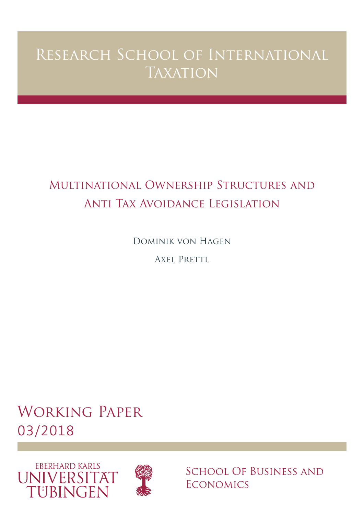# Research School of International **TAXATION**

## Multinational Ownership Structures and Anti Tax Avoidance Legislation

Dominik von Hagen

AXEL PRETTL

Working Paper 03/2018





School Of Business and **ECONOMICS**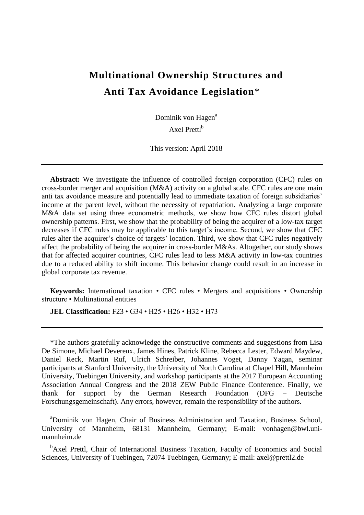## **Multinational Ownership Structures and Anti Tax Avoidance Legislation**\*

Dominik von Hagen<sup>a</sup>

Axel Prettl<sup>b</sup>

This version: April 2018

**Abstract:** We investigate the influence of controlled foreign corporation (CFC) rules on cross-border merger and acquisition (M&A) activity on a global scale. CFC rules are one main anti tax avoidance measure and potentially lead to immediate taxation of foreign subsidiaries' income at the parent level, without the necessity of repatriation. Analyzing a large corporate M&A data set using three econometric methods, we show how CFC rules distort global ownership patterns. First, we show that the probability of being the acquirer of a low-tax target decreases if CFC rules may be applicable to this target's income. Second, we show that CFC rules alter the acquirer's choice of targets' location. Third, we show that CFC rules negatively affect the probability of being the acquirer in cross-border M&As. Altogether, our study shows that for affected acquirer countries, CFC rules lead to less M&A activity in low-tax countries due to a reduced ability to shift income. This behavior change could result in an increase in global corporate tax revenue.

**Keywords:** International taxation • CFC rules • Mergers and acquisitions • Ownership structure • Multinational entities

**JEL Classification:** F23 • G34 • H25 • H26 • H32 • H73

\*The authors gratefully acknowledge the constructive comments and suggestions from Lisa De Simone, Michael Devereux, James Hines, Patrick Kline, Rebecca Lester, Edward Maydew, Daniel Reck, Martin Ruf, Ulrich Schreiber, Johannes Voget, Danny Yagan, seminar participants at Stanford University, the University of North Carolina at Chapel Hill, Mannheim University, Tuebingen University, and workshop participants at the 2017 European Accounting Association Annual Congress and the 2018 ZEW Public Finance Conference. Finally, we thank for support by the German Research Foundation (DFG – Deutsche Forschungsgemeinschaft). Any errors, however, remain the responsibility of the authors.

<sup>a</sup>Dominik von Hagen, Chair of Business Administration and Taxation, Business School, University of Mannheim, 68131 Mannheim, Germany; E-mail: vonhagen@bwl.unimannheim.de

<sup>b</sup>Axel Prettl, Chair of International Business Taxation, Faculty of Economics and Social Sciences, University of Tuebingen, 72074 Tuebingen, Germany; E-mail: axel@prettl2.de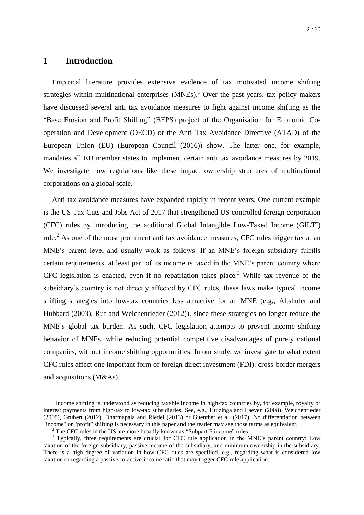## **1 Introduction**

1

Empirical literature provides extensive evidence of tax motivated income shifting strategies within multinational enterprises  $(MNEs)$ .<sup>1</sup> Over the past years, tax policy makers have discussed several anti tax avoidance measures to fight against income shifting as the "Base Erosion and Profit Shifting" (BEPS) project of the Organisation for Economic Cooperation and Development (OECD) or the Anti Tax Avoidance Directive (ATAD) of the European Union (EU) (European Council (2016)) show. The latter one, for example, mandates all EU member states to implement certain anti tax avoidance measures by 2019. We investigate how regulations like these impact ownership structures of multinational corporations on a global scale.

Anti tax avoidance measures have expanded rapidly in recent years. One current example is the US Tax Cuts and Jobs Act of 2017 that strengthened US controlled foreign corporation (CFC) rules by introducing the additional Global Intangible Low-Taxed Income (GILTI) rule.<sup>2</sup> As one of the most prominent anti tax avoidance measures, CFC rules trigger tax at an MNE's parent level and usually work as follows: If an MNE's foreign subsidiary fulfills certain requirements, at least part of its income is taxed in the MNE's parent country where CFC legislation is enacted, even if no repatriation takes place.<sup>3</sup> While tax revenue of the subsidiary's country is not directly affected by CFC rules, these laws make typical income shifting strategies into low-tax countries less attractive for an MNE (e.g., Altshuler and Hubbard (2003), Ruf and Weichenrieder (2012)), since these strategies no longer reduce the MNE's global tax burden. As such, CFC legislation attempts to prevent income shifting behavior of MNEs, while reducing potential competitive disadvantages of purely national companies, without income shifting opportunities. In our study, we investigate to what extent CFC rules affect one important form of foreign direct investment (FDI): cross-border mergers and acquisitions (M&As).

<sup>&</sup>lt;sup>1</sup> Income shifting is understood as reducing taxable income in high-tax countries by, for example, royalty or interest payments from high-tax to low-tax subsidiaries. See, e.g., Huizinga and Laeven (2008), Weichenrieder (2009), Grubert (2012), Dharmapala and Riedel (2013) or Guenther et al. (2017). No differentiation between "income" or "profit" shifting is necessary in this paper and the reader may see those terms as equivalent.

 $2$ <sup>2</sup> The CFC rules in the US are more broadly known as "Subpart F income" rules.

<sup>&</sup>lt;sup>3</sup> Typically, three requirements are crucial for CFC rule application in the MNE's parent country: Low taxation of the foreign subsidiary, passive income of the subsidiary, and minimum ownership in the subsidiary. There is a high degree of variation in how CFC rules are specified, e.g., regarding what is considered low taxation or regarding a passive-to-active-income ratio that may trigger CFC rule application.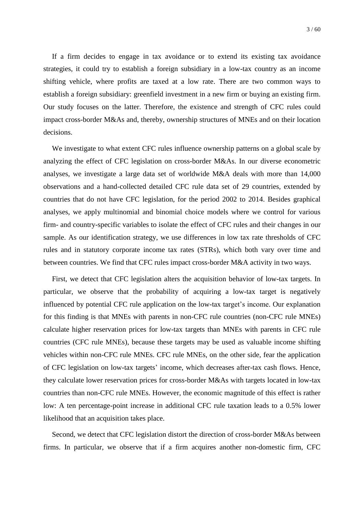If a firm decides to engage in tax avoidance or to extend its existing tax avoidance strategies, it could try to establish a foreign subsidiary in a low-tax country as an income shifting vehicle, where profits are taxed at a low rate. There are two common ways to establish a foreign subsidiary: greenfield investment in a new firm or buying an existing firm. Our study focuses on the latter. Therefore, the existence and strength of CFC rules could impact cross-border M&As and, thereby, ownership structures of MNEs and on their location decisions.

We investigate to what extent CFC rules influence ownership patterns on a global scale by analyzing the effect of CFC legislation on cross-border M&As. In our diverse econometric analyses, we investigate a large data set of worldwide M&A deals with more than 14,000 observations and a hand-collected detailed CFC rule data set of 29 countries, extended by countries that do not have CFC legislation, for the period 2002 to 2014. Besides graphical analyses, we apply multinomial and binomial choice models where we control for various firm- and country-specific variables to isolate the effect of CFC rules and their changes in our sample. As our identification strategy, we use differences in low tax rate thresholds of CFC rules and in statutory corporate income tax rates (STRs), which both vary over time and between countries. We find that CFC rules impact cross-border M&A activity in two ways.

First, we detect that CFC legislation alters the acquisition behavior of low-tax targets. In particular, we observe that the probability of acquiring a low-tax target is negatively influenced by potential CFC rule application on the low-tax target's income. Our explanation for this finding is that MNEs with parents in non-CFC rule countries (non-CFC rule MNEs) calculate higher reservation prices for low-tax targets than MNEs with parents in CFC rule countries (CFC rule MNEs), because these targets may be used as valuable income shifting vehicles within non-CFC rule MNEs. CFC rule MNEs, on the other side, fear the application of CFC legislation on low-tax targets' income, which decreases after-tax cash flows. Hence, they calculate lower reservation prices for cross-border M&As with targets located in low-tax countries than non-CFC rule MNEs. However, the economic magnitude of this effect is rather low: A ten percentage-point increase in additional CFC rule taxation leads to a 0.5% lower likelihood that an acquisition takes place.

Second, we detect that CFC legislation distort the direction of cross-border M&As between firms. In particular, we observe that if a firm acquires another non-domestic firm, CFC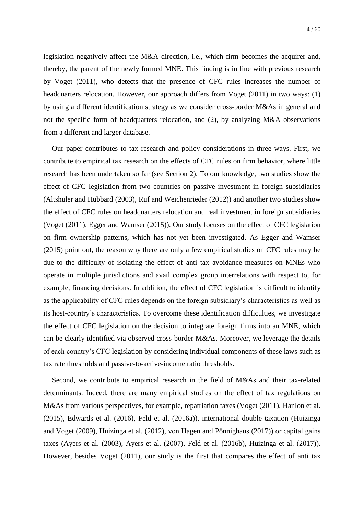legislation negatively affect the M&A direction, i.e., which firm becomes the acquirer and, thereby, the parent of the newly formed MNE. This finding is in line with previous research by Voget (2011), who detects that the presence of CFC rules increases the number of headquarters relocation. However, our approach differs from Voget (2011) in two ways: (1) by using a different identification strategy as we consider cross-border M&As in general and not the specific form of headquarters relocation, and (2), by analyzing M&A observations from a different and larger database.

Our paper contributes to tax research and policy considerations in three ways. First, we contribute to empirical tax research on the effects of CFC rules on firm behavior, where little research has been undertaken so far (see Section [2\)](#page-5-0). To our knowledge, two studies show the effect of CFC legislation from two countries on passive investment in foreign subsidiaries (Altshuler and Hubbard (2003), Ruf and Weichenrieder (2012)) and another two studies show the effect of CFC rules on headquarters relocation and real investment in foreign subsidiaries (Voget (2011), Egger and Wamser (2015)). Our study focuses on the effect of CFC legislation on firm ownership patterns, which has not yet been investigated. As Egger and Wamser (2015) point out, the reason why there are only a few empirical studies on CFC rules may be due to the difficulty of isolating the effect of anti tax avoidance measures on MNEs who operate in multiple jurisdictions and avail complex group interrelations with respect to, for example, financing decisions. In addition, the effect of CFC legislation is difficult to identify as the applicability of CFC rules depends on the foreign subsidiary's characteristics as well as its host-country's characteristics. To overcome these identification difficulties, we investigate the effect of CFC legislation on the decision to integrate foreign firms into an MNE, which can be clearly identified via observed cross-border M&As. Moreover, we leverage the details of each country's CFC legislation by considering individual components of these laws such as tax rate thresholds and passive-to-active-income ratio thresholds.

Second, we contribute to empirical research in the field of M&As and their tax-related determinants. Indeed, there are many empirical studies on the effect of tax regulations on M&As from various perspectives, for example, repatriation taxes (Voget (2011), Hanlon et al. (2015), Edwards et al. (2016), Feld et al. (2016a)), international double taxation (Huizinga and Voget (2009), Huizinga et al. (2012), von Hagen and Pönnighaus (2017)) or capital gains taxes (Ayers et al. (2003), Ayers et al. (2007), Feld et al. (2016b), Huizinga et al. (2017)). However, besides Voget (2011), our study is the first that compares the effect of anti tax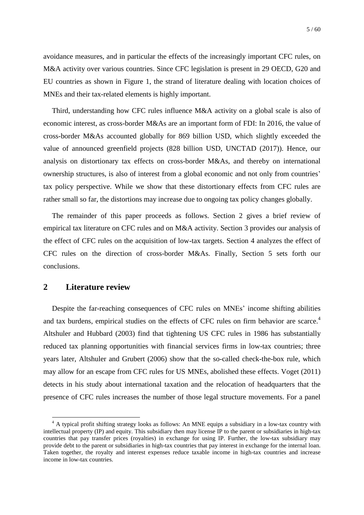avoidance measures, and in particular the effects of the increasingly important CFC rules, on M&A activity over various countries. Since CFC legislation is present in 29 OECD, G20 and EU countries as shown in [Figure 1,](#page-35-0) the strand of literature dealing with location choices of MNEs and their tax-related elements is highly important.

Third, understanding how CFC rules influence M&A activity on a global scale is also of economic interest, as cross-border M&As are an important form of FDI: In 2016, the value of cross-border M&As accounted globally for 869 billion USD, which slightly exceeded the value of announced greenfield projects (828 billion USD, UNCTAD (2017)). Hence, our analysis on distortionary tax effects on cross-border M&As, and thereby on international ownership structures, is also of interest from a global economic and not only from countries' tax policy perspective. While we show that these distortionary effects from CFC rules are rather small so far, the distortions may increase due to ongoing tax policy changes globally.

The remainder of this paper proceeds as follows. Section [2](#page-5-0) gives a brief review of empirical tax literature on CFC rules and on M&A activity. Section [3](#page-7-0) provides our analysis of the effect of CFC rules on the acquisition of low-tax targets. Section [4](#page-24-0) analyzes the effect of CFC rules on the direction of cross-border M&As. Finally, Section [5](#page-29-0) sets forth our conclusions.

### <span id="page-5-0"></span>**2 Literature review**

1

Despite the far-reaching consequences of CFC rules on MNEs' income shifting abilities and tax burdens, empirical studies on the effects of CFC rules on firm behavior are scarce.<sup>4</sup> Altshuler and Hubbard (2003) find that tightening US CFC rules in 1986 has substantially reduced tax planning opportunities with financial services firms in low-tax countries; three years later, Altshuler and Grubert (2006) show that the so-called check-the-box rule, which may allow for an escape from CFC rules for US MNEs, abolished these effects. Voget (2011) detects in his study about international taxation and the relocation of headquarters that the presence of CFC rules increases the number of those legal structure movements. For a panel

<sup>&</sup>lt;sup>4</sup> A typical profit shifting strategy looks as follows: An MNE equips a subsidiary in a low-tax country with intellectual property (IP) and equity. This subsidiary then may license IP to the parent or subsidiaries in high-tax countries that pay transfer prices (royalties) in exchange for using IP. Further, the low-tax subsidiary may provide debt to the parent or subsidiaries in high-tax countries that pay interest in exchange for the internal loan. Taken together, the royalty and interest expenses reduce taxable income in high-tax countries and increase income in low-tax countries.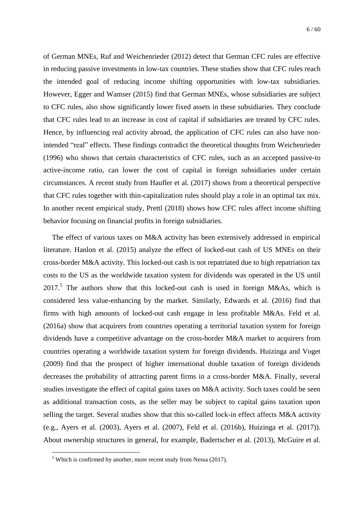of German MNEs, Ruf and Weichenrieder (2012) detect that German CFC rules are effective in reducing passive investments in low-tax countries. These studies show that CFC rules reach the intended goal of reducing income shifting opportunities with low-tax subsidiaries. However, Egger and Wamser (2015) find that German MNEs, whose subsidiaries are subject to CFC rules, also show significantly lower fixed assets in these subsidiaries. They conclude that CFC rules lead to an increase in cost of capital if subsidiaries are treated by CFC rules. Hence, by influencing real activity abroad, the application of CFC rules can also have nonintended "real" effects. These findings contradict the theoretical thoughts from Weichenrieder (1996) who shows that certain characteristics of CFC rules, such as an accepted passive-to active-income ratio, can lower the cost of capital in foreign subsidiaries under certain circumstances. A recent study from Haufler et al. (2017) shows from a theoretical perspective that CFC rules together with thin-capitalization rules should play a role in an optimal tax mix. In another recent empirical study, Prettl (2018) shows how CFC rules affect income shifting behavior focusing on financial profits in foreign subsidiaries.

The effect of various taxes on M&A activity has been extensively addressed in empirical literature. Hanlon et al. (2015) analyze the effect of locked-out cash of US MNEs on their cross-border M&A activity. This locked-out cash is not repatriated due to high repatriation tax costs to the US as the worldwide taxation system for dividends was operated in the US until  $2017<sup>5</sup>$  The authors show that this locked-out cash is used in foreign M&As, which is considered less value-enhancing by the market. Similarly, Edwards et al. (2016) find that firms with high amounts of locked-out cash engage in less profitable M&As. Feld et al. (2016a) show that acquirers from countries operating a territorial taxation system for foreign dividends have a competitive advantage on the cross-border M&A market to acquirers from countries operating a worldwide taxation system for foreign dividends. Huizinga and Voget (2009) find that the prospect of higher international double taxation of foreign dividends decreases the probability of attracting parent firms in a cross-border M&A. Finally, several studies investigate the effect of capital gains taxes on M&A activity. Such taxes could be seen as additional transaction costs, as the seller may be subject to capital gains taxation upon selling the target. Several studies show that this so-called lock-in effect affects M&A activity (e.g., Ayers et al. (2003), Ayers et al. (2007), Feld et al. (2016b), Huizinga et al. (2017)). About ownership structures in general, for example, Badertscher et al. (2013), McGuire et al.

1

 $5$  Which is confirmed by another, more recent study from Nessa (2017).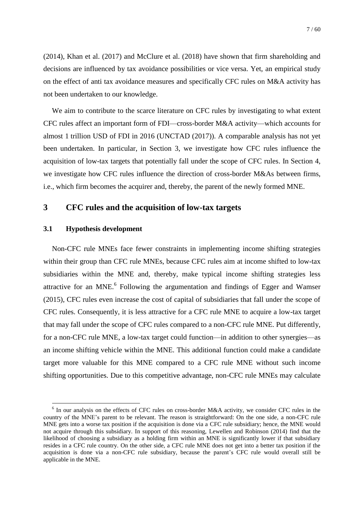(2014), Khan et al. (2017) and McClure et al. (2018) have shown that firm shareholding and decisions are influenced by tax avoidance possibilities or vice versa. Yet, an empirical study on the effect of anti tax avoidance measures and specifically CFC rules on M&A activity has not been undertaken to our knowledge.

We aim to contribute to the scarce literature on CFC rules by investigating to what extent CFC rules affect an important form of FDI—cross-border M&A activity—which accounts for almost 1 trillion USD of FDI in 2016 (UNCTAD (2017)). A comparable analysis has not yet been undertaken. In particular, in Section [3,](#page-7-0) we investigate how CFC rules influence the acquisition of low-tax targets that potentially fall under the scope of CFC rules. In Section [4,](#page-24-0) we investigate how CFC rules influence the direction of cross-border M&As between firms, i.e., which firm becomes the acquirer and, thereby, the parent of the newly formed MNE.

## <span id="page-7-0"></span>**3 CFC rules and the acquisition of low-tax targets**

#### <span id="page-7-1"></span>**3.1 Hypothesis development**

<u>.</u>

Non-CFC rule MNEs face fewer constraints in implementing income shifting strategies within their group than CFC rule MNEs, because CFC rules aim at income shifted to low-tax subsidiaries within the MNE and, thereby, make typical income shifting strategies less attractive for an MNE. $<sup>6</sup>$  Following the argumentation and findings of Egger and Wamser</sup> (2015), CFC rules even increase the cost of capital of subsidiaries that fall under the scope of CFC rules. Consequently, it is less attractive for a CFC rule MNE to acquire a low-tax target that may fall under the scope of CFC rules compared to a non-CFC rule MNE. Put differently, for a non-CFC rule MNE, a low-tax target could function—in addition to other synergies—as an income shifting vehicle within the MNE. This additional function could make a candidate target more valuable for this MNE compared to a CFC rule MNE without such income shifting opportunities. Due to this competitive advantage, non-CFC rule MNEs may calculate

<sup>&</sup>lt;sup>6</sup> In our analysis on the effects of CFC rules on cross-border M&A activity, we consider CFC rules in the country of the MNE's parent to be relevant. The reason is straightforward: On the one side, a non-CFC rule MNE gets into a worse tax position if the acquisition is done via a CFC rule subsidiary; hence, the MNE would not acquire through this subsidiary. In support of this reasoning, Lewellen and Robinson (2014) find that the likelihood of choosing a subsidiary as a holding firm within an MNE is significantly lower if that subsidiary resides in a CFC rule country. On the other side, a CFC rule MNE does not get into a better tax position if the acquisition is done via a non-CFC rule subsidiary, because the parent's CFC rule would overall still be applicable in the MNE.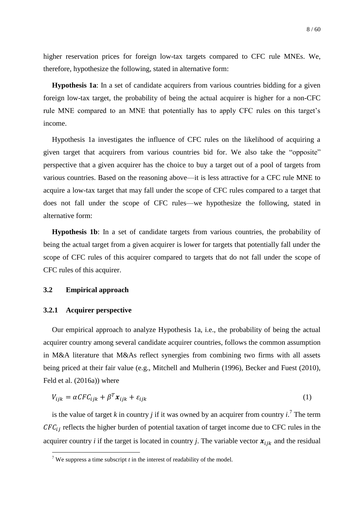higher reservation prices for foreign low-tax targets compared to CFC rule MNEs. We, therefore, hypothesize the following, stated in alternative form:

**Hypothesis 1a**: In a set of candidate acquirers from various countries bidding for a given foreign low-tax target, the probability of being the actual acquirer is higher for a non-CFC rule MNE compared to an MNE that potentially has to apply CFC rules on this target's income.

Hypothesis 1a investigates the influence of CFC rules on the likelihood of acquiring a given target that acquirers from various countries bid for. We also take the "opposite" perspective that a given acquirer has the choice to buy a target out of a pool of targets from various countries. Based on the reasoning above—it is less attractive for a CFC rule MNE to acquire a low-tax target that may fall under the scope of CFC rules compared to a target that does not fall under the scope of CFC rules—we hypothesize the following, stated in alternative form:

**Hypothesis 1b**: In a set of candidate targets from various countries, the probability of being the actual target from a given acquirer is lower for targets that potentially fall under the scope of CFC rules of this acquirer compared to targets that do not fall under the scope of CFC rules of this acquirer.

#### **3.2 Empirical approach**

#### **3.2.1 Acquirer perspective**

1

Our empirical approach to analyze Hypothesis 1a, i.e., the probability of being the actual acquirer country among several candidate acquirer countries, follows the common assumption in M&A literature that M&As reflect synergies from combining two firms with all assets being priced at their fair value (e.g., Mitchell and Mulherin (1996), Becker and Fuest (2010), Feld et al. (2016a)) where

$$
V_{ijk} = \alpha C F C_{ijk} + \beta^T \mathbf{x}_{ijk} + \varepsilon_{ijk} \tag{1}
$$

is the value of target *k* in country *j* if it was owned by an acquirer from country  $i$ .<sup>7</sup> The term  $CFC_{ii}$  reflects the higher burden of potential taxation of target income due to CFC rules in the acquirer country *i* if the target is located in country *j*. The variable vector  $x_{ijk}$  and the residual

<sup>&</sup>lt;sup>7</sup> We suppress a time subscript *t* in the interest of readability of the model.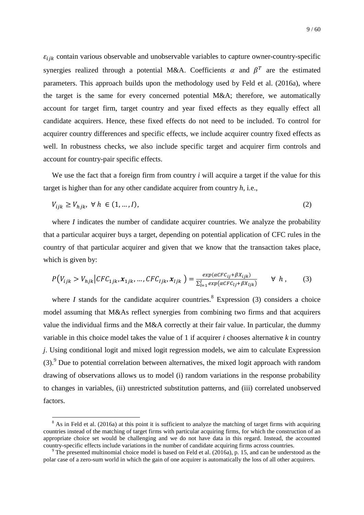$\varepsilon_{ijk}$  contain various observable and unobservable variables to capture owner-country-specific synergies realized through a potential M&A. Coefficients  $\alpha$  and  $\beta^T$  are the estimated parameters. This approach builds upon the methodology used by Feld et al. (2016a), where the target is the same for every concerned potential M&A; therefore, we automatically account for target firm, target country and year fixed effects as they equally effect all candidate acquirers. Hence, these fixed effects do not need to be included. To control for acquirer country differences and specific effects, we include acquirer country fixed effects as well. In robustness checks, we also include specific target and acquirer firm controls and account for country-pair specific effects.

We use the fact that a foreign firm from country *i* will acquire a target if the value for this target is higher than for any other candidate acquirer from country *h*, i.e.,

$$
V_{ijk} \ge V_{hjk}, \ \forall \ h \in (1, \dots, I), \tag{2}
$$

where *I* indicates the number of candidate acquirer countries. We analyze the probability that a particular acquirer buys a target, depending on potential application of CFC rules in the country of that particular acquirer and given that we know that the transaction takes place, which is given by:

$$
P(V_{ijk} > V_{hjk} | CFC_{1jk}, \mathbf{x}_{1jk}, \dots, CFC_{ljk}, \mathbf{x}_{ljk}) = \frac{exp(\alpha CFC_{ij} + \beta X_{ijk})}{\sum_{l=1}^{I} exp(\alpha CFC_{lj} + \beta X_{ljk})} \quad \forall \ h ,
$$
 (3)

where *I* stands for the candidate acquirer countries.<sup>8</sup> Expression (3) considers a choice model assuming that M&As reflect synergies from combining two firms and that acquirers value the individual firms and the M&A correctly at their fair value. In particular, the dummy variable in this choice model takes the value of 1 if acquirer *i* chooses alternative *k* in country *j*. Using conditional logit and mixed logit regression models, we aim to calculate Expression  $(3)$ .<sup>9</sup> Due to potential correlation between alternatives, the mixed logit approach with random drawing of observations allows us to model (i) random variations in the response probability to changes in variables, (ii) unrestricted substitution patterns, and (iii) correlated unobserved factors.

1

 $8$  As in Feld et al. (2016a) at this point it is sufficient to analyze the matching of target firms with acquiring countries instead of the matching of target firms with particular acquiring firms, for which the construction of an appropriate choice set would be challenging and we do not have data in this regard. Instead, the accounted country-specific effects include variations in the number of candidate acquiring firms across countries.

<sup>&</sup>lt;sup>9</sup> The presented multinomial choice model is based on Feld et al. (2016a), p. 15, and can be understood as the polar case of a zero-sum world in which the gain of one acquirer is automatically the loss of all other acquirers.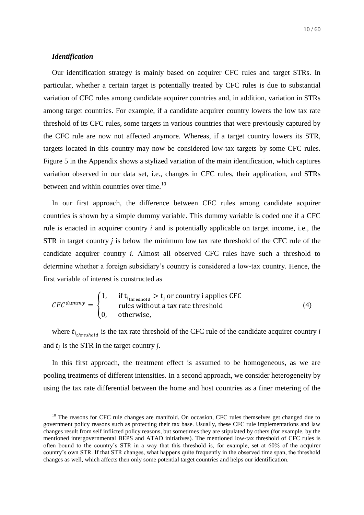#### *Identification*

1

Our identification strategy is mainly based on acquirer CFC rules and target STRs. In particular, whether a certain target is potentially treated by CFC rules is due to substantial variation of CFC rules among candidate acquirer countries and, in addition, variation in STRs among target countries. For example, if a candidate acquirer country lowers the low tax rate threshold of its CFC rules, some targets in various countries that were previously captured by the CFC rule are now not affected anymore. Whereas, if a target country lowers its STR, targets located in this country may now be considered low-tax targets by some CFC rules. [Figure](#page-39-0) 5 in the Appendix shows a stylized variation of the main identification, which captures variation observed in our data set, i.e., changes in CFC rules, their application, and STRs between and within countries over time.<sup>10</sup>

In our first approach, the difference between CFC rules among candidate acquirer countries is shown by a simple dummy variable. This dummy variable is coded one if a CFC rule is enacted in acquirer country *i* and is potentially applicable on target income, i.e., the STR in target country *j* is below the minimum low tax rate threshold of the CFC rule of the candidate acquirer country *i*. Almost all observed CFC rules have such a threshold to determine whether a foreign subsidiary's country is considered a low-tax country. Hence, the first variable of interest is constructed as

$$
CFC^{dummy} = \begin{cases} 1, & \text{if } t_{i_{threshold}} > t_j \text{ or country i applies CFC} \\ & \text{rules without a tax rate threshold} \\ 0, & \text{otherwise,} \end{cases} \tag{4}
$$

where  $t_{itthreshold}$  is the tax rate threshold of the CFC rule of the candidate acquirer country  $i$ and  $t_i$  is the STR in the target country *j*.

In this first approach, the treatment effect is assumed to be homogeneous, as we are pooling treatments of different intensities. In a second approach, we consider heterogeneity by using the tax rate differential between the home and host countries as a finer metering of the

<sup>&</sup>lt;sup>10</sup> The reasons for CFC rule changes are manifold. On occasion, CFC rules themselves get changed due to government policy reasons such as protecting their tax base. Usually, these CFC rule implementations and law changes result from self inflicted policy reasons, but sometimes they are stipulated by others (for example, by the mentioned intergovernmental BEPS and ATAD initiatives). The mentioned low-tax threshold of CFC rules is often bound to the country's STR in a way that this threshold is, for example, set at 60% of the acquirer country's own STR. If that STR changes, what happens quite frequently in the observed time span, the threshold changes as well, which affects then only some potential target countries and helps our identification.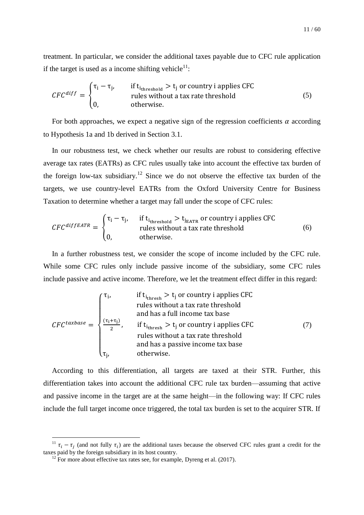treatment. In particular, we consider the additional taxes payable due to CFC rule application if the target is used as a income shifting vehicle<sup>11</sup>:

$$
CFC^{diff} = \begin{cases} \tau_i - \tau_j, & \text{if } t_{i_{threshold}} > t_j \text{ or country i applies CFC} \\ \text{rules without a tax rate threshold} \\ 0, & \text{otherwise.} \end{cases} \tag{5}
$$

For both approaches, we expect a negative sign of the regression coefficients  $\alpha$  according to Hypothesis 1a and 1b derived in Section [3.1.](#page-7-1)

In our robustness test, we check whether our results are robust to considering effective average tax rates (EATRs) as CFC rules usually take into account the effective tax burden of the foreign low-tax subsidiary.<sup>12</sup> Since we do not observe the effective tax burden of the targets, we use country-level EATRs from the Oxford University Centre for Business Taxation to determine whether a target may fall under the scope of CFC rules:

$$
CFC^{diffEATR} = \begin{cases} \tau_i - \tau_j, & \text{if } t_{i_{threshold}} > t_{i_{EATR}} \text{ or country } i \text{ applies CFC} \\ \text{rules without a tax rate threshold} \\ 0, & \text{otherwise.} \end{cases} \tag{6}
$$

In a further robustness test, we consider the scope of income included by the CFC rule. While some CFC rules only include passive income of the subsidiary, some CFC rules include passive and active income. Therefore, we let the treatment effect differ in this regard:

$$
CFC^{taxbase} = \begin{cases} \tau_i, & \text{if } t_{i_{thresh}} > t_j \text{ or country i applies CFC} \\ & \text{rules without a tax rate threshold} \\ & \text{and has a full income tax base} \\ \frac{(\tau_i + \tau_j)}{2}, & \text{if } t_{i_{thresh}} > t_j \text{ or country i applies CFC} \\ & \text{rules without a tax rate threshold} \\ & \text{and has a passive income tax base} \\ \tau_j, & \text{otherwise.} \end{cases} \tag{7}
$$

According to this differentiation, all targets are taxed at their STR. Further, this differentiation takes into account the additional CFC rule tax burden—assuming that active and passive income in the target are at the same height—in the following way: If CFC rules include the full target income once triggered, the total tax burden is set to the acquirer STR. If

1

 $\tau_i$   $\tau_i$  (and not fully  $\tau_i$ ) are the additional taxes because the observed CFC rules grant a credit for the taxes paid by the foreign subsidiary in its host country.

 $12$  For more about effective tax rates see, for example, Dyreng et al. (2017).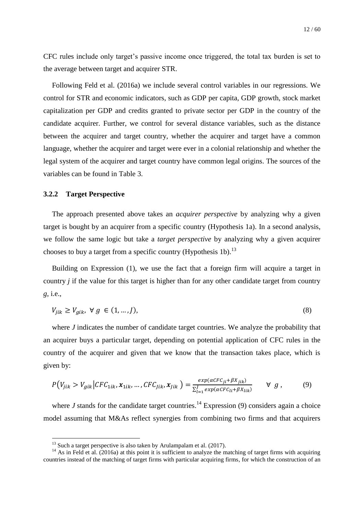CFC rules include only target's passive income once triggered, the total tax burden is set to the average between target and acquirer STR.

Following Feld et al. (2016a) we include several control variables in our regressions. We control for STR and economic indicators, such as GDP per capita, GDP growth, stock market capitalization per GDP and credits granted to private sector per GDP in the country of the candidate acquirer. Further, we control for several distance variables, such as the distance between the acquirer and target country, whether the acquirer and target have a common language, whether the acquirer and target were ever in a colonial relationship and whether the legal system of the acquirer and target country have common legal origins. The sources of the variables can be found in [Table 3.](#page-42-0)

#### <span id="page-12-0"></span>**3.2.2 Target Perspective**

1

The approach presented above takes an *acquirer perspective* by analyzing why a given target is bought by an acquirer from a specific country (Hypothesis 1a). In a second analysis, we follow the same logic but take a *target perspective* by analyzing why a given acquirer chooses to buy a target from a specific country (Hypothesis 1b).<sup>13</sup>

Building on Expression (1), we use the fact that a foreign firm will acquire a target in country *j* if the value for this target is higher than for any other candidate target from country *g*, i.e.,

$$
V_{jik} \ge V_{gik}, \ \forall \ g \in (1, \dots, J), \tag{8}
$$

where *J* indicates the number of candidate target countries. We analyze the probability that an acquirer buys a particular target, depending on potential application of CFC rules in the country of the acquirer and given that we know that the transaction takes place, which is given by:

$$
P(V_{jik} > V_{gik} | CFC_{1ik}, \mathbf{x}_{1ik}, \dots, CFC_{jik}, \mathbf{x}_{jik}) = \frac{exp(\alpha CFC_{ji} + \beta X_{jik})}{\sum_{l=1}^{J} exp(\alpha CFC_{li} + \beta X_{lik})} \quad \forall g,
$$
 (9)

where *J* stands for the candidate target countries.<sup>14</sup> Expression (9) considers again a choice model assuming that M&As reflect synergies from combining two firms and that acquirers

 $13$  Such a target perspective is also taken by Arulampalam et al. (2017).

 $14$  As in Feld et al. (2016a) at this point it is sufficient to analyze the matching of target firms with acquiring countries instead of the matching of target firms with particular acquiring firms, for which the construction of an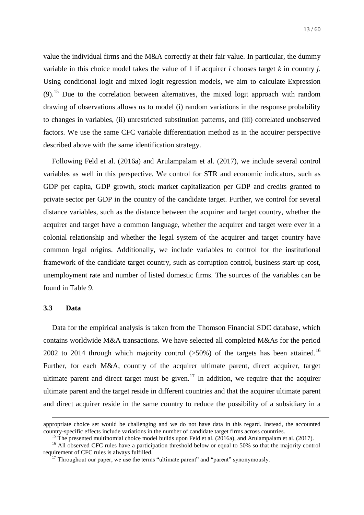value the individual firms and the M&A correctly at their fair value. In particular, the dummy variable in this choice model takes the value of 1 if acquirer *i* chooses target *k* in country *j*. Using conditional logit and mixed logit regression models, we aim to calculate Expression  $(9)$ .<sup>15</sup> Due to the correlation between alternatives, the mixed logit approach with random drawing of observations allows us to model (i) random variations in the response probability to changes in variables, (ii) unrestricted substitution patterns, and (iii) correlated unobserved factors. We use the same CFC variable differentiation method as in the acquirer perspective described above with the same identification strategy.

Following Feld et al. (2016a) and Arulampalam et al. (2017), we include several control variables as well in this perspective. We control for STR and economic indicators, such as GDP per capita, GDP growth, stock market capitalization per GDP and credits granted to private sector per GDP in the country of the candidate target. Further, we control for several distance variables, such as the distance between the acquirer and target country, whether the acquirer and target have a common language, whether the acquirer and target were ever in a colonial relationship and whether the legal system of the acquirer and target country have common legal origins. Additionally, we include variables to control for the institutional framework of the candidate target country, such as corruption control, business start-up cost, unemployment rate and number of listed domestic firms. The sources of the variables can be found in [Table 9.](#page-49-0)

#### <span id="page-13-0"></span>**3.3 Data**

1

Data for the empirical analysis is taken from the Thomson Financial SDC database, which contains worldwide M&A transactions. We have selected all completed M&As for the period 2002 to 2014 through which majority control  $(>50\%)$  of the targets has been attained.<sup>16</sup> Further, for each M&A, country of the acquirer ultimate parent, direct acquirer, target ultimate parent and direct target must be given.<sup>17</sup> In addition, we require that the acquirer ultimate parent and the target reside in different countries and that the acquirer ultimate parent and direct acquirer reside in the same country to reduce the possibility of a subsidiary in a

appropriate choice set would be challenging and we do not have data in this regard. Instead, the accounted country-specific effects include variations in the number of candidate target firms across countries.

<sup>&</sup>lt;sup>15</sup> The presented multinomial choice model builds upon Feld et al. (2016a), and Arulampalam et al. (2017).

<sup>&</sup>lt;sup>16</sup> All observed CFC rules have a participation threshold below or equal to 50% so that the majority control requirement of CFC rules is always fulfilled.

 $17$  Throughout our paper, we use the terms "ultimate parent" and "parent" synonymously.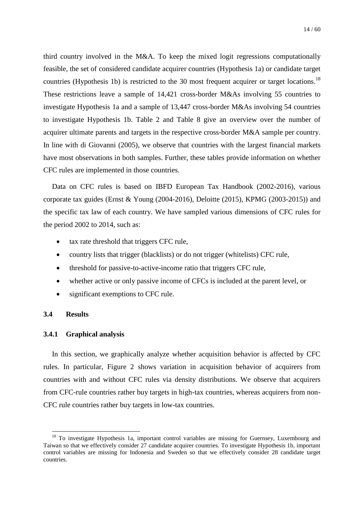third country involved in the M&A. To keep the mixed logit regressions computationally feasible, the set of considered candidate acquirer countries (Hypothesis 1a) or candidate target countries (Hypothesis 1b) is restricted to the 30 most frequent acquirer or target locations.<sup>18</sup> These restrictions leave a sample of 14,421 cross-border M&As involving 55 countries to investigate Hypothesis 1a and a sample of 13,447 cross-border M&As involving 54 countries to investigate Hypothesis 1b. [Table 2](#page-41-0) and [Table 8](#page-48-0) give an overview over the number of acquirer ultimate parents and targets in the respective cross-border M&A sample per country. In line with di Giovanni (2005), we observe that countries with the largest financial markets have most observations in both samples. Further, these tables provide information on whether CFC rules are implemented in those countries.

Data on CFC rules is based on IBFD European Tax Handbook (2002-2016), various corporate tax guides (Ernst & Young (2004-2016), Deloitte (2015), KPMG (2003-2015)) and the specific tax law of each country. We have sampled various dimensions of CFC rules for the period 2002 to 2014, such as:

- tax rate threshold that triggers CFC rule,
- country lists that trigger (blacklists) or do not trigger (whitelists) CFC rule,
- threshold for passive-to-active-income ratio that triggers CFC rule,
- whether active or only passive income of CFCs is included at the parent level, or
- significant exemptions to CFC rule.

#### **3.4 Results**

1

#### <span id="page-14-0"></span>**3.4.1 Graphical analysis**

In this section, we graphically analyze whether acquisition behavior is affected by CFC rules. In particular, [Figure 2](#page-36-0) shows variation in acquisition behavior of acquirers from countries with and without CFC rules via density distributions. We observe that acquirers from CFC-rule countries rather buy targets in high-tax countries, whereas acquirers from non-CFC rule countries rather buy targets in low-tax countries.

<sup>&</sup>lt;sup>18</sup> To investigate Hypothesis 1a, important control variables are missing for Guernsey, Luxembourg and Taiwan so that we effectively consider 27 candidate acquirer countries. To investigate Hypothesis 1b, important control variables are missing for Indonesia and Sweden so that we effectively consider 28 candidate target countries.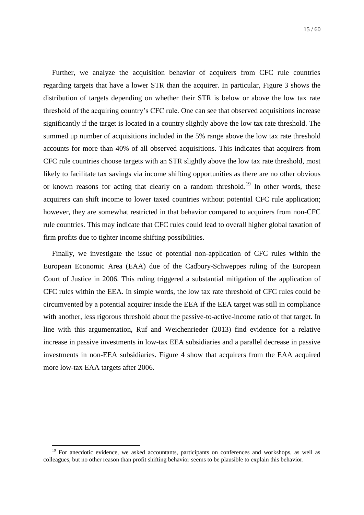Further, we analyze the acquisition behavior of acquirers from CFC rule countries regarding targets that have a lower STR than the acquirer. In particular, [Figure 3](#page-37-0) shows the distribution of targets depending on whether their STR is below or above the low tax rate threshold of the acquiring country's CFC rule. One can see that observed acquisitions increase significantly if the target is located in a country slightly above the low tax rate threshold. The summed up number of acquisitions included in the 5% range above the low tax rate threshold accounts for more than 40% of all observed acquisitions. This indicates that acquirers from CFC rule countries choose targets with an STR slightly above the low tax rate threshold, most likely to facilitate tax savings via income shifting opportunities as there are no other obvious or known reasons for acting that clearly on a random threshold.<sup>19</sup> In other words, these acquirers can shift income to lower taxed countries without potential CFC rule application; however, they are somewhat restricted in that behavior compared to acquirers from non-CFC rule countries. This may indicate that CFC rules could lead to overall higher global taxation of firm profits due to tighter income shifting possibilities.

Finally, we investigate the issue of potential non-application of CFC rules within the European Economic Area (EAA) due of the Cadbury-Schweppes ruling of the European Court of Justice in 2006. This ruling triggered a substantial mitigation of the application of CFC rules within the EEA. In simple words, the low tax rate threshold of CFC rules could be circumvented by a potential acquirer inside the EEA if the EEA target was still in compliance with another, less rigorous threshold about the passive-to-active-income ratio of that target. In line with this argumentation, Ruf and Weichenrieder (2013) find evidence for a relative increase in passive investments in low-tax EEA subsidiaries and a parallel decrease in passive investments in non-EEA subsidiaries. [Figure 4](#page-38-0) show that acquirers from the EAA acquired more low-tax EAA targets after 2006.

<u>.</u>

 $19$  For anecdotic evidence, we asked accountants, participants on conferences and workshops, as well as colleagues, but no other reason than profit shifting behavior seems to be plausible to explain this behavior.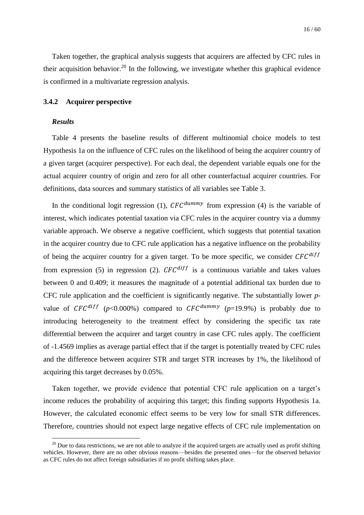<span id="page-16-1"></span>Taken together, the graphical analysis suggests that acquirers are affected by CFC rules in their acquisition behavior.<sup>20</sup> In the following, we investigate whether this graphical evidence is confirmed in a multivariate regression analysis.

#### <span id="page-16-0"></span>**3.4.2 Acquirer perspective**

#### *Results*

1

[Table 4](#page-43-0) presents the baseline results of different multinomial choice models to test Hypothesis 1a on the influence of CFC rules on the likelihood of being the acquirer country of a given target (acquirer perspective). For each deal, the dependent variable equals one for the actual acquirer country of origin and zero for all other counterfactual acquirer countries. For definitions, data sources and summary statistics of all variables see [Table 3.](#page-42-0)

In the conditional logit regression (1),  $CFC^{dummy}$  from expression (4) is the variable of interest, which indicates potential taxation via CFC rules in the acquirer country via a dummy variable approach. We observe a negative coefficient, which suggests that potential taxation in the acquirer country due to CFC rule application has a negative influence on the probability of being the acquirer country for a given target. To be more specific, we consider  $CFC^{diff}$ from expression (5) in regression (2).  $CFC^{diff}$  is a continuous variable and takes values between 0 and 0.409; it measures the magnitude of a potential additional tax burden due to CFC rule application and the coefficient is significantly negative. The substantially lower *p*value of  $CFC^{diff}$  ( $p<0.000\%$ ) compared to  $CFC^{dummy}$  ( $p=19.9\%$ ) is probably due to introducing heterogeneity to the treatment effect by considering the specific tax rate differential between the acquirer and target country in case CFC rules apply. The coefficient of -1.4569 implies as average partial effect that if the target is potentially treated by CFC rules and the difference between acquirer STR and target STR increases by 1%, the likelihood of acquiring this target decreases by 0.05%.

Taken together, we provide evidence that potential CFC rule application on a target's income reduces the probability of acquiring this target; this finding supports Hypothesis 1a. However, the calculated economic effect seems to be very low for small STR differences. Therefore, countries should not expect large negative effects of CFC rule implementation on

 $20$  Due to data restrictions, we are not able to analyze if the acquired targets are actually used as profit shifting vehicles. However, there are no other obvious reasons—besides the presented ones—for the observed behavior as CFC rules do not affect foreign subsidiaries if no profit shifting takes place.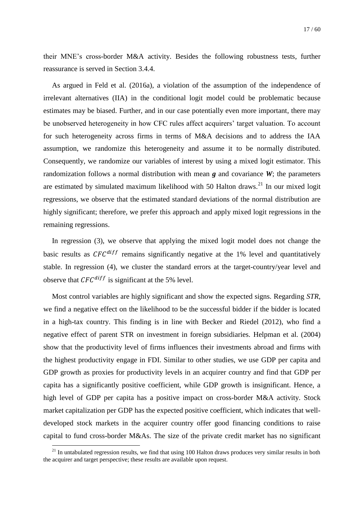their MNE's cross-border M&A activity. Besides the following robustness tests, further reassurance is served in Section [3.4.4.](#page-23-0)

As argued in Feld et al. (2016a), a violation of the assumption of the independence of irrelevant alternatives (IIA) in the conditional logit model could be problematic because estimates may be biased. Further, and in our case potentially even more important, there may be unobserved heterogeneity in how CFC rules affect acquirers' target valuation. To account for such heterogeneity across firms in terms of M&A decisions and to address the IAA assumption, we randomize this heterogeneity and assume it to be normally distributed. Consequently, we randomize our variables of interest by using a mixed logit estimator. This randomization follows a normal distribution with mean *g* and covariance *W*; the parameters are estimated by simulated maximum likelihood with 50 Halton draws.<sup>21</sup> In our mixed logit regressions, we observe that the estimated standard deviations of the normal distribution are highly significant; therefore, we prefer this approach and apply mixed logit regressions in the remaining regressions.

In regression (3), we observe that applying the mixed logit model does not change the basic results as  $CFC^{diff}$  remains significantly negative at the 1% level and quantitatively stable. In regression (4), we cluster the standard errors at the target-country/year level and observe that  $CFC^{diff}$  is significant at the 5% level.

Most control variables are highly significant and show the expected signs. Regarding *STR*, we find a negative effect on the likelihood to be the successful bidder if the bidder is located in a high-tax country. This finding is in line with Becker and Riedel (2012), who find a negative effect of parent STR on investment in foreign subsidiaries. Helpman et al. (2004) show that the productivity level of firms influences their investments abroad and firms with the highest productivity engage in FDI. Similar to other studies, we use GDP per capita and GDP growth as proxies for productivity levels in an acquirer country and find that GDP per capita has a significantly positive coefficient, while GDP growth is insignificant. Hence, a high level of GDP per capita has a positive impact on cross-border M&A activity. Stock market capitalization per GDP has the expected positive coefficient, which indicates that welldeveloped stock markets in the acquirer country offer good financing conditions to raise capital to fund cross-border M&As. The size of the private credit market has no significant

<u>.</u>

 $^{21}$  In untabulated regression results, we find that using 100 Halton draws produces very similar results in both the acquirer and target perspective; these results are available upon request.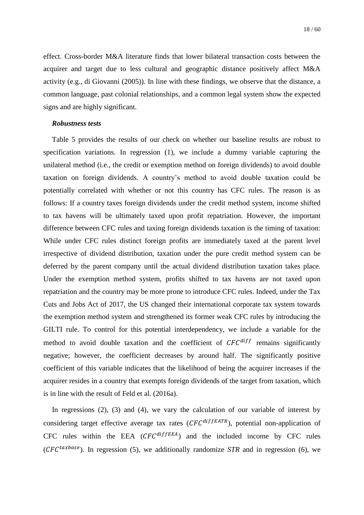effect. Cross-border M&A literature finds that lower bilateral transaction costs between the acquirer and target due to less cultural and geographic distance positively affect M&A activity (e.g., di Giovanni (2005)). In line with these findings, we observe that the distance, a common language, past colonial relationships, and a common legal system show the expected signs and are highly significant.

#### *Robustness tests*

[Table 5](#page-44-0) provides the results of our check on whether our baseline results are robust to specification variations. In regression (1), we include a dummy variable capturing the unilateral method (i.e., the credit or exemption method on foreign dividends) to avoid double taxation on foreign dividends. A country's method to avoid double taxation could be potentially correlated with whether or not this country has CFC rules. The reason is as follows: If a country taxes foreign dividends under the credit method system, income shifted to tax havens will be ultimately taxed upon profit repatriation. However, the important difference between CFC rules and taxing foreign dividends taxation is the timing of taxation: While under CFC rules distinct foreign profits are immediately taxed at the parent level irrespective of dividend distribution, taxation under the pure credit method system can be deferred by the parent company until the actual dividend distribution taxation takes place. Under the exemption method system, profits shifted to tax havens are not taxed upon repatriation and the country may be more prone to introduce CFC rules. Indeed, under the Tax Cuts and Jobs Act of 2017, the US changed their international corporate tax system towards the exemption method system and strengthened its former weak CFC rules by introducing the GILTI rule. To control for this potential interdependency, we include a variable for the method to avoid double taxation and the coefficient of  $CFC^{diff}$  remains significantly negative; however, the coefficient decreases by around half. The significantly positive coefficient of this variable indicates that the likelihood of being the acquirer increases if the acquirer resides in a country that exempts foreign dividends of the target from taxation, which is in line with the result of Feld et al. (2016a).

In regressions (2), (3) and (4), we vary the calculation of our variable of interest by considering target effective average tax rates  $(CFC^{diffEATR})$ , potential non-application of CFC rules within the EEA  $(CFC^{diffEEA})$  and the included income by CFC rules ( $CFC^{taxbase}$ ). In regression (5), we additionally randomize *STR* and in regression (6), we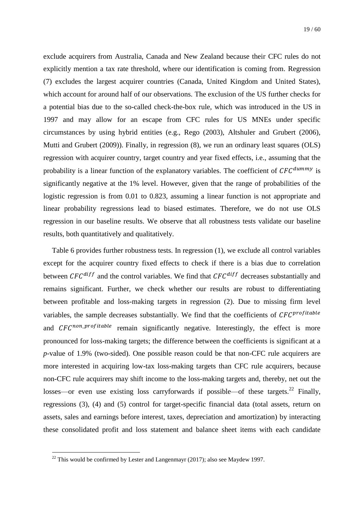exclude acquirers from Australia, Canada and New Zealand because their CFC rules do not explicitly mention a tax rate threshold, where our identification is coming from. Regression (7) excludes the largest acquirer countries (Canada, United Kingdom and United States), which account for around half of our observations. The exclusion of the US further checks for a potential bias due to the so-called check-the-box rule, which was introduced in the US in 1997 and may allow for an escape from CFC rules for US MNEs under specific circumstances by using hybrid entities (e.g., Rego (2003), Altshuler and Grubert (2006), Mutti and Grubert (2009)). Finally, in regression (8), we run an ordinary least squares (OLS) regression with acquirer country, target country and year fixed effects, i.e., assuming that the probability is a linear function of the explanatory variables. The coefficient of  $CFC^{dummy}$  is significantly negative at the 1% level. However, given that the range of probabilities of the logistic regression is from 0.01 to 0.823, assuming a linear function is not appropriate and linear probability regressions lead to biased estimates. Therefore, we do not use OLS regression in our baseline results. We observe that all robustness tests validate our baseline results, both quantitatively and qualitatively.

[Table 6](#page-45-0) provides further robustness tests. In regression (1), we exclude all control variables except for the acquirer country fixed effects to check if there is a bias due to correlation between  $CFC^{diff}$  and the control variables. We find that  $CFC^{diff}$  decreases substantially and remains significant. Further, we check whether our results are robust to differentiating between profitable and loss-making targets in regression (2). Due to missing firm level variables, the sample decreases substantially. We find that the coefficients of  $CFC^{profitable}$ and  $CFC^{non-profitable}$  remain significantly negative. Interestingly, the effect is more pronounced for loss-making targets; the difference between the coefficients is significant at a *p*-value of 1.9% (two-sided). One possible reason could be that non-CFC rule acquirers are more interested in acquiring low-tax loss-making targets than CFC rule acquirers, because non-CFC rule acquirers may shift income to the loss-making targets and, thereby, net out the losses—or even use existing loss carryforwards if possible—of these targets.<sup>22</sup> Finally, regressions (3), (4) and (5) control for target-specific financial data (total assets, return on assets, sales and earnings before interest, taxes, depreciation and amortization) by interacting these consolidated profit and loss statement and balance sheet items with each candidate

1

 $^{22}$  This would be confirmed by Lester and Langenmayr (2017); also see Maydew 1997.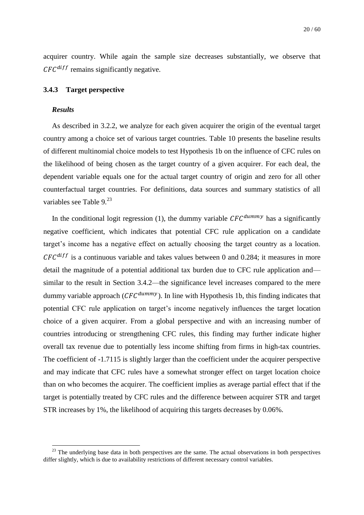<span id="page-20-1"></span>acquirer country. While again the sample size decreases substantially, we observe that  $CFC^{diff}$  remains significantly negative.

#### <span id="page-20-0"></span>**3.4.3 Target perspective**

#### *Results*

<u>.</u>

As described in [3.2.2,](#page-12-0) we analyze for each given acquirer the origin of the eventual target country among a choice set of various target countries. [Table 10](#page-51-0) presents the baseline results of different multinomial choice models to test Hypothesis 1b on the influence of CFC rules on the likelihood of being chosen as the target country of a given acquirer. For each deal, the dependent variable equals one for the actual target country of origin and zero for all other counterfactual target countries. For definitions, data sources and summary statistics of all variables see [Table 9.](#page-49-0)<sup>23</sup>

In the conditional logit regression (1), the dummy variable  $CFC^{dummy}$  has a significantly negative coefficient, which indicates that potential CFC rule application on a candidate target's income has a negative effect on actually choosing the target country as a location.  $CFC^{diff}$  is a continuous variable and takes values between 0 and 0.284; it measures in more detail the magnitude of a potential additional tax burden due to CFC rule application and similar to the result in Section [3.4.2—](#page-16-0)the significance level increases compared to the mere dummy variable approach ( $CFC^{dummy}$ ). In line with Hypothesis 1b, this finding indicates that potential CFC rule application on target's income negatively influences the target location choice of a given acquirer. From a global perspective and with an increasing number of countries introducing or strengthening CFC rules, this finding may further indicate higher overall tax revenue due to potentially less income shifting from firms in high-tax countries. The coefficient of -1.7115 is slightly larger than the coefficient under the acquirer perspective and may indicate that CFC rules have a somewhat stronger effect on target location choice than on who becomes the acquirer. The coefficient implies as average partial effect that if the target is potentially treated by CFC rules and the difference between acquirer STR and target STR increases by 1%, the likelihood of acquiring this targets decreases by 0.06%.

 $^{23}$  The underlying base data in both perspectives are the same. The actual observations in both perspectives differ slightly, which is due to availability restrictions of different necessary control variables.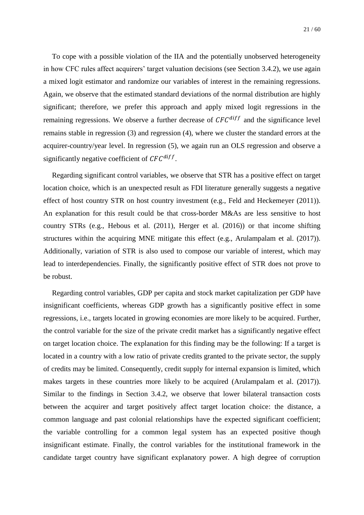To cope with a possible violation of the IIA and the potentially unobserved heterogeneity in how CFC rules affect acquirers' target valuation decisions (see Section [3.4.2\)](#page-16-0), we use again a mixed logit estimator and randomize our variables of interest in the remaining regressions. Again, we observe that the estimated standard deviations of the normal distribution are highly significant; therefore, we prefer this approach and apply mixed logit regressions in the remaining regressions. We observe a further decrease of  $CFC^{diff}$  and the significance level remains stable in regression (3) and regression (4), where we cluster the standard errors at the acquirer-country/year level. In regression (5), we again run an OLS regression and observe a significantly negative coefficient of  $CFC^{diff}$ .

Regarding significant control variables, we observe that STR has a positive effect on target location choice, which is an unexpected result as FDI literature generally suggests a negative effect of host country STR on host country investment (e.g., Feld and Heckemeyer (2011)). An explanation for this result could be that cross-border M&As are less sensitive to host country STRs (e.g., Hebous et al. (2011), Herger et al. (2016)) or that income shifting structures within the acquiring MNE mitigate this effect (e.g., Arulampalam et al. (2017)). Additionally, variation of STR is also used to compose our variable of interest, which may lead to interdependencies. Finally, the significantly positive effect of STR does not prove to be robust.

Regarding control variables, GDP per capita and stock market capitalization per GDP have insignificant coefficients, whereas GDP growth has a significantly positive effect in some regressions, i.e., targets located in growing economies are more likely to be acquired. Further, the control variable for the size of the private credit market has a significantly negative effect on target location choice. The explanation for this finding may be the following: If a target is located in a country with a low ratio of private credits granted to the private sector, the supply of credits may be limited. Consequently, credit supply for internal expansion is limited, which makes targets in these countries more likely to be acquired (Arulampalam et al. (2017)). Similar to the findings in Section [3.4.2,](#page-16-0) we observe that lower bilateral transaction costs between the acquirer and target positively affect target location choice: the distance, a common language and past colonial relationships have the expected significant coefficient; the variable controlling for a common legal system has an expected positive though insignificant estimate. Finally, the control variables for the institutional framework in the candidate target country have significant explanatory power. A high degree of corruption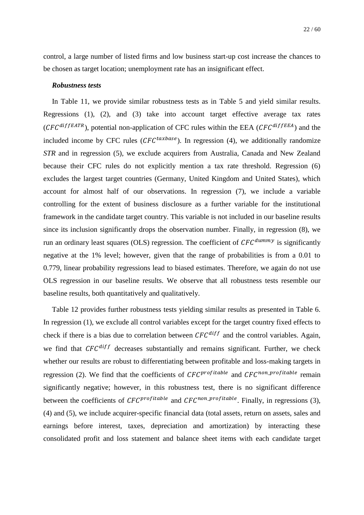control, a large number of listed firms and low business start-up cost increase the chances to be chosen as target location; unemployment rate has an insignificant effect.

#### *Robustness tests*

In [Table 11,](#page-52-0) we provide similar robustness tests as in [Table 5](#page-44-0) and yield similar results. Regressions (1), (2), and (3) take into account target effective average tax rates  $(CFC^{diffEATR})$ , potential non-application of CFC rules within the EEA  $(CFC^{diffEEA})$  and the included income by CFC rules ( $CFC^{taxbase}$ ). In regression (4), we additionally randomize *STR* and in regression (5), we exclude acquirers from Australia, Canada and New Zealand because their CFC rules do not explicitly mention a tax rate threshold. Regression (6) excludes the largest target countries (Germany, United Kingdom and United States), which account for almost half of our observations. In regression (7), we include a variable controlling for the extent of business disclosure as a further variable for the institutional framework in the candidate target country. This variable is not included in our baseline results since its inclusion significantly drops the observation number. Finally, in regression (8), we run an ordinary least squares (OLS) regression. The coefficient of  $CFC^{dummy}$  is significantly negative at the 1% level; however, given that the range of probabilities is from a 0.01 to 0.779, linear probability regressions lead to biased estimates. Therefore, we again do not use OLS regression in our baseline results. We observe that all robustness tests resemble our baseline results, both quantitatively and qualitatively.

[Table 12](#page-54-0) provides further robustness tests yielding similar results as presented in [Table 6.](#page-45-0) In regression (1), we exclude all control variables except for the target country fixed effects to check if there is a bias due to correlation between  $CFC^{diff}$  and the control variables. Again, we find that  $CFC^{diff}$  decreases substantially and remains significant. Further, we check whether our results are robust to differentiating between profitable and loss-making targets in regression (2). We find that the coefficients of  $CFC^{profitable}$  and  $CFC^{non-profitable}$  remain significantly negative; however, in this robustness test, there is no significant difference between the coefficients of  $CFC^{profitable}$  and  $CFC^{non\_profile}$ . Finally, in regressions (3), (4) and (5), we include acquirer-specific financial data (total assets, return on assets, sales and earnings before interest, taxes, depreciation and amortization) by interacting these consolidated profit and loss statement and balance sheet items with each candidate target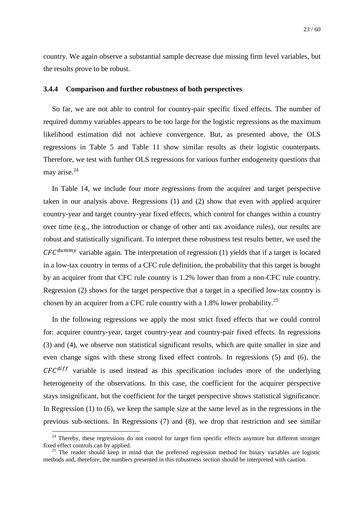<span id="page-23-1"></span>country. We again observe a substantial sample decrease due missing firm level variables, but the results prove to be robust.

#### <span id="page-23-0"></span>**3.4.4 Comparison and further robustness of both perspectives**

So far, we are not able to control for country-pair specific fixed effects. The number of required dummy variables appears to be too large for the logistic regressions as the maximum likelihood estimation did not achieve convergence. But, as presented above, the OLS regressions in [Table 5](#page-44-0) and [Table 11](#page-52-0) show similar results as their logistic counterparts. Therefore, we test with further OLS regressions for various further endogeneity questions that may arise. $^{24}$ 

In [Table 14,](#page-57-0) we include four more regressions from the acquirer and target perspective taken in our analysis above. Regressions (1) and (2) show that even with applied acquirer country-year and target country-year fixed effects, which control for changes within a country over time (e.g., the introduction or change of other anti tax avoidance rules), our results are robust and statistically significant. To interpret these robustness test results better, we used the  $CFC^{dummy}$  variable again. The interpretation of regression (1) yields that if a target is located in a low-tax country in terms of a CFC rule definition, the probability that this target is bought by an acquirer from that CFC rule country is 1.2% lower than from a non-CFC rule country. Regression (2) shows for the target perspective that a target in a specified low-tax country is chosen by an acquirer from a CFC rule country with a 1.8% lower probability.<sup>25</sup>

In the following regressions we apply the most strict fixed effects that we could control for: acquirer country-year, target country-year and country-pair fixed effects. In regressions (3) and (4), we observe non statistical significant results, which are quite smaller in size and even change signs with these strong fixed effect controls. In regressions (5) and (6), the  $CFC^{diff}$  variable is used instead as this specification includes more of the underlying heterogeneity of the observations. In this case, the coefficient for the acquirer perspective stays insignificant, but the coefficient for the target perspective shows statistical significance. In Regression (1) to (6), we keep the sample size at the same level as in the regressions in the previous sub-sections. In Regressions (7) and (8), we drop that restriction and see similar

1

<sup>&</sup>lt;sup>24</sup> Thereby, these regressions do not control for target firm specific effects anymore but different stronger fixed effect controls can by applied.

 $25$  The reader should keep in mind that the preferred regression method for binary variables are logistic methods and, therefore, the numbers presented in this robustness section should be interpreted with caution.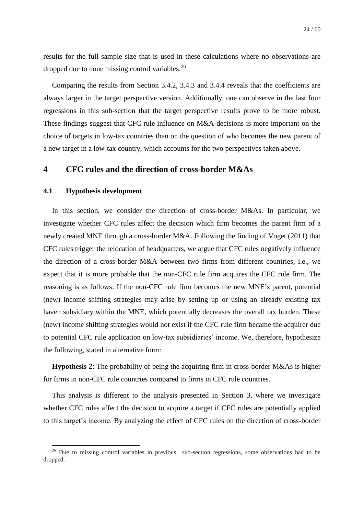results for the full sample size that is used in these calculations where no observations are dropped due to none missing control variables.<sup>26</sup>

Comparing the results from Section [3.4.2,](#page-16-0) [3.4.3](#page-20-0) and [3.4.4](#page-23-0) reveals that the coefficients are always larger in the target perspective version. Additionally, one can observe in the last four regressions in this sub-section that the target perspective results prove to be more robust. These findings suggest that CFC rule influence on M&A decisions is more important on the choice of targets in low-tax countries than on the question of who becomes the new parent of a new target in a low-tax country, which accounts for the two perspectives taken above.

## <span id="page-24-0"></span>**4 CFC rules and the direction of cross-border M&As**

#### <span id="page-24-1"></span>**4.1 Hypothesis development**

<u>.</u>

In this section, we consider the direction of cross-border M&As. In particular, we investigate whether CFC rules affect the decision which firm becomes the parent firm of a newly created MNE through a cross-border M&A. Following the finding of Voget (2011) that CFC rules trigger the relocation of headquarters, we argue that CFC rules negatively influence the direction of a cross-border M&A between two firms from different countries, i.e., we expect that it is more probable that the non-CFC rule firm acquires the CFC rule firm. The reasoning is as follows: If the non-CFC rule firm becomes the new MNE's parent, potential (new) income shifting strategies may arise by setting up or using an already existing tax haven subsidiary within the MNE, which potentially decreases the overall tax burden. These (new) income shifting strategies would not exist if the CFC rule firm became the acquirer due to potential CFC rule application on low-tax subsidiaries' income. We, therefore, hypothesize the following, stated in alternative form:

**Hypothesis 2**: The probability of being the acquiring firm in cross-border M&As is higher for firms in non-CFC rule countries compared to firms in CFC rule countries.

This analysis is different to the analysis presented in Section [3,](#page-7-0) where we investigate whether CFC rules affect the decision to acquire a target if CFC rules are potentially applied to this target's income. By analyzing the effect of CFC rules on the direction of cross-border

<sup>&</sup>lt;sup>26</sup> Due to missing control variables in previous sub-section regressions, some observations had to be dropped.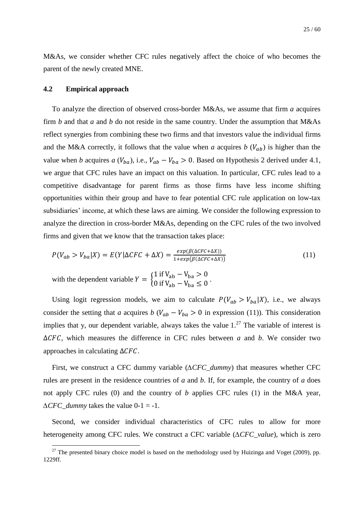<span id="page-25-0"></span>M&As, we consider whether CFC rules negatively affect the choice of who becomes the parent of the newly created MNE.

#### **4.2 Empirical approach**

<u>.</u>

To analyze the direction of observed cross-border M&As, we assume that firm *a* acquires firm *b* and that *a* and *b* do not reside in the same country. Under the assumption that M&As reflect synergies from combining these two firms and that investors value the individual firms and the M&A correctly, it follows that the value when *a* acquires *b*  $(V_{ab})$  is higher than the value when *b* acquires *a* ( $V_{ba}$ ), i.e.,  $V_{ab} - V_{ba} > 0$ . Based on Hypothesis 2 derived under [4.1,](#page-24-1) we argue that CFC rules have an impact on this valuation. In particular, CFC rules lead to a competitive disadvantage for parent firms as those firms have less income shifting opportunities within their group and have to fear potential CFC rule application on low-tax subsidiaries' income, at which these laws are aiming. We consider the following expression to analyze the direction in cross-border M&As, depending on the CFC rules of the two involved firms and given that we know that the transaction takes place:

$$
P(V_{ab} > V_{ba}|X) = E(Y|\Delta CFC + \Delta X) = \frac{exp(\beta(\Delta CFC + \Delta X))}{1 + exp(\beta(\Delta CFC + \Delta X))}
$$
\n(11)

with the dependent variable  $Y = \begin{cases} 1 \\ 0 \end{cases}$ 0 if  $V_{ab} - V_{ba} \le 0$ .

Using logit regression models, we aim to calculate  $P(V_{ab} > V_{ba}|X)$ , i.e., we always consider the setting that *a* acquires *b* ( $V_{ab} - V_{ba} > 0$  in expression (11)). This consideration implies that y, our dependent variable, always takes the value  $1.^{27}$  The variable of interest is  $\Delta CFC$ , which measures the difference in CFC rules between *a* and *b*. We consider two approaches in calculating  $\Delta CFC$ .

First, we construct a CFC dummy variable (*∆CFC\_dummy*) that measures whether CFC rules are present in the residence countries of *a* and *b*. If, for example, the country of *a* does not apply CFC rules (0) and the country of *b* applies CFC rules (1) in the M&A year, *∆CFC\_dummy* takes the value 0-1 = -1.

Second, we consider individual characteristics of CFC rules to allow for more heterogeneity among CFC rules. We construct a CFC variable (*∆CFC\_value*), which is zero

 $^{27}$  The presented binary choice model is based on the methodology used by Huizinga and Voget (2009), pp. 1229ff.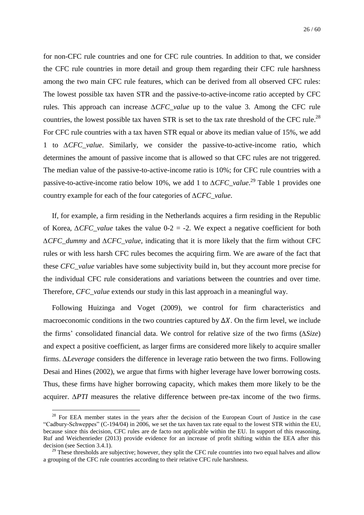for non-CFC rule countries and one for CFC rule countries. In addition to that, we consider the CFC rule countries in more detail and group them regarding their CFC rule harshness among the two main CFC rule features, which can be derived from all observed CFC rules: The lowest possible tax haven STR and the passive-to-active-income ratio accepted by CFC rules. This approach can increase *∆CFC\_value* up to the value 3. Among the CFC rule countries, the lowest possible tax haven STR is set to the tax rate threshold of the CFC rule.<sup>28</sup> For CFC rule countries with a tax haven STR equal or above its median value of 15%, we add 1 to *∆CFC\_value*. Similarly, we consider the passive-to-active-income ratio, which determines the amount of passive income that is allowed so that CFC rules are not triggered. The median value of the passive-to-active-income ratio is 10%; for CFC rule countries with a passive-to-active-income ratio below 10%, we add 1 to *∆CFC\_value*.<sup>29</sup> [Table 1](#page-40-0) provides one country example for each of the four categories of *∆CFC\_value*.

If, for example, a firm residing in the Netherlands acquires a firm residing in the Republic of Korea, *∆CFC\_value* takes the value 0-2 = -2. We expect a negative coefficient for both *∆CFC\_dummy* and *∆CFC\_value*, indicating that it is more likely that the firm without CFC rules or with less harsh CFC rules becomes the acquiring firm. We are aware of the fact that these *CFC\_value* variables have some subjectivity build in, but they account more precise for the individual CFC rule considerations and variations between the countries and over time. Therefore, *CFC\_value* extends our study in this last approach in a meaningful way.

Following Huizinga and Voget (2009), we control for firm characteristics and macroeconomic conditions in the two countries captured by  $\Delta X$ . On the firm level, we include the firms' consolidated financial data. We control for relative size of the two firms (*∆Size*) and expect a positive coefficient, as larger firms are considered more likely to acquire smaller firms. *∆Leverage* considers the difference in leverage ratio between the two firms. Following Desai and Hines (2002), we argue that firms with higher leverage have lower borrowing costs. Thus, these firms have higher borrowing capacity, which makes them more likely to be the acquirer. *∆PTI* measures the relative difference between pre-tax income of the two firms.

1

<sup>&</sup>lt;sup>28</sup> For EEA member states in the years after the decision of the European Court of Justice in the case "Cadbury-Schweppes" (C-194/04) in 2006, we set the tax haven tax rate equal to the lowest STR within the EU, because since this decision, CFC rules are de facto not applicable within the EU. In support of this reasoning, Ruf and Weichenrieder (2013) provide evidence for an increase of profit shifting within the EEA after this decision (see Section [3.4.1\)](#page-14-0).

 $29$  These thresholds are subjective; however, they split the CFC rule countries into two equal halves and allow a grouping of the CFC rule countries according to their relative CFC rule harshness.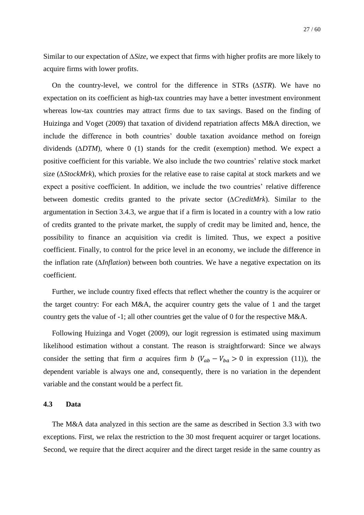Similar to our expectation of *∆Size*, we expect that firms with higher profits are more likely to acquire firms with lower profits.

On the country-level, we control for the difference in STRs (*∆STR*). We have no expectation on its coefficient as high-tax countries may have a better investment environment whereas low-tax countries may attract firms due to tax savings. Based on the finding of Huizinga and Voget (2009) that taxation of dividend repatriation affects M&A direction, we include the difference in both countries' double taxation avoidance method on foreign dividends (*∆DTM*), where 0 (1) stands for the credit (exemption) method. We expect a positive coefficient for this variable. We also include the two countries' relative stock market size (*∆StockMrk*), which proxies for the relative ease to raise capital at stock markets and we expect a positive coefficient. In addition, we include the two countries' relative difference between domestic credits granted to the private sector (*∆CreditMrk*). Similar to the argumentation in Section [3.4.3,](#page-20-0) we argue that if a firm is located in a country with a low ratio of credits granted to the private market, the supply of credit may be limited and, hence, the possibility to finance an acquisition via credit is limited. Thus, we expect a positive coefficient. Finally, to control for the price level in an economy, we include the difference in the inflation rate (*∆Inflation*) between both countries. We have a negative expectation on its coefficient.

Further, we include country fixed effects that reflect whether the country is the acquirer or the target country: For each M&A, the acquirer country gets the value of 1 and the target country gets the value of -1; all other countries get the value of 0 for the respective M&A.

Following Huizinga and Voget (2009), our logit regression is estimated using maximum likelihood estimation without a constant. The reason is straightforward: Since we always consider the setting that firm *a* acquires firm *b* ( $V_{ab} - V_{ba} > 0$  in expression (11)), the dependent variable is always one and, consequently, there is no variation in the dependent variable and the constant would be a perfect fit.

#### **4.3 Data**

The M&A data analyzed in this section are the same as described in Section [3.3](#page-13-0) with two exceptions. First, we relax the restriction to the 30 most frequent acquirer or target locations. Second, we require that the direct acquirer and the direct target reside in the same country as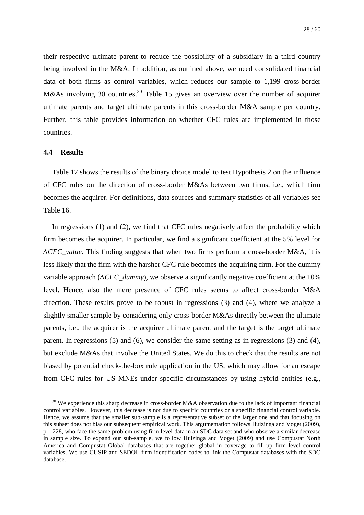<span id="page-28-1"></span>their respective ultimate parent to reduce the possibility of a subsidiary in a third country being involved in the M&A. In addition, as outlined above, we need consolidated financial data of both firms as control variables, which reduces our sample to 1,199 cross-border M&As involving 30 countries.<sup>30</sup> [Table 15](#page-58-0) gives an overview over the number of acquirer ultimate parents and target ultimate parents in this cross-border M&A sample per country. Further, this table provides information on whether CFC rules are implemented in those countries.

#### <span id="page-28-0"></span>**4.4 Results**

1

[Table 17](#page-60-0) shows the results of the binary choice model to test Hypothesis 2 on the influence of CFC rules on the direction of cross-border M&As between two firms, i.e., which firm becomes the acquirer. For definitions, data sources and summary statistics of all variables see [Table 16.](#page-59-0)

In regressions (1) and (2), we find that CFC rules negatively affect the probability which firm becomes the acquirer. In particular, we find a significant coefficient at the 5% level for *∆CFC\_value*. This finding suggests that when two firms perform a cross-border M&A, it is less likely that the firm with the harsher CFC rule becomes the acquiring firm. For the dummy variable approach (*∆CFC\_dummy*), we observe a significantly negative coefficient at the 10% level. Hence, also the mere presence of CFC rules seems to affect cross-border M&A direction. These results prove to be robust in regressions (3) and (4), where we analyze a slightly smaller sample by considering only cross-border M&As directly between the ultimate parents, i.e., the acquirer is the acquirer ultimate parent and the target is the target ultimate parent. In regressions (5) and (6), we consider the same setting as in regressions (3) and (4), but exclude M&As that involve the United States. We do this to check that the results are not biased by potential check-the-box rule application in the US, which may allow for an escape from CFC rules for US MNEs under specific circumstances by using hybrid entities (e.g.,

<sup>&</sup>lt;sup>30</sup> We experience this sharp decrease in cross-border M&A observation due to the lack of important financial control variables. However, this decrease is not due to specific countries or a specific financial control variable. Hence, we assume that the smaller sub-sample is a representative subset of the larger one and that focusing on this subset does not bias our subsequent empirical work. This argumentation follows Huizinga and Voget (2009), p. 1228, who face the same problem using firm level data in an SDC data set and who observe a similar decrease in sample size. To expand our sub-sample, we follow Huizinga and Voget (2009) and use Compustat North America and Compustat Global databases that are together global in coverage to fill-up firm level control variables. We use CUSIP and SEDOL firm identification codes to link the Compustat databases with the SDC database.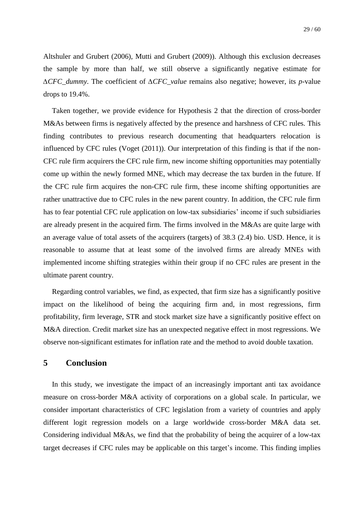Altshuler and Grubert (2006), Mutti and Grubert (2009)). Although this exclusion decreases the sample by more than half, we still observe a significantly negative estimate for *∆CFC\_dummy*. The coefficient of *∆CFC\_value* remains also negative; however, its *p*-value drops to 19.4%.

Taken together, we provide evidence for Hypothesis 2 that the direction of cross-border M&As between firms is negatively affected by the presence and harshness of CFC rules. This finding contributes to previous research documenting that headquarters relocation is influenced by CFC rules (Voget (2011)). Our interpretation of this finding is that if the non-CFC rule firm acquirers the CFC rule firm, new income shifting opportunities may potentially come up within the newly formed MNE, which may decrease the tax burden in the future. If the CFC rule firm acquires the non-CFC rule firm, these income shifting opportunities are rather unattractive due to CFC rules in the new parent country. In addition, the CFC rule firm has to fear potential CFC rule application on low-tax subsidiaries' income if such subsidiaries are already present in the acquired firm. The firms involved in the M&As are quite large with an average value of total assets of the acquirers (targets) of 38.3 (2.4) bio. USD. Hence, it is reasonable to assume that at least some of the involved firms are already MNEs with implemented income shifting strategies within their group if no CFC rules are present in the ultimate parent country.

Regarding control variables, we find, as expected, that firm size has a significantly positive impact on the likelihood of being the acquiring firm and, in most regressions, firm profitability, firm leverage, STR and stock market size have a significantly positive effect on M&A direction. Credit market size has an unexpected negative effect in most regressions. We observe non-significant estimates for inflation rate and the method to avoid double taxation.

## <span id="page-29-0"></span>**5 Conclusion**

In this study, we investigate the impact of an increasingly important anti tax avoidance measure on cross-border M&A activity of corporations on a global scale. In particular, we consider important characteristics of CFC legislation from a variety of countries and apply different logit regression models on a large worldwide cross-border M&A data set. Considering individual M&As, we find that the probability of being the acquirer of a low-tax target decreases if CFC rules may be applicable on this target's income. This finding implies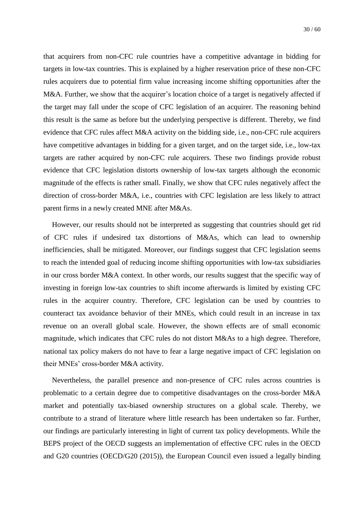that acquirers from non-CFC rule countries have a competitive advantage in bidding for targets in low-tax countries. This is explained by a higher reservation price of these non-CFC rules acquirers due to potential firm value increasing income shifting opportunities after the M&A. Further, we show that the acquirer's location choice of a target is negatively affected if the target may fall under the scope of CFC legislation of an acquirer. The reasoning behind this result is the same as before but the underlying perspective is different. Thereby, we find evidence that CFC rules affect M&A activity on the bidding side, i.e., non-CFC rule acquirers have competitive advantages in bidding for a given target, and on the target side, i.e., low-tax targets are rather acquired by non-CFC rule acquirers. These two findings provide robust evidence that CFC legislation distorts ownership of low-tax targets although the economic magnitude of the effects is rather small. Finally, we show that CFC rules negatively affect the direction of cross-border M&A, i.e., countries with CFC legislation are less likely to attract parent firms in a newly created MNE after M&As.

However, our results should not be interpreted as suggesting that countries should get rid of CFC rules if undesired tax distortions of M&As, which can lead to ownership inefficiencies, shall be mitigated. Moreover, our findings suggest that CFC legislation seems to reach the intended goal of reducing income shifting opportunities with low-tax subsidiaries in our cross border M&A context. In other words, our results suggest that the specific way of investing in foreign low-tax countries to shift income afterwards is limited by existing CFC rules in the acquirer country. Therefore, CFC legislation can be used by countries to counteract tax avoidance behavior of their MNEs, which could result in an increase in tax revenue on an overall global scale. However, the shown effects are of small economic magnitude, which indicates that CFC rules do not distort M&As to a high degree. Therefore, national tax policy makers do not have to fear a large negative impact of CFC legislation on their MNEs' cross-border M&A activity.

Nevertheless, the parallel presence and non-presence of CFC rules across countries is problematic to a certain degree due to competitive disadvantages on the cross-border M&A market and potentially tax-biased ownership structures on a global scale. Thereby, we contribute to a strand of literature where little research has been undertaken so far. Further, our findings are particularly interesting in light of current tax policy developments. While the BEPS project of the OECD suggests an implementation of effective CFC rules in the OECD and G20 countries (OECD/G20 (2015)), the European Council even issued a legally binding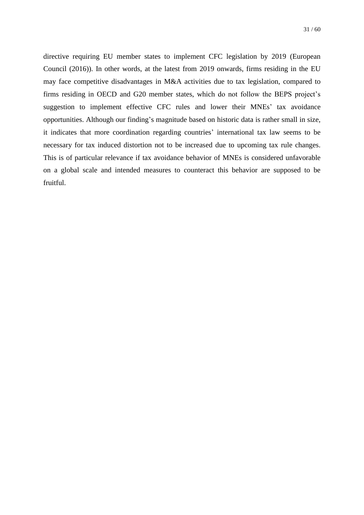directive requiring EU member states to implement CFC legislation by 2019 (European Council (2016)). In other words, at the latest from 2019 onwards, firms residing in the EU may face competitive disadvantages in M&A activities due to tax legislation, compared to firms residing in OECD and G20 member states, which do not follow the BEPS project's suggestion to implement effective CFC rules and lower their MNEs' tax avoidance opportunities. Although our finding's magnitude based on historic data is rather small in size, it indicates that more coordination regarding countries' international tax law seems to be necessary for tax induced distortion not to be increased due to upcoming tax rule changes. This is of particular relevance if tax avoidance behavior of MNEs is considered unfavorable on a global scale and intended measures to counteract this behavior are supposed to be fruitful.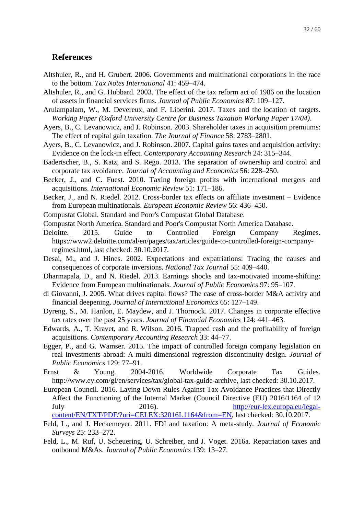## **References**

- Altshuler, R., and H. Grubert. 2006. Governments and multinational corporations in the race to the bottom. *Tax Notes International* 41: 459–474.
- Altshuler, R., and G. Hubbard. 2003. The effect of the tax reform act of 1986 on the location of assets in financial services firms. *Journal of Public Economics* 87: 109–127.
- Arulampalam, W., M. Devereux, and F. Liberini. 2017. Taxes and the location of targets. *Working Paper (Oxford University Centre for Business Taxation Working Paper 17/04)*.
- Ayers, B., C. Levanowicz, and J. Robinson. 2003. Shareholder taxes in acquisition premiums: The effect of capital gain taxation. *The Journal of Finance* 58: 2783–2801.
- Ayers, B., C. Levanowicz, and J. Robinson. 2007. Capital gains taxes and acquisition activity: Evidence on the lock-in effect. *Contemporary Accounting Research* 24: 315–344.
- Badertscher, B., S. Katz, and S. Rego. 2013. The separation of ownership and control and corporate tax avoidance. *Journal of Accounting and Economics* 56: 228–250.
- Becker, J., and C. Fuest. 2010. Taxing foreign profits with international mergers and acquisitions. *International Economic Review* 51: 171–186.
- Becker, J., and N. Riedel. 2012. Cross-border tax effects on affiliate investment Evidence from European multinationals. *European Economic Review* 56: 436–450.
- Compustat Global. Standard and Poor's Compustat Global Database.
- Compustat North America. Standard and Poor's Compustat North America Database.
- Deloitte. 2015. Guide to Controlled Foreign Company Regimes. https://www2.deloitte.com/al/en/pages/tax/articles/guide-to-controlled-foreign-companyregimes.html, last checked: 30.10.2017.
- Desai, M., and J. Hines. 2002. Expectations and expatriations: Tracing the causes and consequences of corporate inversions. *National Tax Journal* 55: 409–440.
- Dharmapala, D., and N. Riedel. 2013. Earnings shocks and tax-motivated income-shifting: Evidence from European multinationals. *Journal of Public Economics* 97: 95–107.
- di Giovanni, J. 2005. What drives capital flows? The case of cross-border M&A activity and financial deepening. *Journal of International Economics* 65: 127–149.
- Dyreng, S., M. Hanlon, E. Maydew, and J. Thornock. 2017. Changes in corporate effective tax rates over the past 25 years. *Journal of Financial Economics* 124: 441–463.
- Edwards, A., T. Kravet, and R. Wilson. 2016. Trapped cash and the profitability of foreign acquisitions. *Contemporary Accounting Research* 33: 44–77.
- Egger, P., and G. Wamser. 2015. The impact of controlled foreign company legislation on real investments abroad: A multi-dimensional regression discontinuity design. *Journal of Public Economics* 129: 77–91.
- Ernst & Young. 2004-2016. Worldwide Corporate Tax Guides. http://www.ey.com/gl/en/services/tax/global-tax-guide-archive, last checked: 30.10.2017.
- European Council. 2016. Laying Down Rules Against Tax Avoidance Practices that Directly Affect the Functioning of the Internal Market (Council Directive (EU) 2016/1164 of 12 July 2016). [http://eur-lex.europa.eu/legal](http://eur-lex.europa.eu/legal-content/EN/TXT/PDF/?uri=CELEX:32016L1164&from=EN)[content/EN/TXT/PDF/?uri=CELEX:32016L1164&from=EN,](http://eur-lex.europa.eu/legal-content/EN/TXT/PDF/?uri=CELEX:32016L1164&from=EN) last checked: 30.10.2017.
- Feld, L., and J. Heckemeyer. 2011. FDI and taxation: A meta-study. *Journal of Economic Surveys* 25: 233–272.
- Feld, L., M. Ruf, U. Scheuering, U. Schreiber, and J. Voget. 2016a. Repatriation taxes and outbound M&As. *Journal of Public Economics* 139: 13–27.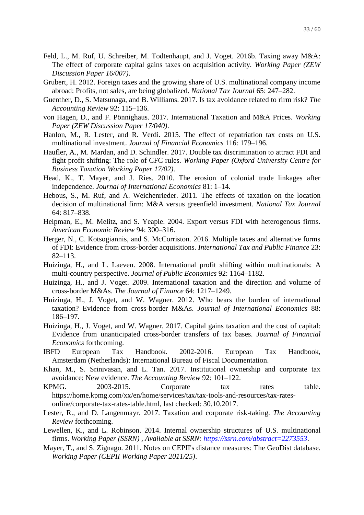- Feld, L., M. Ruf, U. Schreiber, M. Todtenhaupt, and J. Voget. 2016b. Taxing away M&A: The effect of corporate capital gains taxes on acquisition activity. *Working Paper (ZEW Discussion Paper 16/007)*.
- Grubert, H. 2012. Foreign taxes and the growing share of U.S. multinational company income abroad: Profits, not sales, are being globalized. *National Tax Journal* 65: 247–282.
- Guenther, D., S. Matsunaga, and B. Williams. 2017. Is tax avoidance related to rirm risk? *The Accounting Review* 92: 115–136.
- von Hagen, D., and F. Pönnighaus. 2017. International Taxation and M&A Prices. *Working Paper (ZEW Discussion Paper 17/040)*.
- Hanlon, M., R. Lester, and R. Verdi. 2015. The effect of repatriation tax costs on U.S. multinational investment. *Journal of Financial Economics* 116: 179–196.
- Haufler, A., M. Mardan, and D. Schindler. 2017. Double tax discrimination to attract FDI and fight profit shifting: The role of CFC rules. *Working Paper (Oxford University Centre for Business Taxation Working Paper 17/02)*.
- Head, K., T. Mayer, and J. Ries. 2010. The erosion of colonial trade linkages after independence. *Journal of International Economics* 81: 1–14.
- Hebous, S., M. Ruf, and A. Weichenrieder. 2011. The effects of taxation on the location decision of multinational firm: M&A versus greenfield investment. *National Tax Journal* 64: 817–838.
- Helpman, E., M. Melitz, and S. Yeaple. 2004. Export versus FDI with heterogenous firms. *American Economic Review* 94: 300–316.
- Herger, N., C. Kotsogiannis, and S. McCorriston. 2016. Multiple taxes and alternative forms of FDI: Evidence from cross-border acquisitions. *International Tax and Public Finance* 23: 82–113.
- Huizinga, H., and L. Laeven. 2008. International profit shifting within multinationals: A multi-country perspective. *Journal of Public Economics* 92: 1164–1182.
- Huizinga, H., and J. Voget. 2009. International taxation and the direction and volume of cross-border M&As. *The Journal of Finance* 64: 1217–1249.
- Huizinga, H., J. Voget, and W. Wagner. 2012. Who bears the burden of international taxation? Evidence from cross-border M&As. *Journal of International Economics* 88: 186–197.
- Huizinga, H., J. Voget, and W. Wagner. 2017. Capital gains taxation and the cost of capital: Evidence from unanticipated cross-border transfers of tax bases. *Journal of Financial Economics* forthcoming.
- IBFD European Tax Handbook. 2002-2016. European Tax Handbook, Amsterdam (Netherlands): International Bureau of Fiscal Documentation.
- Khan, M., S. Srinivasan, and L. Tan. 2017. Institutional ownership and corporate tax avoidance: New evidence. *The Accounting Review* 92: 101–122.
- KPMG. 2003-2015. Corporate tax rates table. https://home.kpmg.com/xx/en/home/services/tax/tax-tools-and-resources/tax-ratesonline/corporate-tax-rates-table.html, last checked: 30.10.2017.
- Lester, R., and D. Langenmayr. 2017. Taxation and corporate risk-taking. *The Accounting Review* forthcoming.
- Lewellen, K., and L. Robinson. 2014. Internal ownership structures of U.S. multinational firms. *Working Paper (SSRN) , Available at SSRN:<https://ssrn.com/abstract=2273553>*.
- Mayer, T., and S. Zignago. 2011. Notes on CEPII's distance measures: The GeoDist database. *Working Paper (CEPII Working Paper 2011/25)*.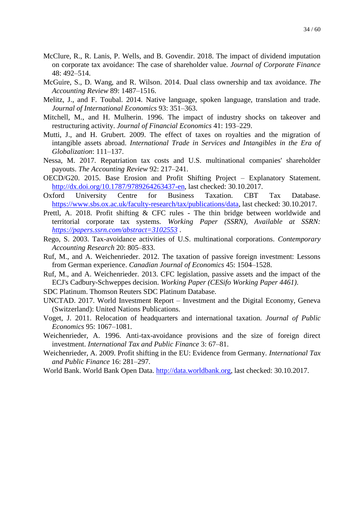- McClure, R., R. Lanis, P. Wells, and B. Govendir. 2018. The impact of dividend imputation on corporate tax avoidance: The case of shareholder value. *Journal of Corporate Finance* 48: 492–514.
- McGuire, S., D. Wang, and R. Wilson. 2014. Dual class ownership and tax avoidance. *The Accounting Review* 89: 1487–1516.
- Melitz, J., and F. Toubal. 2014. Native language, spoken language, translation and trade. *Journal of International Economics* 93: 351–363.
- Mitchell, M., and H. Mulherin. 1996. The impact of industry shocks on takeover and restructuring activity. *Journal of Financial Economics* 41: 193–229.
- Mutti, J., and H. Grubert. 2009. The effect of taxes on royalties and the migration of intangible assets abroad. *International Trade in Services and Intangibles in the Era of Globalization*: 111–137.
- Nessa, M. 2017. Repatriation tax costs and U.S. multinational companies' shareholder payouts. *The Accounting Review* 92: 217–241.
- OECD/G20. 2015. Base Erosion and Profit Shifting Project Explanatory Statement. [http://dx.doi.org/10.1787/9789264263437-en,](http://dx.doi.org/10.1787/9789264263437-en) last checked: 30.10.2017.
- Oxford University Centre for Business Taxation. CBT Tax Database. [https://www.sbs.ox.ac.uk/faculty-research/tax/publications/data,](https://www.sbs.ox.ac.uk/faculty-research/tax/publications/data) last checked: 30.10.2017.
- Prettl, A. 2018. Profit shifting & CFC rules The thin bridge between worldwide and territorial corporate tax systems. *Working Paper (SSRN), Available at SSRN: <https://papers.ssrn.com/abstract=3102553>* .
- Rego, S. 2003. Tax-avoidance activities of U.S. multinational corporations. *Contemporary Accounting Research* 20: 805–833.
- Ruf, M., and A. Weichenrieder. 2012. The taxation of passive foreign investment: Lessons from German experience. *Canadian Journal of Economics* 45: 1504–1528.
- Ruf, M., and A. Weichenrieder. 2013. CFC legislation, passive assets and the impact of the ECJ's Cadbury-Schweppes decision. *Working Paper (CESifo Working Paper 4461)*.
- SDC Platinum. Thomson Reuters SDC Platinum Database.
- UNCTAD. 2017. World Investment Report Investment and the Digital Economy, Geneva (Switzerland): United Nations Publications.
- Voget, J. 2011. Relocation of headquarters and international taxation. *Journal of Public Economics* 95: 1067–1081.
- Weichenrieder, A. 1996. Anti-tax-avoidance provisions and the size of foreign direct investment. *International Tax and Public Finance* 3: 67–81.
- Weichenrieder, A. 2009. Profit shifting in the EU: Evidence from Germany. *International Tax and Public Finance* 16: 281–297.
- World Bank. World Bank Open Data. [http://data.worldbank.org,](http://data.worldbank.org/) last checked: 30.10.2017.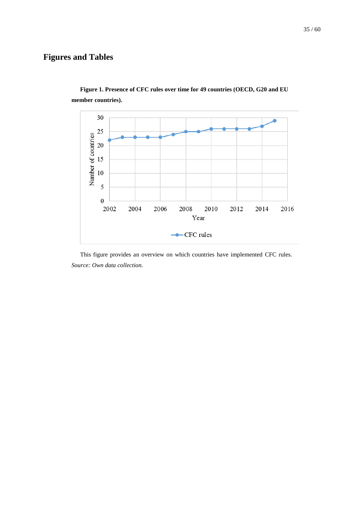## **Figures and Tables**



<span id="page-35-0"></span>**Figure 1. Presence of CFC rules over time for 49 countries (OECD, G20 and EU member countries).**

This figure provides an overview on which countries have implemented CFC rules. *Source: Own data collection.*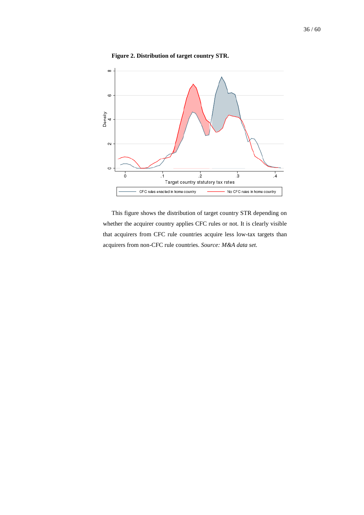

<span id="page-36-0"></span>**Figure 2. Distribution of target country STR.**

This figure shows the distribution of target country STR depending on whether the acquirer country applies CFC rules or not. It is clearly visible that acquirers from CFC rule countries acquire less low-tax targets than acquirers from non-CFC rule countries. *Source: M&A data set.*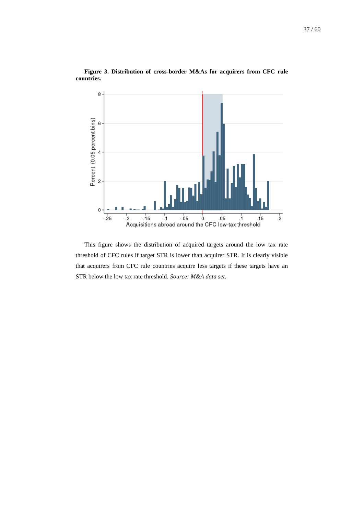

<span id="page-37-0"></span>**Figure 3. Distribution of cross-border M&As for acquirers from CFC rule countries.**

This figure shows the distribution of acquired targets around the low tax rate threshold of CFC rules if target STR is lower than acquirer STR. It is clearly visible that acquirers from CFC rule countries acquire less targets if these targets have an STR below the low tax rate threshold. *Source: M&A data set.*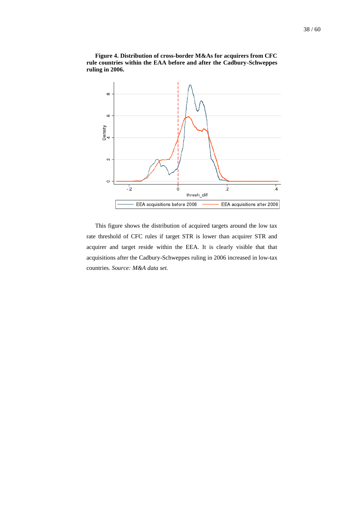

<span id="page-38-0"></span>**Figure 4. Distribution of cross-border M&As for acquirers from CFC rule countries within the EAA before and after the Cadbury-Schweppes ruling in 2006.**

This figure shows the distribution of acquired targets around the low tax rate threshold of CFC rules if target STR is lower than acquirer STR and acquirer and target reside within the EEA. It is clearly visible that that acquisitions after the Cadbury-Schweppes ruling in 2006 increased in low-tax countries. *Source: M&A data set.*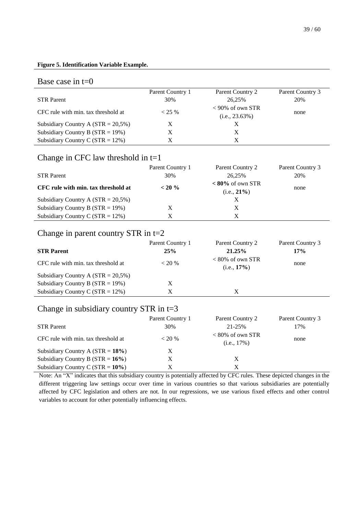#### <span id="page-39-0"></span>**Figure 5. Identification Variable Example.**

#### Base case in  $t=0$

|                                       | Parent Country 1 | Parent Country 2                         | Parent Country 3 |
|---------------------------------------|------------------|------------------------------------------|------------------|
| <b>STR</b> Parent                     | 30%              | 26.25%                                   | 20%              |
| CFC rule with min. tax threshold at   | $< 25\%$         | $< 90\%$ of own STR<br>$(i.e., 23.63\%)$ | none             |
| Subsidiary Country A $(STR = 20,5\%)$ | X                |                                          |                  |
| Subsidiary Country B ( $STR = 19\%)$  | X                |                                          |                  |
| Subsidiary Country C ( $STR = 12\%)$  | X                |                                          |                  |

## Change in CFC law threshold in  $t=1$

|                                       | Parent Country 1 | Parent Country 2                            | Parent Country 3 |
|---------------------------------------|------------------|---------------------------------------------|------------------|
| <b>STR</b> Parent                     | 30%              | 26.25%                                      | 20%              |
| CFC rule with min. tax threshold at   | $< 20 \%$        | $\langle 80\%$ of own STR<br>$(i.e., 21\%)$ | none             |
| Subsidiary Country A $(STR = 20,5\%)$ |                  |                                             |                  |
| Subsidiary Country B $(STR = 19\%)$   | Х                |                                             |                  |
| Subsidiary Country C ( $STR = 12\%$ ) | X                | X                                           |                  |

## Change in parent country STR in t=2

| <b>STR Parent</b>                     | Parent Country 1<br>25% | Parent Country 2<br>21.25%            | Parent Country 3<br>17% |
|---------------------------------------|-------------------------|---------------------------------------|-------------------------|
| CFC rule with min. tax threshold at   | $<$ 20 %                | $< 80\%$ of own STR<br>$(i.e., 17\%)$ | none                    |
| Subsidiary Country A $(STR = 20,5\%)$ |                         |                                       |                         |
| Subsidiary Country B ( $STR = 19\%$ ) | X                       |                                       |                         |
| Subsidiary Country C ( $STR = 12\%$ ) | X                       | X                                     |                         |

## Change in subsidiary country STR in t=3

|                                       | Parent Country 1 | Parent Country 2                            | Parent Country 3 |
|---------------------------------------|------------------|---------------------------------------------|------------------|
| <b>STR Parent</b>                     | 30%              | 21-25%                                      | 17%              |
| CFC rule with min. tax threshold at   | $< 20\%$         | $\langle 80\%$ of own STR<br>$(i.e., 17\%)$ | none             |
| Subsidiary Country A $(STR = 18\%)$   | X                |                                             |                  |
| Subsidiary Country B ( $STR = 16\%$ ) | X                | X                                           |                  |
| Subsidiary Country C ( $STR = 10\%$ ) | Х                |                                             |                  |

Note: An "X" indicates that this subsidiary country is potentially affected by CFC rules. These depicted changes in the different triggering law settings occur over time in various countries so that various subsidiaries are potentially affected by CFC legislation and others are not. In our regressions, we use various fixed effects and other control variables to account for other potentially influencing effects.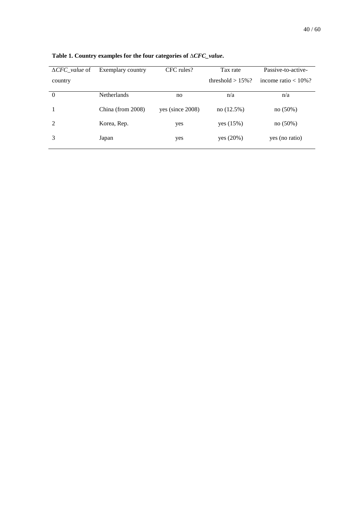| $\triangle CFC$ value of | Exemplary country  | CFC rules?          | Tax rate             | Passive-to-active-      |
|--------------------------|--------------------|---------------------|----------------------|-------------------------|
| country                  |                    |                     | threshold $> 15\%$ ? | income ratio $< 10\%$ ? |
| $\theta$                 | <b>Netherlands</b> | no                  | n/a                  | n/a                     |
|                          | China (from 2008)  | yes (since $2008$ ) | no(12.5%)            | no(50%)                 |
| $\mathcal{L}$            | Korea, Rep.        | yes                 | yes (15%)            | no(50%)                 |
|                          | Japan              | yes                 | yes (20%)            | yes (no ratio)          |

<span id="page-40-0"></span>**Table 1. Country examples for the four categories of** *∆CFC\_value***.**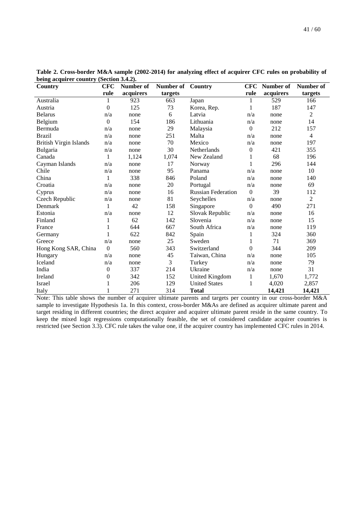| $\frac{1}{2}$ acquirer country<br>Country | <b>CFC</b>       | Number of | Number of | Country                   | <b>CFC</b>     | Number of | Number of      |
|-------------------------------------------|------------------|-----------|-----------|---------------------------|----------------|-----------|----------------|
|                                           | rule             | acquirers | targets   |                           | rule           | acquirers | targets        |
| Australia                                 | 1                | 923       | 663       | Japan                     | 1              | 529       | 166            |
| Austria                                   | $\boldsymbol{0}$ | 125       | 73        | Korea, Rep.               | 1              | 187       | 147            |
| <b>Belarus</b>                            | n/a              | none      | 6         | Latvia                    | n/a            | none      | $\overline{2}$ |
| Belgium                                   | $\boldsymbol{0}$ | 154       | 186       | Lithuania                 | n/a            | none      | 14             |
| Bermuda                                   | n/a              | none      | 29        | Malaysia                  | $\overline{0}$ | 212       | 157            |
| <b>Brazil</b>                             | n/a              | none      | 251       | Malta                     | n/a            | none      | $\overline{4}$ |
| <b>British Virgin Islands</b>             | n/a              | none      | 70        | Mexico                    | n/a            | none      | 197            |
| Bulgaria                                  | n/a              | none      | 30        | Netherlands               | $\mathbf{0}$   | 421       | 355            |
| Canada                                    | 1                | 1,124     | 1,074     | New Zealand               | 1              | 68        | 196            |
| Cayman Islands                            | n/a              | none      | 17        | Norway                    | 1              | 296       | 144            |
| Chile                                     | n/a              | none      | 95        | Panama                    | n/a            | none      | 10             |
| China                                     | 1                | 338       | 846       | Poland                    | n/a            | none      | 140            |
| Croatia                                   | n/a              | none      | 20        | Portugal                  | n/a            | none      | 69             |
| Cyprus                                    | n/a              | none      | 16        | <b>Russian Federation</b> | $\Omega$       | 39        | 112            |
| Czech Republic                            | n/a              | none      | 81        | Seychelles                | n/a            | none      | $\overline{2}$ |
| Denmark                                   | 1                | 42        | 158       | Singapore                 | $\overline{0}$ | 490       | 271            |
| Estonia                                   | n/a              | none      | 12        | Slovak Republic           | n/a            | none      | 16             |
| Finland                                   | $\mathbf{1}$     | 62        | 142       | Slovenia                  | n/a            | none      | 15             |
| France                                    | 1                | 644       | 667       | South Africa              | n/a            | none      | 119            |
| Germany                                   | 1                | 622       | 842       | Spain                     | 1              | 324       | 360            |
| Greece                                    | n/a              | none      | 25        | Sweden                    | 1              | 71        | 369            |
| Hong Kong SAR, China                      | $\boldsymbol{0}$ | 560       | 343       | Switzerland               | $\Omega$       | 344       | 209            |
| Hungary                                   | n/a              | none      | 45        | Taiwan, China             | n/a            | none      | 105            |
| Iceland                                   | n/a              | none      | 3         | Turkey                    | n/a            | none      | 79             |
| India                                     | 0                | 337       | 214       | Ukraine                   | n/a            | none      | 31             |
| Ireland                                   | 0                | 342       | 152       | United Kingdom            | 1              | 1,670     | 1,772          |
| Israel                                    | 1                | 206       | 129       | <b>United States</b>      | 1              | 4,020     | 2,857          |
| Italy                                     |                  | 271       | 314       | <b>Total</b>              |                | 14,421    | 14,421         |

<span id="page-41-0"></span>**Table 2. Cross-border M&A sample (2002-2014) for analyzing effect of acquirer CFC rules on probability of being acquirer country (Section [3.4.2\)](#page-16-0).**

Note: This table shows the number of acquirer ultimate parents and targets per country in our cross-border M&A sample to investigate Hypothesis 1a. In this context, cross-border M&As are defined as acquirer ultimate parent and target residing in different countries; the direct acquirer and acquirer ultimate parent reside in the same country. To keep the mixed logit regressions computationally feasible, the set of considered candidate acquirer countries is restricted (see Section [3.3\)](#page-13-0). CFC rule takes the value one, if the acquirer country has implemented CFC rules in 2014.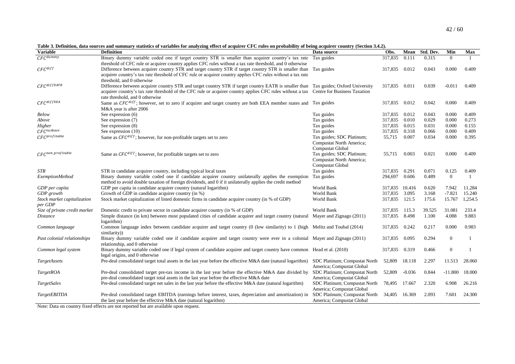<span id="page-42-1"></span>**Table 3. Definition, data sources and summary statistics of variables for analyzing effect of acquirer CFC rules on probability of being acquirer country (Section [3.4.2\)](#page-16-1).**

| <b>Variable</b>                  | <b>Definition</b>                                                                                                                      | Data source                   | Obs.           | Mean     | Std. Dev. | Min          | Max          |
|----------------------------------|----------------------------------------------------------------------------------------------------------------------------------------|-------------------------------|----------------|----------|-----------|--------------|--------------|
| $CFC^{dummy}$                    | Binary dummy variable coded one if target country STR is smaller than acquirer country's tax rate                                      | Tax guides                    | 317,835        | 0.111    | 0.315     | $\Omega$     | -1           |
|                                  | threshold of CFC rule or acquirer country applies CFC rules without a tax rate threshold, and 0 otherwise                              |                               |                |          |           |              |              |
| $CFC^{diff}$                     | Difference between acquirer country STR and target country STR if target country STR is smaller than                                   | Tax guides                    | 317,835 0.012  |          | 0.043     | 0.000        | 0.409        |
|                                  | acquirer country's tax rate threshold of CFC rule or acquirer country applies CFC rules without a tax rate                             |                               |                |          |           |              |              |
|                                  | threshold, and 0 otherwise                                                                                                             |                               |                |          |           |              |              |
| $\mathit{CFC}^\mathit{diffEATR}$ | Difference between acquirer country STR and target country STR if target country EATR is smaller than Tax guides; Oxford University    |                               | 317,835 0.011  |          | 0.039     | $-0.011$     | 0.409        |
|                                  | acquirer country's tax rate threshold of the CFC rule or acquirer country applies CFC rules without a tax Centre for Business Taxation |                               |                |          |           |              |              |
|                                  | rate threshold, and 0 otherwise                                                                                                        |                               |                |          |           |              |              |
| $\mathcal{CFC}^{diffEEA}$        | Same as $CFC^{diff}$ ; however, set to zero if acquirer and target country are both EEA member states and Tax guides                   |                               | 317,835        | 0.012    | 0.042     | 0.000        | 0.409        |
|                                  | M&A year is after 2006                                                                                                                 |                               |                |          |           |              |              |
| <b>Below</b>                     | See expression (6)                                                                                                                     | Tax guides                    | 317.835 0.012  |          | 0.043     | 0.000        | 0.409        |
| Above                            | See expression (7)                                                                                                                     | Tax guides                    | 317,835        | 0.010    | 0.029     | 0.000        | 0.273        |
| Higher                           | See expression (8)                                                                                                                     | Tax guides                    | 317,835        | 0.015    | 0.031     | 0.000        | 0.155        |
| $CFC$ taxbase                    | See expression (10)                                                                                                                    | Tax guides                    | 317,835        | 0.318    | 0.066     | 0.000        | 0.409        |
| $CFC$ profitable                 | Same as $CFC^{diff}$ ; however, for non-profitable targets set to zero                                                                 | Tax guides; SDC Platinum;     | 55,715         | 0.007    | 0.034     | 0.000        | 0.395        |
|                                  |                                                                                                                                        | Compustat North America;      |                |          |           |              |              |
|                                  |                                                                                                                                        | <b>Compustat Global</b>       |                |          |           |              |              |
| $\mathcal{C}FC^{non\_profile}$   | Same as $CFC^{diff}$ ; however, for profitable targets set to zero                                                                     | Tax guides; SDC Platinum;     | 55,715         | 0.003    | 0.021     | 0.000        | 0.409        |
|                                  |                                                                                                                                        | Compustat North America;      |                |          |           |              |              |
|                                  |                                                                                                                                        | Compustat Global              |                |          |           |              |              |
| STR                              | STR in candidate acquirer country, including typical local taxes                                                                       | Tax guides                    | 317,835 0.291  |          | 0.071     | 0.125        | 0.409        |
| <b>ExemptionMethod</b>           | Binary dummy variable coded one if candidate acquirer country unilaterally applies the exemption                                       | Tax guides                    | 294,697        | 0.606    | 0.489     | $\theta$     | 1            |
|                                  | method to avoid double taxation of foreign dividends, and 0 if it unilaterally applies the credit method                               |                               |                |          |           |              |              |
| GDP per capita                   | GDP per capita in candidate acquirer country (natural logarithm)                                                                       | World Bank                    | 317,835 10.416 |          | 0.620     | 7.942        | 11.284       |
| GDP growth                       | Growth of GDP in candidate acquirer country (in %)                                                                                     | World Bank                    | 317,835 3.095  |          | 3.168     | $-7.821$     | 15.240       |
| Stock market capitalization      | Stock market capitalization of listed domestic firms in candidate acquirer country (in % of GDP)                                       | World Bank                    | 317,835        | 121.5    | 175.6     | 15.767       | 1,254.5      |
| per GDP                          |                                                                                                                                        |                               |                |          |           |              |              |
| Size of private credit market    | Domestic credit to private sector in candidate acquirer country (in % of GDP)                                                          | World Bank                    | 317,835 115.3  |          | 39.525    | 31.081       | 233.4        |
| <i>Distance</i>                  | Simple distance (in km) between most populated cities of candidate acquirer and target country (natural Mayer and Zignago (2011)       |                               | 317,835        | 8.498    | 1.100     | 4.088        | 9.883        |
|                                  | logarithm)                                                                                                                             |                               |                |          |           |              |              |
| Common language                  | Common language index between candidate acquirer and target country (0 (low similarity) to 1 (high Melitz and Toubal (2014)            |                               | 317,835        | 0.242    | 0.217     | 0.000        | 0.983        |
|                                  | similarity))                                                                                                                           |                               |                |          |           |              |              |
| Past colonial relationships      | Binary dummy variable coded one if candidate acquirer and target country were ever in a colonial Mayer and Zignago (2011)              |                               | 317,835        | 0.095    | 0.294     | $\mathbf{0}$ | $\mathbf{1}$ |
|                                  | relationship, and 0 otherwise                                                                                                          |                               |                |          |           |              |              |
| Common legal system              | Binary dummy variable coded one if legal system of candidate acquirer and target country have common Head et al. (2010)                |                               | 317,835        | 0.319    | 0.466     | $\mathbf{0}$ | -1           |
|                                  | legal origins, and 0 otherwise                                                                                                         |                               |                |          |           |              |              |
| TargetAssets                     | Pre-deal consolidated target total assets in the last year before the effective M&A date (natural logarithm)                           | SDC Platinum; Compustat North | 52,809         | 18.118   | 2.297     | 11.513       | 28.060       |
|                                  |                                                                                                                                        | America; Compustat Global     |                |          |           |              |              |
| TargetROA                        | Pre-deal consolidated target pre-tax income in the last year before the effective M&A date divided by                                  | SDC Platinum; Compustat North | 52,809         | $-0.036$ | 0.844     | $-11.800$    | 18.000       |
|                                  | pre-deal consolidated target total assets in the last year before the effective M&A date                                               | America; Compustat Global     |                |          |           |              |              |
| TargetSales                      | Pre-deal consolidated target net sales in the last year before the effective M&A date (natural logarithm)                              | SDC Platinum; Compustat North | 78,495         | 17.667   | 2.320     | 6.908        | 26.216       |
|                                  |                                                                                                                                        | America; Compustat Global     |                |          |           |              |              |
| <b>TargetEBITDA</b>              | Pre-deal consolidated target EBITDA (earnings before interest, taxes, depreciation and amortization) in                                | SDC Platinum; Compustat North | 34,405         | 16.369   | 2.093     | 7.601        | 24.300       |
|                                  | the last year before the effective M&A date (natural logarithm)                                                                        | America; Compustat Global     |                |          |           |              |              |

<span id="page-42-0"></span>Note: Data on country fixed effects are not reported but are available upon request.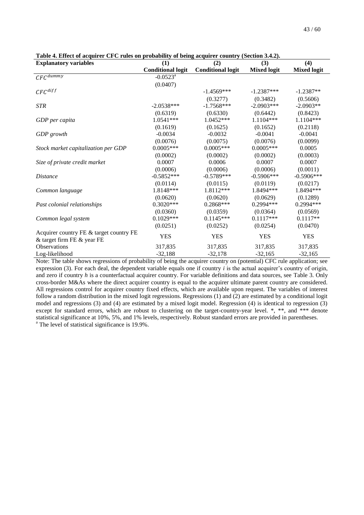| <b>Explanatory variables</b>            | (1)                      | (2)                      | (3)                | (4)                |
|-----------------------------------------|--------------------------|--------------------------|--------------------|--------------------|
|                                         | <b>Conditional logit</b> | <b>Conditional logit</b> | <b>Mixed logit</b> | <b>Mixed logit</b> |
| $CFC^{dummy}$                           | $-0.0523$ <sup>a</sup>   |                          |                    |                    |
|                                         | (0.0407)                 |                          |                    |                    |
| $CFC^{diff}$                            |                          | $-1.4569***$             | $-1.2387***$       | $-1.2387**$        |
|                                         |                          | (0.3277)                 | (0.3482)           | (0.5606)           |
| <b>STR</b>                              | $-2.0538***$             | $-1.7568***$             | $-2.0903***$       | $-2.0903**$        |
|                                         | (0.6319)                 | (0.6330)                 | (0.6442)           | (0.8423)           |
| GDP per capita                          | 1.0541***                | 1.0452***                | $1.1104***$        | 1.1104***          |
|                                         | (0.1619)                 | (0.1625)                 | (0.1652)           | (0.2118)           |
| GDP growth                              | $-0.0034$                | $-0.0032$                | $-0.0041$          | $-0.0041$          |
|                                         | (0.0076)                 | (0.0075)                 | (0.0076)           | (0.0099)           |
| Stock market capitalization per GDP     | $0.0005***$              | $0.0005***$              | $0.0005***$        | 0.0005             |
|                                         | (0.0002)                 | (0.0002)                 | (0.0002)           | (0.0003)           |
| Size of private credit market           | 0.0007                   | 0.0006                   | 0.0007             | 0.0007             |
|                                         | (0.0006)                 | (0.0006)                 | (0.0006)           | (0.0011)           |
| <i>Distance</i>                         | $-0.5852***$             | $-0.5789***$             | $-0.5906***$       | $-0.5906$ ***      |
|                                         | (0.0114)                 | (0.0115)                 | (0.0119)           | (0.0217)           |
| Common language                         | 1.8148***                | 1.8112***                | 1.8494 ***         | 1.8494 ***         |
|                                         | (0.0620)                 | (0.0620)                 | (0.0629)           | (0.1289)           |
| Past colonial relationships             | $0.3020***$              | $0.2868***$              | $0.2994***$        | $0.2994***$        |
|                                         | (0.0360)                 | (0.0359)                 | (0.0364)           | (0.0569)           |
| Common legal system                     | $0.1029***$              | $0.1145***$              | $0.1117***$        | $0.1117**$         |
|                                         | (0.0251)                 | (0.0252)                 | (0.0254)           | (0.0470)           |
| Acquirer country FE & target country FE | <b>YES</b>               | <b>YES</b>               | <b>YES</b>         | <b>YES</b>         |
| & target firm FE & year FE              |                          |                          |                    |                    |
| <b>Observations</b>                     | 317,835                  | 317,835                  | 317,835            | 317,835            |
| Log-likelihood                          | $-32,188$                | $-32,178$                | $-32,165$          | $-32,165$          |

<span id="page-43-0"></span>**Table 4. Effect of acquirer CFC rules on probability of being acquirer country (Sectio[n 3.4.2\)](#page-16-0).**

Note: The table shows regressions of probability of being the acquirer country on (potential) CFC rule application; see expression (3). For each deal, the dependent variable equals one if country *i* is the actual acquirer's country of origin, and zero if country *h* is a counterfactual acquirer country. For variable definitions and data sources, see [Table 3.](#page-42-0) Only cross-border M&As where the direct acquirer country is equal to the acquirer ultimate parent country are considered. All regressions control for acquirer country fixed effects, which are available upon request. The variables of interest follow a random distribution in the mixed logit regressions. Regressions (1) and (2) are estimated by a conditional logit model and regressions (3) and (4) are estimated by a mixed logit model. Regression (4) is identical to regression (3) except for standard errors, which are robust to clustering on the target-country-year level. \*, \*\*, and \*\*\* denote statistical significance at 10%, 5%, and 1% levels, respectively. Robust standard errors are provided in parentheses. <sup>a</sup> The level of statistical significance is 19.9%.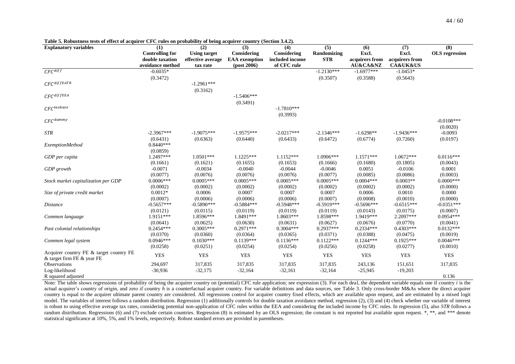| <b>Explanatory variables</b>            | (1)                    | (2)                 | (3)                  | (4)             | (5)          | (6)            | (7)                     | (8)                   |
|-----------------------------------------|------------------------|---------------------|----------------------|-----------------|--------------|----------------|-------------------------|-----------------------|
|                                         | <b>Controlling for</b> | <b>Using target</b> | Considering          | Considering     | Randomizing  | Excl.          | Excl.                   | <b>OLS</b> regression |
|                                         | double taxation        | effective average   | <b>EAA</b> exemption | included income | <b>STR</b>   | acquirers from | acquirers from          |                       |
|                                         | avoidance method       | tax rate            | $-post 2006)$        | of CFC rule     |              | AU&CA&NZ       | <b>CA&amp;UK&amp;US</b> |                       |
| $CFC$ <sup>diff</sup>                   | $-0.6035*$             |                     |                      |                 | $-1.2130***$ | $-1.6977***$   | $-1.0453*$              |                       |
|                                         | (0.3472)               |                     |                      |                 | (0.3507)     | (0.3588)       | (0.5643)                |                       |
| $CFC$ diffEATR                          |                        | $-1.2961***$        |                      |                 |              |                |                         |                       |
|                                         |                        | (0.3162)            |                      |                 |              |                |                         |                       |
| $CFC$ diffEEA                           |                        |                     | $-1.5406***$         |                 |              |                |                         |                       |
|                                         |                        |                     | (0.3491)             |                 |              |                |                         |                       |
| $CFC$ taxbase                           |                        |                     |                      | $-1.7810***$    |              |                |                         |                       |
|                                         |                        |                     |                      | (0.3993)        |              |                |                         |                       |
| $CFC^{dummy}$                           |                        |                     |                      |                 |              |                |                         | $-0.0108***$          |
|                                         |                        |                     |                      |                 |              |                |                         | (0.0020)              |
| <b>STR</b>                              | $-2.3967***$           | $-1.9075***$        | $-1.9575***$         | $-2.0217***$    | $-2.1346***$ | $-1.6298**$    | $-1.9436***$            | $-0.0093$             |
|                                         | (0.6431)               | (0.6363)            | (0.6440)             | (0.6433)        | (0.6472)     | (0.6774)       | (0.7260)                | (0.0197)              |
| <b>ExemptionMethod</b>                  | $0.8440***$            |                     |                      |                 |              |                |                         |                       |
|                                         | (0.0859)               |                     |                      |                 |              |                |                         |                       |
| GDP per capita                          | 1.2497***              | $1.0501***$         | $1.1225***$          | $1.1152***$     | $1.0906***$  | $1.1571***$    | $1.0672***$             | $0.0116***$           |
|                                         | (0.1661)               | (0.1621)            | (0.1655)             | (0.1653)        | (0.1666)     | (0.1680)       | (0.1805)                | (0.0043)              |
| GDP growth                              | $-0.0071$              | $-0.0034$           | $-0.0040$            | $-0.0044$       | $-0.0046$    | 0.0051         | $-0.0106$               | 0.0001                |
|                                         | (0.0077)               | (0.0076)            | (0.0076)             | (0.0076)        | (0.0077)     | (0.0085)       | (0.0086)                | (0.0003)              |
| Stock market capitalization per GDP     | $0.0006***$            | $0.0005***$         | $0.0005***$          | $0.0005***$     | $0.0005***$  | $0.0004***$    | $0.0003**$              | $0.0000***$           |
|                                         | (0.0002)               | (0.0002)            | (0.0002)             | (0.0002)        | (0.0002)     | (0.0002)       | (0.0002)                | (0.0000)              |
| Size of private credit market           | $0.0012*$              | 0.0006              | 0.0007               | 0.0007          | 0.0007       | 0.0006         | 0.0010                  | 0.0000                |
|                                         | (0.0007)               | (0.0006)            | (0.0006)             | (0.0006)        | (0.0007)     | (0.0008)       | (0.0010)                | (0.0000)              |
| <i>Distance</i>                         | $-0.5657***$           | $-0.5890***$        | $-0.5884***$         | $-0.5948***$    | $-0.5919***$ | $-0.5696***$   | $-0.6515***$            | $-0.0351***$          |
|                                         | (0.0121)               | (0.0115)            | (0.0119)             | (0.0119)        | (0.0119)     | (0.0143)       | (0.0175)                | (0.0007)              |
| Common language                         | 1.9151***              | 1.8596***           | 1.8491***            | $1.8603***$     | 1.8598***    | 1.9419***      | 2.2097***               | $0.0954***$           |
|                                         | (0.0641)               | (0.0625)            | (0.0630)             | (0.0631)        | (0.0627)     | (0.0676)       | (0.0770)                | (0.0041)              |
| Past colonial relationships             | $0.2454***$            | $0.3005***$         | $0.2971***$          | $0.3004***$     | $0.2937***$  | $0.2334***$    | $0.4303***$             | $0.0132***$           |
|                                         | (0.0370)               | (0.0360)            | (0.0364)             | (0.0365)        | (0.0371)     | (0.0388)       | (0.0475)                | (0.0019)              |
| Common legal system                     | $0.0946***$            | $0.1030***$         | $0.1139***$          | $0.1136***$     | $0.1122***$  | $0.1244***$    | $0.1925***$             | $0.0046***$           |
|                                         | (0.0258)               | (0.0251)            | (0.0254)             | (0.0254)        | (0.0256)     | (0.0258)       | (0.0277)                | (0.0010)              |
| Acquirer country FE & target country FE | <b>YES</b>             | <b>YES</b>          | <b>YES</b>           | <b>YES</b>      | <b>YES</b>   | <b>YES</b>     | <b>YES</b>              | <b>YES</b>            |
| & target firm FE & year FE              |                        |                     |                      |                 |              |                |                         |                       |
| Observations                            | 294,697                | 317,835             | 317,835              | 317,835         | 317,835      | 243,136        | 151,651                 | 317,835               |
| Log-likelihood                          | $-30,936$              | $-32,175$           | $-32,164$            | $-32,161$       | $-32,164$    | $-25,945$      | $-19,203$               |                       |
| R squared adjusted                      |                        |                     |                      |                 |              |                |                         | 0.136                 |

**Table 5. Robustness tests of effect of acquirer CFC rules on probability of being acquirer country (Sectio[n 3.4.2\)](#page-16-1).**

<span id="page-44-0"></span>Note: The table shows regressions of probability of being the acquirer country on (potential) CFC rule application; see expression (3). For each deal, the dependent variable equals one if country *i* is the actual acquirer's country of origin, and zero if country *h* is a counterfactual acquirer country. For variable definitions and data sources, see [Table 3.](#page-42-1) Only cross-border M&As where the direct acquirer country is equal to the acquirer ultimate parent country are considered. All regressions control for acquirer country fixed effects, which are available upon request, and are estimated by a mixed logit model. The variables of interest follows a random distribution. Regression (1) additionally controls for double taxation avoidance method, regression (2), (3) and (4) check whether our variable of interest is robust to using effective average tax rates, considering potential non-application of CFC rules within the EEA and considering the included income by CFC rules. In regression (5), also *STR* follows a random distribution. Regressions (6) and (7) exclude certain countries. Regression (8) is estimated by an OLS regression; the constant is not reported but available upon request. \*, \*\*, and \*\*\* denote statistical significance at 10%, 5%, and 1% levels, respectively. Robust standard errors are provided in parentheses.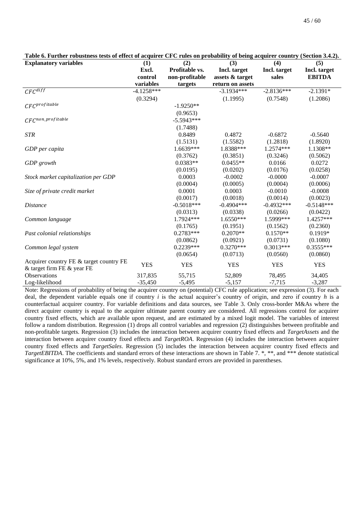| <b>Explanatory variables</b>            | (1)          | (2)            | (3)              | (4)          | (5)           |  |
|-----------------------------------------|--------------|----------------|------------------|--------------|---------------|--|
|                                         | Excl.        | Profitable vs. | Incl. target     | Incl. target | Incl. target  |  |
|                                         | control      | non-profitable | assets & target  | sales        | <b>EBITDA</b> |  |
|                                         | variables    | targets        | return on assets |              |               |  |
| $CFC$ <sup><math>diff</math></sup>      | $-4.1258***$ |                | $-3.1934***$     | $-2.8136***$ | $-2.1391*$    |  |
|                                         | (0.3294)     |                | (1.1995)         | (0.7548)     | (1.2086)      |  |
| $CFC$ profitable                        |              | $-1.9250**$    |                  |              |               |  |
|                                         |              | (0.9653)       |                  |              |               |  |
| $CFC^{non\_profile}$                    |              | $-5.5943***$   |                  |              |               |  |
|                                         |              | (1.7488)       |                  |              |               |  |
| <b>STR</b>                              |              | 0.8489         | 0.4872           | $-0.6872$    | $-0.5640$     |  |
|                                         |              | (1.5131)       | (1.5582)         | (1.2818)     | (1.8920)      |  |
| GDP per capita                          |              | 1.6639***      | 1.8388***        | 1.2574***    | 1.1308**      |  |
|                                         |              | (0.3762)       | (0.3851)         | (0.3246)     | (0.5062)      |  |
| GDP growth                              |              | $0.0383**$     | $0.0455**$       | 0.0166       | 0.0272        |  |
|                                         |              | (0.0195)       | (0.0202)         | (0.0176)     | (0.0258)      |  |
| Stock market capitalization per GDP     |              | 0.0003         | $-0.0002$        | $-0.0000$    | $-0.0007$     |  |
|                                         |              | (0.0004)       | (0.0005)         | (0.0004)     | (0.0006)      |  |
| Size of private credit market           |              | 0.0001         | 0.0003           | $-0.0010$    | $-0.0008$     |  |
|                                         |              | (0.0017)       | (0.0018)         | (0.0014)     | (0.0023)      |  |
| <i>Distance</i>                         |              | $-0.5018***$   | $-0.4904***$     | $-0.4932***$ | $-0.5148***$  |  |
|                                         |              | (0.0313)       | (0.0338)         | (0.0266)     | (0.0422)      |  |
| Common language                         |              | 1.7924 ***     | 1.6550***        | 1.5999***    | 1.4257***     |  |
|                                         |              | (0.1765)       | (0.1951)         | (0.1562)     | (0.2360)      |  |
| Past colonial relationships             |              | $0.2783***$    | $0.2070**$       | $0.1570**$   | $0.1919*$     |  |
|                                         |              | (0.0862)       | (0.0921)         | (0.0731)     | (0.1080)      |  |
| Common legal system                     |              | $0.2239***$    | $0.3270***$      | $0.3013***$  | 0.3555***     |  |
|                                         |              | (0.0654)       | (0.0713)         | (0.0560)     | (0.0860)      |  |
| Acquirer country FE & target country FE | <b>YES</b>   | <b>YES</b>     | <b>YES</b>       | <b>YES</b>   | <b>YES</b>    |  |
| & target firm FE & year FE              |              |                |                  |              |               |  |
| <b>Observations</b>                     | 317,835      | 55,715         | 52,809           | 78,495       | 34,405        |  |
| Log-likelihood                          | $-35,450$    | $-5,495$       | $-5,157$         | $-7,715$     | $-3,287$      |  |

<span id="page-45-0"></span>**Table 6. Further robustness tests of effect of acquirer CFC rules on probability of being acquirer country (Sectio[n 3.4.2\)](#page-16-0).**

Note: Regressions of probability of being the acquirer country on (potential) CFC rule application; see expression (3). For each deal, the dependent variable equals one if country *i* is the actual acquirer's country of origin, and zero if country *h* is a counterfactual acquirer country. For variable definitions and data sources, see [Table 3.](#page-42-0) Only cross-border M&As where the direct acquirer country is equal to the acquirer ultimate parent country are considered. All regressions control for acquirer country fixed effects, which are available upon request, and are estimated by a mixed logit model. The variables of interest follow a random distribution. Regression (1) drops all control variables and regression (2) distinguishes between profitable and non-profitable targets. Regression (3) includes the interaction between acquirer country fixed effects and *TargetAssets* and the interaction between acquirer country fixed effects and *TargetROA*. Regression (4) includes the interaction between acquirer country fixed effects and *TargetSales*. Regression (5) includes the interaction between acquirer country fixed effects and *TargetEBITDA*. The coefficients and standard errors of these interactions are shown in [Table 7.](#page-46-0) \*, \*\*, and \*\*\* denote statistical significance at 10%, 5%, and 1% levels, respectively. Robust standard errors are provided in parentheses.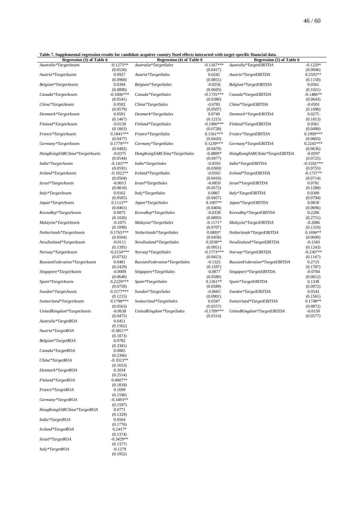<span id="page-46-0"></span>**Table 7. Supplemental regression results for candidate acquirer country fixed effects interacted with target-specific financial data.**

| Regression (3) of Table 6      |              | таже 7. бирренений гедгезями гезиня юг санинаас асуштег смингу няси спесез нисгасиси мни индег-эреспестнански иаш.<br>Regression (4) of Table 6 |              | Regression (5) of Table 6      |              |
|--------------------------------|--------------|-------------------------------------------------------------------------------------------------------------------------------------------------|--------------|--------------------------------|--------------|
| Australia*TargetAssets         | $-0.1275**$  | Australia*TargetSales                                                                                                                           | $-0.1167***$ | Australia*TargetEBITDA         | $-0.1229*$   |
|                                | (0.0526)     |                                                                                                                                                 | (0.0417)     |                                | (0.0696)     |
| Austria*TargetAssets           | 0.0927       | Austria*TargetSales                                                                                                                             | 0.0242       | Austria*TargetEBITDA           | 0.2592**     |
|                                |              |                                                                                                                                                 |              |                                |              |
|                                | (0.0960)     |                                                                                                                                                 | (0.0851)     |                                | (0.1150)     |
| Belgium*TargetAssets           | 0.0394       | Belgium*TargetSales                                                                                                                             | $-0.0256$    | Belgium*TargetEBITDA           | 0.0561       |
|                                | (0.0890)     |                                                                                                                                                 | (0.0693)     |                                | (0.1021)     |
| Canada*TargetAssets            | $-0.1606***$ | Canada*TargetSales                                                                                                                              | $-0.1735***$ | Canada*TargetEBITDA            | $-0.1486**$  |
|                                | (0.0541)     |                                                                                                                                                 | (0.0380)     |                                | (0.0643)     |
| China*TargetAssets             | 0.0502       | China*TargetSales                                                                                                                               | $-0.0781$    | China*TargetEBITDA             | $-0.0301$    |
|                                | (0.0579)     |                                                                                                                                                 | (0.0507)     |                                | (0.1096)     |
| Denmark*TargetAssets           | 0.0591       | Denmark*TargetSales                                                                                                                             | 0.0749       | Denmark*TargetEBITDA           | 0.0275       |
|                                | (0.1467)     |                                                                                                                                                 | (0.1215)     |                                | (0.1813)     |
| Finland*TargetAssets           | $-0.0130$    | Finland*TargetSales                                                                                                                             | $-0.1980***$ | Finland*TargetEBITDA           | 0.0561       |
|                                | (0.1863)     |                                                                                                                                                 | (0.0728)     |                                | (0.0490)     |
| France*TargetAssets            | $0.1841***$  | France*TargetSales                                                                                                                              | $0.1561***$  | France*TargetEBITDA            | 0.1999***    |
|                                | (0.0477)     |                                                                                                                                                 | (0.0420)     |                                | (0.0603)     |
| Germany*TargetAssets           | $0.1779***$  | Germany*TargetSales                                                                                                                             | $0.1239***$  | Germany*TargetEBITDA           | $0.2245***$  |
|                                | (0.0482)     |                                                                                                                                                 | (0.0479)     |                                | (0.0636)     |
|                                | $-0.0375$    |                                                                                                                                                 | $-0.0809*$   |                                | $-0.0597$    |
| HongKongSARChina*TargetAssets  |              | HongKongSARChina*TargetSales                                                                                                                    |              | HongKongSARChina*TargetEBITDA  |              |
|                                | (0.0544)     |                                                                                                                                                 | (0.0477)     |                                | (0.0725)     |
| India*TargetAssets             | $-0.1437**$  | India*TargetSales                                                                                                                               | $-0.0593$    | India*TargetEBITDA             | $-0.3182***$ |
|                                | (0.0591)     |                                                                                                                                                 | (0.0369)     |                                | (0.0755)     |
| Ireland*TargetAssets           | $-0.1022**$  | Ireland*TargetSales                                                                                                                             | $-0.0565$    | Ireland*TargetEBITDA           | -0.1737**    |
|                                | (0.0504)     |                                                                                                                                                 | (0.0410)     |                                | (0.0714)     |
| Israel*TargetAssets            | $-0.0013$    | Israel*TargetSales                                                                                                                              | $-0.0859$    | Israel*TargetEBITDA            | 0.0781       |
|                                | (0.0810)     |                                                                                                                                                 | (0.0572)     |                                | (0.1288)     |
| Italy*TargetAssets             | 0.0162       | Italy*TargetSales                                                                                                                               | 0.0067       | Italy*TargetEBITDA             | 0.0309       |
|                                | (0.0585)     |                                                                                                                                                 | (0.0457)     |                                | (0.0794)     |
| Japan*TargetAssets             | $0.1112**$   | Japan*TargetSales                                                                                                                               | $0.1007**$   | Japan*TargetEBITDA             | 0.0818       |
|                                | (0.0461)     |                                                                                                                                                 | (0.0404)     |                                | (0.0696)     |
| KoreaRep*TargetAssets          | 0.0875       | KoreaRep*TargetSales                                                                                                                            | $-0.0338$    | KoreaRep*TargetEBITDA          | 0.2206       |
|                                |              |                                                                                                                                                 |              |                                |              |
|                                | (0.1026)     |                                                                                                                                                 | (0.0893)     |                                | (0.2751)     |
| Malaysia*TargetAssets          | $-0.1075$    | Malaysia*TargetSales                                                                                                                            | $-0.1171*$   | Malaysia*TargetEBITDA          | $-0.2086$    |
|                                | (0.1090)     |                                                                                                                                                 | (0.0707)     |                                | (0.1310)     |
| Netherlands*TargetAssets       | $0.1765***$  | Netherlands*TargetSales                                                                                                                         | 0.0893*      | Netherlands*TargetEBITDA       | $0.1696**$   |
|                                | (0.0504)     |                                                                                                                                                 | (0.0458)     |                                | (0.0699)     |
| NewZealand*TargetAssets        | $-0.0111$    | NewZealand*TargetSales                                                                                                                          | $0.2038**$   | NewZealand*TargetEBITDA        | $-0.1343$    |
|                                | (0.1395)     |                                                                                                                                                 | (0.0951)     |                                | (0.1243)     |
| Norway*TargetAssets            | $-0.2134***$ | Norway*TargetSales                                                                                                                              | $-0.1773***$ | Norway*TargetEBITDA            | $-0.2307**$  |
|                                | (0.0732)     |                                                                                                                                                 | (0.0423)     |                                | (0.1167)     |
| RussianFederation*TargetAssets | 0.0481       | RussianFederation*TargetSales                                                                                                                   | $-0.1325$    | RussianFederation*TargetEBITDA | 0.2715       |
|                                | (0.2429)     |                                                                                                                                                 | (0.1597)     |                                | (0.1787)     |
| Singapore*TargetAssets         | $-0.0009$    | Singapore*TargetSales                                                                                                                           | $-0.0877$    | Singapore*TargetEBITDA         | $-0.0784$    |
|                                | (0.0640)     |                                                                                                                                                 | (0.0580)     |                                | (0.0812)     |
|                                | 0.2229***    | Spain*TargetSales                                                                                                                               | $0.1261**$   |                                | 0.1338       |
| Spain*TargetAssets             |              |                                                                                                                                                 |              | Spain*TargetEBITDA             |              |
|                                | (0.0759)     |                                                                                                                                                 | (0.0589)     |                                | (0.0972)     |
| Sweden*TargetAssets            | 0.3177***    | Sweden*TargetSales                                                                                                                              | $-0.0665$    | Sweden*TargetEBITDA            | 0.0543       |
|                                | (0.1215)     |                                                                                                                                                 | (0.0901)     |                                | (0.1561)     |
| Switzerland*TargetAssets       | $0.1798***$  | $\label{thm:1} Switzerland*TargetSales$                                                                                                         | 0.0347       | Switzerland*TargetEBITDA       | $0.1748**$   |
|                                | (0.0563)     |                                                                                                                                                 | (0.0557)     |                                | (0.0872)     |
| UnitedKingdom*TargetAssets     | $-0.0638$    | UnitedKingdom*TargetSales                                                                                                                       | $-0.1709***$ | UnitedKingdom*TargetEBITDA     | $-0.0150$    |
|                                | (0.0475)     |                                                                                                                                                 | (0.0314)     |                                | (0.0577)     |
| Australia*TargetROA            | 0.0451       |                                                                                                                                                 |              |                                |              |
|                                | (0.1562)     |                                                                                                                                                 |              |                                |              |
| Austria*TargetROA              | $-0.3821**$  |                                                                                                                                                 |              |                                |              |
|                                | (0.1873)     |                                                                                                                                                 |              |                                |              |
| Belgium*TargetROA              | 0.0782       |                                                                                                                                                 |              |                                |              |
|                                | (0.3381)     |                                                                                                                                                 |              |                                |              |
| Canada*TargetROA               | 0.0885       |                                                                                                                                                 |              |                                |              |
|                                | (0.2366)     |                                                                                                                                                 |              |                                |              |
| China*TargetROA                | $-0.3323**$  |                                                                                                                                                 |              |                                |              |
|                                |              |                                                                                                                                                 |              |                                |              |
|                                | (0.1653)     |                                                                                                                                                 |              |                                |              |
| Denmark*TargetROA              | 0.3034       |                                                                                                                                                 |              |                                |              |
|                                | (0.2514)     |                                                                                                                                                 |              |                                |              |
| Finland*TargetROA              | $0.4007**$   |                                                                                                                                                 |              |                                |              |
|                                | (0.1818)     |                                                                                                                                                 |              |                                |              |
| France*TargetROA               | 0.1699       |                                                                                                                                                 |              |                                |              |
|                                | (0.1596)     |                                                                                                                                                 |              |                                |              |
| Germany*TargetROA              | $-0.3493**$  |                                                                                                                                                 |              |                                |              |
|                                | (0.1597)     |                                                                                                                                                 |              |                                |              |
| HongKongSARChina*TargetROA     | 0.0771       |                                                                                                                                                 |              |                                |              |
|                                | (0.1329)     |                                                                                                                                                 |              |                                |              |
| India*TargetROA                | 0.0564       |                                                                                                                                                 |              |                                |              |
|                                |              |                                                                                                                                                 |              |                                |              |

(0.1776)

(0.1374)

(0.1377)

(0.1952)

 $I$ *reland\*TargetROA* 

 $Israel*TargetROA$ 

 $Italy*TargetROA$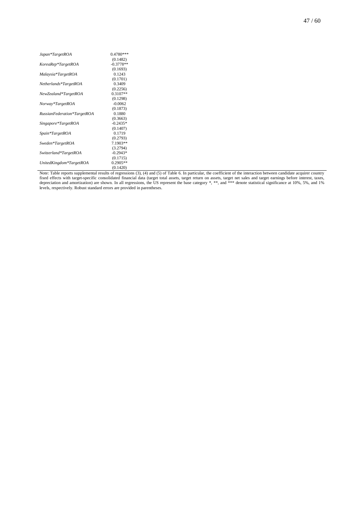| Japan*TargetROA             | $0.4780***$ |
|-----------------------------|-------------|
|                             | (0.1482)    |
| KoreaRep*TargetROA          | $-0.3778**$ |
|                             | (0.1693)    |
| Malaysia*TargetROA          | 0.1243      |
|                             | (0.1701)    |
| Netherlands*TargetROA       | 0.3409      |
|                             | (0.2256)    |
| NewZealand*TargetROA        | $0.3107**$  |
|                             | (0.1298)    |
| Norway*TargetROA            | $-0.0062$   |
|                             | (0.1873)    |
| RussianFederation*TargetROA | 0.1880      |
|                             | (0.3663)    |
| Singapore*TargetROA         | $-0.2435*$  |
|                             | (0.1407)    |
| Spain*TargetROA             | 0.1719      |
|                             | (0.2793)    |
| Sweden*TargetROA            | 7.1903**    |
|                             | (3.2794)    |
| Switzerland*TargetROA       | $-0.2943*$  |
|                             | (0.1715)    |
| UnitedKingdom*TargetROA     | $0.2905**$  |
|                             | (0.1420)    |

Note: Table reports supplemental results of regressions (3), (4) and (5) o[f Table 6.](#page-45-0) In particular, the coefficient of the interaction between candidate acquirer country fixed effects with target-specific consolidated financial data (target total assets, target return on assets, target net sales and target earnings before interest, taxes, depreciation and amortization) are shown. In all regressions, the US represent the base category \*, \*\*, and \*\*\* denote statistical significance at 10%, 5%, and 1% levels, respectively. Robust standard errors are provided in parentheses.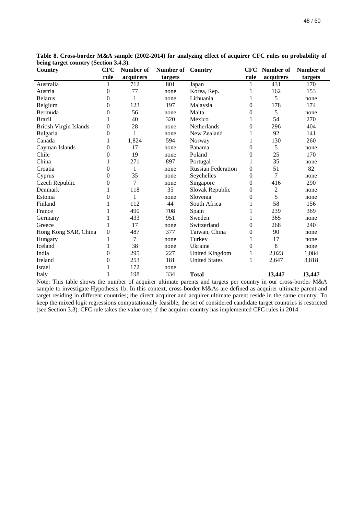| Country                       | <b>CFC</b>       | Number of | Number of | Country                   | CFC            | Number of      | Number of |
|-------------------------------|------------------|-----------|-----------|---------------------------|----------------|----------------|-----------|
|                               | rule             | acquirers | targets   |                           | rule           | acquirers      | targets   |
| Australia                     | 1                | 712       | 801       | Japan                     | 1              | 431            | 170       |
| Austria                       | $\overline{0}$   | 77        | none      | Korea, Rep.               | 1              | 162            | 153       |
| <b>Belarus</b>                | $\overline{0}$   | 1         | none      | Lithuania                 | 1              | 5              | none      |
| Belgium                       | $\overline{0}$   | 123       | 197       | Malaysia                  | 0              | 178            | 174       |
| Bermuda                       | $\overline{0}$   | 56        | none      | Malta                     | 0              | 5              | none      |
| <b>Brazil</b>                 |                  | 40        | 320       | Mexico                    |                | 54             | 270       |
| <b>British Virgin Islands</b> | $\overline{0}$   | 28        | none      | Netherlands               | 0              | 296            | 404       |
| Bulgaria                      | $\boldsymbol{0}$ |           | none      | New Zealand               |                | 92             | 141       |
| Canada                        | 1                | 1,824     | 594       | Norway                    | 1              | 130            | 260       |
| Cayman Islands                | $\overline{0}$   | 17        | none      | Panama                    | 0              | 5              | none      |
| Chile                         | $\overline{0}$   | 19        | none      | Poland                    | 0              | 25             | 170       |
| China                         |                  | 271       | 897       | Portugal                  |                | 35             | none      |
| Croatia                       | $\boldsymbol{0}$ | 1         | none      | <b>Russian Federation</b> | $\overline{0}$ | 51             | 82        |
| Cyprus                        | $\overline{0}$   | 35        | none      | Seychelles                | $\theta$       | 7              | none      |
| Czech Republic                | $\overline{0}$   | 7         | none      | Singapore                 | 0              | 416            | 290       |
| Denmark                       |                  | 118       | 35        | Slovak Republic           | 0              | $\overline{c}$ | none      |
| Estonia                       | $\theta$         | 1         | none      | Slovenia                  | 0              | 5              | none      |
| Finland                       |                  | 112       | 44        | South Africa              |                | 58             | 156       |
| France                        |                  | 490       | 708       | Spain                     | 1              | 239            | 369       |
| Germany                       |                  | 433       | 951       | Sweden                    |                | 365            | none      |
| Greece                        |                  | 17        | none      | Switzerland               | 0              | 268            | 240       |
| Hong Kong SAR, China          | $\boldsymbol{0}$ | 487       | 377       | Taiwan, China             | 0              | 90             | none      |
| Hungary                       | 1                | 7         | none      | Turkey                    | 1              | 17             | none      |
| Iceland                       |                  | 38        | none      | Ukraine                   | 0              | 8              | none      |
| India                         | $\overline{0}$   | 295       | 227       | United Kingdom            | 1              | 2,023          | 1,084     |
| Ireland                       | $\overline{0}$   | 253       | 181       | <b>United States</b>      | 1              | 2,647          | 3,818     |
| Israel                        |                  | 172       | none      |                           |                |                |           |
| Italy                         |                  | 198       | 334       | <b>Total</b>              |                | 13,447         | 13,447    |

<span id="page-48-0"></span>**Table 8. Cross-border M&A sample (2002-2014) for analyzing effect of acquirer CFC rules on probability of being target country (Section [3.4.3\)](#page-20-0).**

Note: This table shows the number of acquirer ultimate parents and targets per country in our cross-border M&A sample to investigate Hypothesis 1b. In this context, cross-border M&As are defined as acquirer ultimate parent and target residing in different countries; the direct acquirer and acquirer ultimate parent reside in the same country. To keep the mixed logit regressions computationally feasible, the set of considered candidate target countries is restricted (see Section [3.3\)](#page-13-0). CFC rule takes the value one, if the acquirer country has implemented CFC rules in 2014.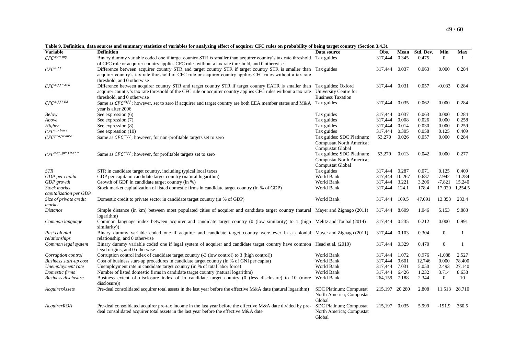<span id="page-49-1"></span>**Table 9. Definition, data sources and summary statistics of variables for analyzing effect of acquirer CFC rules on probability of being target country (Section [3.4.3\)](#page-20-1).**

<span id="page-49-0"></span>

| <b>Variable</b>               | <b>Definition</b>                                                                                                                    | Data source               | Obs.           | Mean   | Std. Dev. | Min              | Max          |
|-------------------------------|--------------------------------------------------------------------------------------------------------------------------------------|---------------------------|----------------|--------|-----------|------------------|--------------|
| $CFC^{dummy}$                 | Binary dummy variable coded one if target country STR is smaller than acquirer country's tax rate threshold                          | Tax guides                | 317,444        | 0.345  | 0.475     | $\Omega$         | 1            |
|                               | of CFC rule or acquirer country applies CFC rules without a tax rate threshold, and 0 otherwise                                      |                           |                |        |           |                  |              |
| $CFC^{diff}$                  | Difference between acquirer country STR and target country STR if target country STR is smaller than                                 | Tax guides                | 317.444        | 0.037  | 0.063     | 0.000            | 0.284        |
|                               | acquirer country's tax rate threshold of CFC rule or acquirer country applies CFC rules without a tax rate                           |                           |                |        |           |                  |              |
|                               | threshold, and 0 otherwise                                                                                                           |                           |                |        |           |                  |              |
| $CFC$ diffEATR                | Difference between acquirer country STR and target country STR if target country EATR is smaller than                                | Tax guides; Oxford        | 317,444        | 0.031  | 0.057     | $-0.033$         | 0.284        |
|                               | acquirer country's tax rate threshold of the CFC rule or acquirer country applies CFC rules without a tax rate University Centre for |                           |                |        |           |                  |              |
|                               | threshold, and 0 otherwise                                                                                                           | <b>Business Taxation</b>  |                |        |           |                  |              |
| $CFC^{diffEEA}$               | Same as $CFC^{diff}$ ; however, set to zero if acquirer and target country are both EEA member states and M&A                        | Tax guides                | 317,444        | 0.035  | 0.062     | 0.000            | 0.284        |
|                               | vear is after 2006                                                                                                                   |                           |                |        |           |                  |              |
| Below                         | See expression (6)                                                                                                                   | Tax guides                | 317,444        | 0.037  | 0.063     | 0.000            | 0.284        |
| Above                         | See expression (7)                                                                                                                   | Tax guides                | 317,444        | 0.008  | 0.026     | 0.000            | 0.258        |
| Higher                        | See expression (8)                                                                                                                   | Tax guides                | 317,444        | 0.014  | 0.030     | 0.000            | 0.259        |
| $CFC^{taxbase}$               | See expression (10)                                                                                                                  | Tax guides                | 317,444        | 0.305  | 0.058     | 0.125            | 0.409        |
| $CFC$ profitable              | Same as $CFC^{diff}$ ; however, for non-profitable targets set to zero                                                               | Tax guides; SDC Platinum; | 53,270         | 0.026  | 0.057     | 0.000            | 0.284        |
|                               |                                                                                                                                      | Compustat North America;  |                |        |           |                  |              |
|                               |                                                                                                                                      | Compustat Global          |                |        |           |                  |              |
| $CFC^{non\_profile}$          | Same as $CFC^{diff}$ ; however, for profitable targets set to zero                                                                   | Tax guides; SDC Platinum; | 53,270         | 0.013  | 0.042     | 0.000            | 0.277        |
|                               |                                                                                                                                      | Compustat North America;  |                |        |           |                  |              |
|                               |                                                                                                                                      | Compustat Global          |                |        |           |                  |              |
| STR                           | STR in candidate target country, including typical local taxes                                                                       | Tax guides                | 317,444        | 0.287  | 0.071     | 0.125            | 0.409        |
| GDP per capita                | GDP per capita in candidate target country (natural logarithm)                                                                       | World Bank                | 317.444        | 10.267 | 0.687     | 7.942            | 11.284       |
| GDP growth                    | Growth of GDP in candidate target country (in %)                                                                                     | World Bank                | 317,444        | 3.221  | 3.206     | $-7.821$         | 15.240       |
| Stock market                  | Stock market capitalization of listed domestic firms in candidate target country (in % of GDP)                                       | World Bank                | 317,444        | 124.1  | 178.4     | 17.020           | 1,254.5      |
| capitalization per GDP        |                                                                                                                                      |                           |                |        |           |                  |              |
| Size of private credit        | Domestic credit to private sector in candidate target country (in % of GDP)                                                          | World Bank                | 317,444        | 109.5  | 47.091    | 13.353           | 233.4        |
| market                        |                                                                                                                                      |                           |                |        |           |                  |              |
| <i>Distance</i>               | Simple distance (in km) between most populated cities of acquirer and candidate target country (natural Mayer and Zignago (2011)     |                           | 317,444        | 8.609  | 1.046     | 5.153            | 9.883        |
|                               | logarithm)                                                                                                                           |                           |                |        |           |                  |              |
| Common language               | Common language index between acquirer and candidate target country (0 (low similarity) to 1 (high Melitz and Toubal (2014)          |                           | 317,444        | 0.235  | 0.212     | 0.000            | 0.991        |
|                               | similarity))                                                                                                                         |                           |                |        |           |                  |              |
| Past colonial                 | Binary dummy variable coded one if acquirer and candidate target country were ever in a colonial Mayer and Zignago (2011)            |                           | 317,444        | 0.103  | 0.304     | $\overline{0}$   | 1            |
| relationships                 | relationship, and 0 otherwise                                                                                                        |                           |                |        |           |                  |              |
| Common legal system           | Binary dummy variable coded one if legal system of acquirer and candidate target country have common Head et al. (2010)              |                           | 317,444        | 0.329  | 0.470     | $\boldsymbol{0}$ | $\mathbf{1}$ |
|                               | legal origins, and 0 otherwise                                                                                                       |                           |                |        |           |                  |              |
| Corruption control            | Corruption control index of candidate target country (-3 (low control) to 3 (high control))                                          | World Bank                | 317,444        | 1.072  | 0.976     | $-1.088$         | 2.527        |
| <b>Business start-up cost</b> | Cost of business start-up procedures in candidate target country (in % of GNI per capita)                                            | World Bank                | 317.444        | 9.601  | 12.746    | 0.000            | 78.400       |
| Unemployment rate             | Unemployment rate in candidate target country (in % of total labor force)                                                            | World Bank                | 317,444        | 7.031  | 5.050     | 2.493            | 27.140       |
| Domestic firms                | Number of listed domestic firms in candidate target country (natural logarithm)                                                      | World Bank                | 317,444        | 6.426  | 1.232     | 3.714            | 8.638        |
| <b>Business disclosure</b>    | Business extent of disclosure index of in candidate target country (0 (less disclosure) to 10 (more                                  | World Bank                | 264,159 7.188  |        | 2.344     | $\overline{0}$   | 10           |
|                               | disclosure))                                                                                                                         |                           |                |        |           |                  |              |
| AcquirerAssets                | Pre-deal consolidated acquirer total assets in the last year before the effective M&A date (natural logarithm)                       | SDC Platinum; Compustat   | 215,197 20.280 |        | 2.808     | 11.513 28.710    |              |
|                               |                                                                                                                                      | North America; Compustat  |                |        |           |                  |              |
|                               |                                                                                                                                      | Global                    |                |        |           |                  |              |
| AcquirerROA                   | Pre-deal consolidated acquirer pre-tax income in the last year before the effective M&A date divided by pre-                         | SDC Platinum; Compustat   | 215,197        | 0.035  | 5.999     | $-191.9$         | 360.5        |
|                               | deal consolidated acquirer total assets in the last year before the effective M&A date                                               | North America; Compustat  |                |        |           |                  |              |
|                               |                                                                                                                                      | Global                    |                |        |           |                  |              |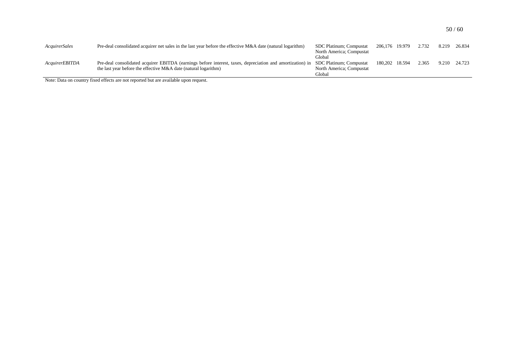| AcquirerSales         | Pre-deal consolidated acquirer net sales in the last year before the effective $M&A$ date (natural logarithm)                     | SDC Platinum; Compustat  | 206,176 19.979 | 2.732 | 8.219 | 26.834 |
|-----------------------|-----------------------------------------------------------------------------------------------------------------------------------|--------------------------|----------------|-------|-------|--------|
|                       |                                                                                                                                   | North America; Compustat |                |       |       |        |
|                       |                                                                                                                                   | Global                   |                |       |       |        |
| <i>AcquirerEBITDA</i> | Pre-deal consolidated acquirer EBITDA (earnings before interest, taxes, depreciation and amortization) in SDC Platinum; Compustat |                          | 180,202 18.594 | 2.365 | 9.210 | 24.723 |
|                       | the last year before the effective M&A date (natural logarithm)                                                                   | North America; Compustat |                |       |       |        |
|                       |                                                                                                                                   | Global                   |                |       |       |        |

Note: Data on country fixed effects are not reported but are available upon request.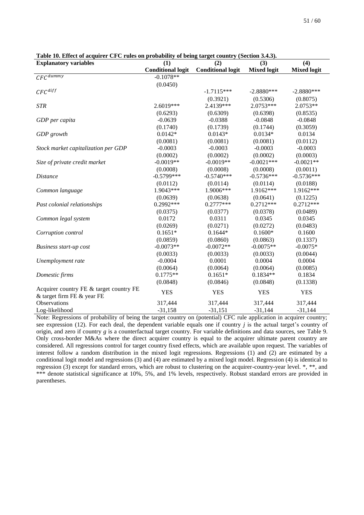| <b>Explanatory variables</b>            | (1)                      | (2)                      | (3)                | (4)                |  |
|-----------------------------------------|--------------------------|--------------------------|--------------------|--------------------|--|
|                                         | <b>Conditional logit</b> | <b>Conditional logit</b> | <b>Mixed logit</b> | <b>Mixed logit</b> |  |
| $CFC$ dummy                             | $-0.1078**$              |                          |                    |                    |  |
|                                         | (0.0450)                 |                          |                    |                    |  |
| $CFC$ <sup>diff</sup>                   |                          | $-1.7115***$             | $-2.8880***$       | $-2.8880***$       |  |
|                                         |                          | (0.3921)                 | (0.5306)           | (0.8075)           |  |
| <b>STR</b>                              | 2.6019***                | 2.4139***                | 2.0753***          | $2.0753**$         |  |
|                                         | (0.6293)                 | (0.6309)                 | (0.6398)           | (0.8535)           |  |
| GDP per capita                          | $-0.0639$                | $-0.0388$                | $-0.0848$          | $-0.0848$          |  |
|                                         | (0.1740)                 | (0.1739)                 | (0.1744)           | (0.3059)           |  |
| GDP growth                              | $0.0142*$                | $0.0143*$                | $0.0134*$          | 0.0134             |  |
|                                         | (0.0081)                 | (0.0081)                 | (0.0081)           | (0.0112)           |  |
| Stock market capitalization per GDP     | $-0.0003$                | $-0.0003$                | $-0.0003$          | $-0.0003$          |  |
|                                         | (0.0002)                 | (0.0002)                 | (0.0002)           | (0.0003)           |  |
| Size of private credit market           | $-0.0019**$              | $-0.0019**$              | $-0.0021***$       | $-0.0021**$        |  |
|                                         | (0.0008)                 | (0.0008)                 | (0.0008)           | (0.0011)           |  |
| <i>Distance</i>                         | $-0.5799***$             | $-0.5740***$             | $-0.5736***$       | $-0.5736***$       |  |
|                                         | (0.0112)                 | (0.0114)                 | (0.0114)           | (0.0188)           |  |
| Common language                         | 1.9043***                | 1.9006***                | 1.9162***          | 1.9162***          |  |
|                                         | (0.0639)                 | (0.0638)                 | (0.0641)           | (0.1225)           |  |
| Past colonial relationships             | $0.2992***$              | $0.2777***$              | $0.2712***$        | $0.2712***$        |  |
|                                         | (0.0375)                 | (0.0377)                 | (0.0378)           | (0.0489)           |  |
| Common legal system                     | 0.0172                   | 0.0311                   | 0.0345             | 0.0345             |  |
|                                         | (0.0269)                 | (0.0271)                 | (0.0272)           | (0.0483)           |  |
| Corruption control                      | $0.1651*$                | $0.1644*$                | $0.1600*$          | 0.1600             |  |
|                                         | (0.0859)                 | (0.0860)                 | (0.0863)           | (0.1337)           |  |
| Business start-up cost                  | $-0.0073**$              | $-0.0072**$              | $-0.0075**$        | $-0.0075*$         |  |
|                                         | (0.0033)                 | (0.0033)                 | (0.0033)           | (0.0044)           |  |
| Unemployment rate                       | $-0.0004$                | 0.0001                   | 0.0004             | 0.0004             |  |
|                                         | (0.0064)                 | (0.0064)                 | (0.0064)           | (0.0085)           |  |
| Domestic firms                          | $0.1775**$               | $0.1651*$                | $0.1834**$         | 0.1834             |  |
|                                         | (0.0848)                 | (0.0846)                 | (0.0848)           | (0.1338)           |  |
| Acquirer country FE & target country FE | <b>YES</b>               | <b>YES</b>               | <b>YES</b>         | <b>YES</b>         |  |
| & target firm FE & year FE              |                          |                          |                    |                    |  |
| Observations                            | 317,444                  | 317,444                  | 317,444            | 317,444            |  |
| Log-likelihood                          | $-31,158$                | $-31,151$                | $-31,144$          | $-31,144$          |  |

<span id="page-51-0"></span>**Table 10. Effect of acquirer CFC rules on probability of being target country (Section [3.4.3\)](#page-20-0).**

Note: Regressions of probability of being the target country on (potential) CFC rule application in acquirer country; see expression (12). For each deal, the dependent variable equals one if country *j* is the actual target's country of origin, and zero if country *g* is a counterfactual target country. For variable definitions and data sources, see [Table 9.](#page-49-0)  Only cross-border M&As where the direct acquirer country is equal to the acquirer ultimate parent country are considered. All regressions control for target country fixed effects, which are available upon request. The variables of interest follow a random distribution in the mixed logit regressions. Regressions (1) and (2) are estimated by a conditional logit model and regressions (3) and (4) are estimated by a mixed logit model. Regression (4) is identical to regression (3) except for standard errors, which are robust to clustering on the acquirer-country-year level. \*, \*\*, and \*\*\* denote statistical significance at 10%, 5%, and 1% levels, respectively. Robust standard errors are provided in parentheses.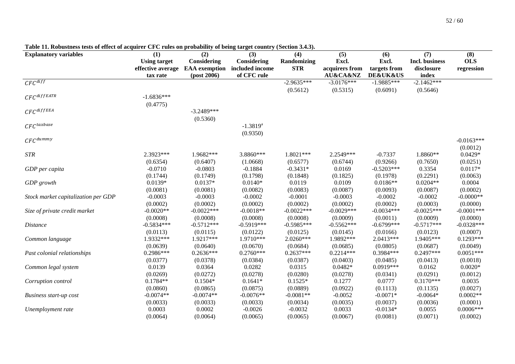<span id="page-52-0"></span>

| <b>Explanatory variables</b>        | (1)                 | (2)                  | (3)             | (4)          | (5)                     | (6)                     | (7)            | (8)           |
|-------------------------------------|---------------------|----------------------|-----------------|--------------|-------------------------|-------------------------|----------------|---------------|
|                                     | <b>Using target</b> | Considering          | Considering     | Randomizing  | Excl.                   | Excl.                   | Incl. business | <b>OLS</b>    |
|                                     | effective average   | <b>EAA</b> exemption | included income | <b>STR</b>   | acquirers from          | targets from            | disclosure     | regression    |
|                                     | tax rate            | $-post 2006)$        | of CFC rule     |              | <b>AU&amp;CA&amp;NZ</b> | <b>DE&amp;UK&amp;US</b> | index          |               |
| $CFC^{diff}$                        |                     |                      |                 | $-2.9635***$ | $-3.0176***$            | $-1.9885***$            | $-2.1462***$   |               |
|                                     |                     |                      |                 | (0.5612)     | (0.5315)                | (0.6091)                | (0.5646)       |               |
| $CFC$ diffEATR                      | $-1.6836***$        |                      |                 |              |                         |                         |                |               |
|                                     | (0.4775)            |                      |                 |              |                         |                         |                |               |
| $CFC^{diffEEA}$                     |                     | $-3.2489***$         |                 |              |                         |                         |                |               |
|                                     |                     | (0.5360)             |                 |              |                         |                         |                |               |
| $CFC$ taxbase                       |                     |                      | $-1.3819^{a}$   |              |                         |                         |                |               |
|                                     |                     |                      | (0.9350)        |              |                         |                         |                |               |
| $CFC^{dummy}$                       |                     |                      |                 |              |                         |                         |                | $-0.0163***$  |
|                                     |                     |                      |                 |              |                         |                         |                | (0.0012)      |
| $\emph{STR}$                        | 2.3923***           | 1.9682***            | 3.8860***       | 1.8021***    | 2.2549***               | $-0.7337$               | 1.8860**       | $0.0429*$     |
|                                     | (0.6354)            | (0.6407)             | (1.0668)        | (0.6577)     | (0.6744)                | (0.9266)                | (0.7650)       | (0.0251)      |
| GDP per capita                      | $-0.0710$           | $-0.0803$            | $-0.1884$       | $-0.3431*$   | 0.0169                  | $-0.5203***$            | 0.3354         | $0.0117*$     |
|                                     | (0.1744)            | (0.1749)             | (0.1798)        | (0.1848)     | (0.1825)                | (0.1978)                | (0.2291)       | (0.0063)      |
| GDP growth                          | $0.0139*$           | $0.0137*$            | $0.0140*$       | 0.0119       | 0.0109                  | $0.0186**$              | $0.0204**$     | 0.0004        |
|                                     | (0.0081)            | (0.0081)             | (0.0082)        | (0.0083)     | (0.0087)                | (0.0093)                | (0.0087)       | (0.0002)      |
| Stock market capitalization per GDP | $-0.0003$           | $-0.0003$            | $-0.0002$       | $-0.0001$    | $-0.0003$               | $-0.0002$               | $-0.0002$      | $-0.0000**$   |
|                                     | (0.0002)            | (0.0002)             | (0.0002)        | (0.0002)     | (0.0002)                | (0.0002)                | (0.0003)       | (0.0000)      |
| Size of private credit market       | $-0.0020**$         | $-0.0022***$         | $-0.0018**$     | $-0.0022***$ | $-0.0029***$            | $-0.0034***$            | $-0.0025***$   | $-0.0001$ *** |
|                                     | (0.0008)            | (0.0008)             | (0.0008)        | (0.0008)     | (0.0009)                | (0.0011)                | (0.0009)       | (0.0000)      |
| <b>Distance</b>                     | $-0.5834***$        | $-0.5712***$         | $-0.5919***$    | $-0.5985***$ | $-0.5562***$            | $-0.6799***$            | $-0.5717***$   | $-0.0328***$  |
|                                     | (0.0113)            | (0.0115)             | (0.0122)        | (0.0125)     | (0.0145)                | (0.0166)                | (0.0123)       | (0.0007)      |
| Common language                     | 1.9332***           | 1.9217***            | 1.9710***       | 2.0260***    | 1.9892***               | 2.0413***               | 1.9405***      | $0.1293***$   |
|                                     | (0.0639)            | (0.0640)             | (0.0670)        | (0.0684)     | (0.0685)                | (0.0805)                | (0.0687)       | (0.0049)      |
| Past colonial relationships         | 0.2986***           | $0.2636***$          | $0.2760***$     | $0.2637***$  | $0.2214***$             | 0.3984***               | $0.2497***$    | $0.0051***$   |
|                                     | (0.0377)            | (0.0378)             | (0.0384)        | (0.0387)     | (0.0403)                | (0.0485)                | (0.0413)       | (0.0018)      |
| Common legal system                 | 0.0139              | 0.0364               | 0.0282          | 0.0315       | $0.0482*$               | $0.0919***$             | 0.0162         | $0.0020*$     |
|                                     | (0.0269)            | (0.0272)             | (0.0278)        | (0.0280)     | (0.0278)                | (0.0341)                | (0.0291)       | (0.0012)      |
| Corruption control                  | $0.1784**$          | $0.1504*$            | $0.1641*$       | $0.1525*$    | 0.1277                  | 0.0777                  | $0.3170***$    | 0.0035        |
|                                     | (0.0860)            | (0.0865)             | (0.0875)        | (0.0889)     | (0.0922)                | (0.1113)                | (0.1135)       | (0.0027)      |
| <b>Business start-up cost</b>       | $-0.0074**$         | $-0.0074**$          | $-0.0076**$     | $-0.0081**$  | $-0.0052$               | $-0.0071*$              | $-0.0064*$     | $0.0002**$    |
|                                     | (0.0033)            | (0.0033)             | (0.0033)        | (0.0034)     | (0.0035)                | (0.0037)                | (0.0036)       | (0.0001)      |
| Unemployment rate                   | 0.0003              | 0.0002               | $-0.0026$       | $-0.0032$    | 0.0033                  | $-0.0134*$              | 0.0055         | $0.0006***$   |
|                                     | (0.0064)            | (0.0064)             | (0.0065)        | (0.0065)     | (0.0067)                | (0.0081)                | (0.0071)       | (0.0002)      |

**Table 11. Robustness tests of effect of acquirer CFC rules on probability of being target country (Section [3.4.3\)](#page-20-1).**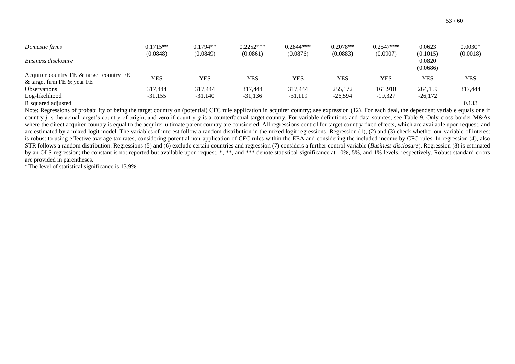| Domestic firms                                                        | $0.1715**$<br>(0.0848) | $0.1794**$<br>(0.0849) | $0.2252***$<br>(0.0861) | $0.2844***$<br>(0.0876) | $0.2078**$<br>(0.0883) | $0.2547***$<br>(0.0907) | 0.0623<br>(0.1015) | $0.0030*$<br>(0.0018) |
|-----------------------------------------------------------------------|------------------------|------------------------|-------------------------|-------------------------|------------------------|-------------------------|--------------------|-----------------------|
| Business disclosure                                                   |                        |                        |                         |                         |                        |                         | 0.0820<br>(0.0686) |                       |
| Acquirer country FE & target country FE<br>& target firm FE & year FE | YES                    | YES                    | <b>YES</b>              | <b>YES</b>              | <b>YES</b>             | YES                     | <b>YES</b>         | <b>YES</b>            |
| <b>Observations</b>                                                   | 317,444                | 317.444                | 317,444                 | 317,444                 | 255,172                | 161.910                 | 264,159            | 317,444               |
| Log-likelihood                                                        | $-31,155$              | $-31.140$              | $-31,136$               | $-31,119$               | $-26,594$              | $-19.327$               | $-26,172$          |                       |
| R squared adjusted                                                    |                        |                        |                         |                         |                        |                         |                    | 0.133                 |

Note: Regressions of probability of being the target country on (potential) CFC rule application in acquirer country; see expression (12). For each deal, the dependent variable equals one if country *j* is the actual target's country of origin, and zero if country *g* is a counterfactual target country. For variable definitions and data sources, see [Table 9.](#page-49-1) Only cross-border M&As where the direct acquirer country is equal to the acquirer ultimate parent country are considered. All regressions control for target country fixed effects, which are available upon request, and are estimated by a mixed logit model. The variables of interest follow a random distribution in the mixed logit regressions. Regression (1), (2) and (3) check whether our variable of interest is robust to using effective average tax rates, considering potential non-application of CFC rules within the EEA and considering the included income by CFC rules. In regression (4), also STR follows a random distribution. Regressions (5) and (6) exclude certain countries and regression (7) considers a further control variable (*Business disclosure*). Regression (8) is estimated by an OLS regression; the constant is not reported but available upon request. \*, \*\*, and \*\*\* denote statistical significance at 10%, 5%, and 1% levels, respectively. Robust standard errors are provided in parentheses.

<sup>a</sup> The level of statistical significance is 13.9%.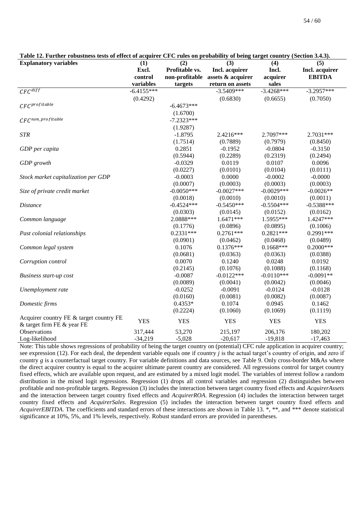| <b>Explanatory variables</b>            | (1)          | (2)            | (3)               | (4)          | (5)            |  |  |
|-----------------------------------------|--------------|----------------|-------------------|--------------|----------------|--|--|
|                                         | Excl.        | Profitable vs. | Incl. acquirer    | Incl.        | Incl. acquirer |  |  |
|                                         | control      | non-profitable | assets & acquirer | acquirer     | <b>EBITDA</b>  |  |  |
|                                         | variables    | targets        | return on assets  | sales        |                |  |  |
| $CFC^{diff}$                            | $-6.4155***$ |                | $-3.5409***$      | $-3.4268***$ | $-3.2957***$   |  |  |
|                                         | (0.4292)     |                | (0.6830)          | (0.6655)     | (0.7050)       |  |  |
| $CFC^{profile}$                         |              | $-6.4673***$   |                   |              |                |  |  |
|                                         |              | (1.6700)       |                   |              |                |  |  |
| $CFC^{non\_profile}$                    |              | $-7.2323***$   |                   |              |                |  |  |
|                                         |              | (1.9287)       |                   |              |                |  |  |
| <b>STR</b>                              |              | $-1.8795$      | 2.4216***         | 2.7097***    | 2.7031***      |  |  |
|                                         |              | (1.7514)       | (0.7889)          | (0.7979)     | (0.8450)       |  |  |
| GDP per capita                          |              | 0.2851         | $-0.1952$         | $-0.0804$    | $-0.3150$      |  |  |
|                                         |              | (0.5944)       | (0.2289)          | (0.2319)     | (0.2494)       |  |  |
| GDP growth                              |              | $-0.0329$      | 0.0119            | 0.0107       | 0.0096         |  |  |
|                                         |              | (0.0227)       | (0.0101)          | (0.0104)     | (0.0111)       |  |  |
| Stock market capitalization per GDP     |              | $-0.0003$      | 0.0000            | $-0.0002$    | $-0.0000$      |  |  |
|                                         |              | (0.0007)       | (0.0003)          | (0.0003)     | (0.0003)       |  |  |
| Size of private credit market           |              | $-0.0050***$   | $-0.0027***$      | $-0.0029***$ | $-0.0026**$    |  |  |
|                                         |              | (0.0018)       | (0.0010)          | (0.0010)     | (0.0011)       |  |  |
| <b>Distance</b>                         |              | $-0.4524***$   | $-0.5450***$      | $-0.5504***$ | $-0.5388***$   |  |  |
|                                         |              | (0.0303)       | (0.0145)          | (0.0152)     | (0.0162)       |  |  |
| Common language                         |              | 2.0888***      | $1.6471***$       | 1.5955***    | 1.4247***      |  |  |
|                                         |              | (0.1776)       | (0.0896)          | (0.0895)     | (0.1006)       |  |  |
| Past colonial relationships             |              | $0.2331***$    | $0.2761***$       | $0.2821***$  | $0.2991***$    |  |  |
|                                         |              | (0.0901)       | (0.0462)          | (0.0468)     | (0.0489)       |  |  |
| Common legal system                     |              | 0.1076         | $0.1376***$       | $0.1668***$  | $0.2000***$    |  |  |
|                                         |              | (0.0681)       | (0.0363)          | (0.0363)     | (0.0388)       |  |  |
| Corruption control                      |              | 0.0070         | 0.1240            | 0.0248       | 0.0192         |  |  |
|                                         |              | (0.2145)       | (0.1076)          | (0.1088)     | (0.1168)       |  |  |
| <b>Business start-up cost</b>           |              | $-0.0087$      | $-0.0122***$      | $-0.0110***$ | $-0.0091**$    |  |  |
|                                         |              | (0.0089)       | (0.0041)          | (0.0042)     | (0.0046)       |  |  |
| Unemployment rate                       |              | $-0.0252$      | $-0.0091$         | $-0.0124$    | $-0.0128$      |  |  |
|                                         |              | (0.0160)       | (0.0081)          | (0.0082)     | (0.0087)       |  |  |
| Domestic firms                          |              | $0.4353*$      | 0.1074            | 0.0945       | 0.1462         |  |  |
|                                         |              | (0.2224)       | (0.1060)          | (0.1069)     | (0.1119)       |  |  |
| Acquirer country FE & target country FE | <b>YES</b>   | <b>YES</b>     | <b>YES</b>        | <b>YES</b>   | <b>YES</b>     |  |  |
| & target firm FE & year FE              |              |                |                   |              |                |  |  |
| Observations                            | 317,444      | 53,270         | 215,197           | 206,176      | 180,202        |  |  |
| Log-likelihood                          | $-34,219$    | $-5,028$       | $-20,617$         | $-19,818$    | $-17,463$      |  |  |

<span id="page-54-0"></span>

| Table 12. Further robustness tests of effect of acquirer CFC rules on probability of being target country (Section 3.4.3). |
|----------------------------------------------------------------------------------------------------------------------------|
|----------------------------------------------------------------------------------------------------------------------------|

Note: This table shows regressions of probability of being the target country on (potential) CFC rule application in acquirer country; see expression (12). For each deal, the dependent variable equals one if country *j* is the actual target's country of origin, and zero if country *g* is a counterfactual target country. For variable definitions and data sources, see [Table 9.](#page-49-0) Only cross-border M&As where the direct acquirer country is equal to the acquirer ultimate parent country are considered. All regressions control for target country fixed effects, which are available upon request, and are estimated by a mixed logit model. The variables of interest follow a random distribution in the mixed logit regressions. Regression (1) drops all control variables and regression (2) distinguishes between profitable and non-profitable targets. Regression (3) includes the interaction between target country fixed effects and *AcquirerAssets* and the interaction between target country fixed effects and *AcquirerROA*. Regression (4) includes the interaction between target country fixed effects and *AcquirerSales*. Regression (5) includes the interaction between target country fixed effects and *AcquirerEBITDA*. The coefficients and standard errors of these interactions are shown in [Table 13.](#page-55-0) \*, \*\*, and \*\*\* denote statistical significance at 10%, 5%, and 1% levels, respectively. Robust standard errors are provided in parentheses.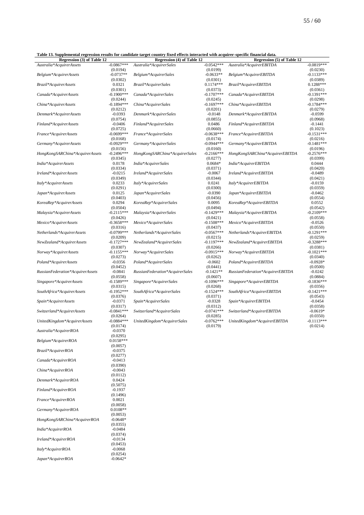<span id="page-55-0"></span>**Table 13. Supplemental regression results for candidate target country fixed effects interacted with acquirer-specific financial data.**

| Regression (3) of Table 12       |              | таже тэлэприентентагтедгевмөн гезинь ня санинаас тагдегсөйни у нлей енесть нисгасией мин асquirer-specific типанстагиата.<br>Regression (4) of Table 12 |              | Regression (5) of Table 12       |              |
|----------------------------------|--------------|---------------------------------------------------------------------------------------------------------------------------------------------------------|--------------|----------------------------------|--------------|
| Australia*AcquirerAssets         | $-0.0867***$ | Australia*AcquirerSales                                                                                                                                 | $-0.0542***$ | Australia*AcquirerEBITDA         | $-0.0819***$ |
|                                  |              |                                                                                                                                                         |              |                                  |              |
|                                  | (0.0194)     |                                                                                                                                                         | (0.0199)     |                                  | (0.0230)     |
| Belgium*AcquirerAssets           | $-0.0737**$  | Belgium*AcquirerSales                                                                                                                                   | $-0.0633**$  | Belgium*AcquirerEBITDA           | $-0.1133***$ |
|                                  | (0.0302)     |                                                                                                                                                         | (0.0301)     |                                  | (0.0389)     |
| Brazil*AcquirerAssets            | 0.0321       | Brazil*AcquirerSales                                                                                                                                    | $0.1174***$  | Brazil*AcquirerEBITDA            | $0.1288***$  |
|                                  | (0.0301)     |                                                                                                                                                         | (0.0373)     |                                  | (0.0361)     |
| Canada*AcquirerAssets            | $-0.1900***$ | Canada*AcquirerSales                                                                                                                                    | $-0.1707***$ | Canada*AcquirerEBITDA            | $-0.1391***$ |
|                                  | (0.0244)     |                                                                                                                                                         | (0.0245)     |                                  | (0.0298)     |
| China*AcquirerAssets             | $-0.1894***$ | China*AcquirerSales                                                                                                                                     | $-0.1697***$ | China*AcquirerEBITDA             | $-0.1784***$ |
|                                  | (0.0212)     |                                                                                                                                                         | (0.0201)     |                                  | (0.0279)     |
| Denmark*AcquirerAssets           | $-0.0393$    | Denmark*AcquirerSales                                                                                                                                   | $-0.0148$    | Denmark*AcquirerEBITDA           | $-0.0599$    |
|                                  | (0.0754)     |                                                                                                                                                         | (0.0855)     |                                  | (0.0968)     |
| Finland*AcquirerAssets           | $-0.0406$    |                                                                                                                                                         | 0.0486       |                                  | $-0.1441$    |
|                                  |              | Finland*AcquirerSales                                                                                                                                   |              | Finland*AcquirerEBITDA           |              |
|                                  | (0.0725)     |                                                                                                                                                         | (0.0660)     |                                  | (0.1023)     |
| France*AcquirerAssets            | $-0.0699***$ | France*AcquirerSales                                                                                                                                    | $-0.0638***$ | France*AcquirerEBITDA            | $-0.1531***$ |
|                                  | (0.0168)     |                                                                                                                                                         | (0.0174)     |                                  | (0.0216)     |
| Germany*AcquirerAssets           | $-0.0929***$ | Germany*AcquirerSales                                                                                                                                   | $-0.0944***$ | Germany*AcquirerEBITDA           | $-0.1481***$ |
|                                  | (0.0156)     |                                                                                                                                                         | (0.0160)     |                                  | (0.0196)     |
| HongKongSARChina*AcquirerAssets  | $-0.2496***$ | HongKongSARChina*AcquirerSales                                                                                                                          | $-0.2166***$ | HongKongSARChina*AcquirerEBITDA  | $-0.2576***$ |
|                                  | (0.0345)     |                                                                                                                                                         | (0.0277)     |                                  | (0.0399)     |
| India*AcquirerAssets             | 0.0178       | India*AcquirerSales                                                                                                                                     | $0.0684*$    | India*AcquirerEBITDA             | 0.0444       |
|                                  | (0.0334)     |                                                                                                                                                         | (0.0371)     |                                  | (0.0420)     |
| Ireland*AcquirerAssets           | $-0.0215$    | Ireland*AcquirerSales                                                                                                                                   | $-0.0067$    | Ireland*AcquirerEBITDA           | $-0.0489$    |
|                                  | (0.0349)     |                                                                                                                                                         | (0.0344)     |                                  | (0.0421)     |
| Italy*AcquirerAssets             | 0.0233       | Italy*AcquirerSales                                                                                                                                     | 0.0241       | Italy*AcquirerEBITDA             | $-0.0159$    |
|                                  | (0.0291)     |                                                                                                                                                         | (0.0300)     |                                  | (0.0359)     |
|                                  |              |                                                                                                                                                         |              |                                  |              |
| Japan*AcquirerAssets             | 0.0125       | Japan*AcquirerSales                                                                                                                                     | $-0.0390$    | Japan*AcquirerEBITDA             | $-0.0462$    |
|                                  | (0.0403)     |                                                                                                                                                         | (0.0456)     |                                  | (0.0554)     |
| KoreaRep*AcquirerAssets          | 0.0294       | KoreaRep*AcquirerSales                                                                                                                                  | 0.0095       | KoreaRep*AcquirerEBITDA          | 0.0552       |
|                                  | (0.0504)     |                                                                                                                                                         | (0.0494)     |                                  | (0.0542)     |
| Malaysia*AcquirerAssets          | $-0.2115***$ | Malaysia*AcquirerSales                                                                                                                                  | $-0.1429***$ | Malaysia*AcquirerEBITDA          | $-0.2109***$ |
|                                  | (0.0426)     |                                                                                                                                                         | (0.0421)     |                                  | (0.0558)     |
| Mexico*AcquirerAssets            | $-0.3658***$ | Mexico*AcquirerSales                                                                                                                                    | $-0.1508***$ | Mexico*AcquirerEBITDA            | $-0.0526$    |
|                                  | (0.0316)     |                                                                                                                                                         | (0.0437)     |                                  | (0.0550)     |
| Netherlands*AcquirerAssets       | $-0.0799***$ | Netherlands*AcquirerSales                                                                                                                               | $-0.0567***$ | Netherlands*AcquirerEBITDA       | $-0.1291***$ |
|                                  | (0.0209)     |                                                                                                                                                         | (0.0215)     |                                  | (0.0259)     |
| NewZealand*AcquirerAssets        | $-0.1727***$ | NewZealand*AcquirerSales                                                                                                                                | $-0.1197***$ | NewZealand*AcquirerEBITDA        | $-0.3288***$ |
|                                  | (0.0307)     |                                                                                                                                                         | (0.0266)     |                                  | (0.0381)     |
| Norway*AcquirerAssets            | $-0.1155***$ | Norway*AcquirerSales                                                                                                                                    | $-0.0915***$ | Norway*AcquirerEBITDA            | $-0.1021***$ |
|                                  | (0.0273)     |                                                                                                                                                         |              |                                  | (0.0340)     |
|                                  |              |                                                                                                                                                         | (0.0262)     |                                  |              |
| Poland*AcquirerAssets            | $-0.0356$    | Poland*AcquirerSales                                                                                                                                    | $-0.0602$    | Poland*AcquirerEBITDA            | $-0.0928*$   |
|                                  | (0.0452)     |                                                                                                                                                         | (0.0441)     |                                  | (0.0500)     |
| RussianFederation*AcquirerAssets | $-0.0841$    | RussianFederation*AcquirerSales                                                                                                                         | $-0.1421**$  | RussianFederation*AcquirerEBITDA | $-0.0242$    |
|                                  | (0.0558)     |                                                                                                                                                         | (0.0607)     |                                  | (0.0884)     |
| Singapore*AcquirerAssets         | $-0.1589***$ | Singapore*AcquirerSales                                                                                                                                 | $-0.1096***$ | Singapore*AcquirerEBITDA         | $-0.1836***$ |
|                                  | (0.0315)     |                                                                                                                                                         | (0.0268)     |                                  | (0.0356)     |
| SouthAfrica*AcquirerAssets       | $-0.1952***$ | SouthAfrica*AcquirerSales                                                                                                                               | $-0.1524***$ | SouthAfrica*AcquirerEBITDA       | $-0.1421***$ |
|                                  | (0.0376)     |                                                                                                                                                         | (0.0371)     |                                  | (0.0543)     |
| Spain*AcquirerAssets             | $-0.0371$    | Spain*AcquirerSales                                                                                                                                     | $-0.0328$    | Spain*AcquirerEBITDA             | $-0.0454$    |
|                                  | (0.0317)     |                                                                                                                                                         | (0.0312)     |                                  | (0.0358)     |
| Switzerland*AcquirerAssets       | $-0.0841***$ | Switzerland*AcquirerSales                                                                                                                               | $-0.0741***$ | Switzerland*AcquirerEBITDA       | $-0.0619*$   |
|                                  | (0.0264)     |                                                                                                                                                         | (0.0285)     |                                  | (0.0350)     |
| UnitedKingdom*AcquirerAssets     | $-0.0884***$ | UnitedKingdom*AcquirerSales                                                                                                                             | $-0.0762***$ | UnitedKingdom*AcquirerEBITDA     | $-0.1113***$ |
|                                  | (0.0174)     |                                                                                                                                                         | (0.0179)     |                                  | (0.0214)     |
| Australia*AcquirerROA            | $-0.0370$    |                                                                                                                                                         |              |                                  |              |
|                                  | (0.0295)     |                                                                                                                                                         |              |                                  |              |
|                                  | $0.0158***$  |                                                                                                                                                         |              |                                  |              |
| Belgium*AcquirerROA              |              |                                                                                                                                                         |              |                                  |              |
|                                  | (0.0057)     |                                                                                                                                                         |              |                                  |              |
| Brazil*AcquirerROA               | $-0.0375$    |                                                                                                                                                         |              |                                  |              |
|                                  | (0.0277)     |                                                                                                                                                         |              |                                  |              |
| Canada*AcquirerROA               | $-0.0413$    |                                                                                                                                                         |              |                                  |              |
|                                  | (0.0390)     |                                                                                                                                                         |              |                                  |              |
| China*AcquirerROA                | $-0.0043$    |                                                                                                                                                         |              |                                  |              |
|                                  | (0.0112)     |                                                                                                                                                         |              |                                  |              |
| Denmark*AcquirerROA              | 0.0424       |                                                                                                                                                         |              |                                  |              |
|                                  | (0.5075)     |                                                                                                                                                         |              |                                  |              |
| Finland*AcquirerROA              | $-0.1937$    |                                                                                                                                                         |              |                                  |              |
|                                  | (0.1496)     |                                                                                                                                                         |              |                                  |              |
| France*AcquirerROA               | 0.0021       |                                                                                                                                                         |              |                                  |              |
|                                  | (0.0058)     |                                                                                                                                                         |              |                                  |              |
|                                  | $0.0108**$   |                                                                                                                                                         |              |                                  |              |
| Germany*AcquirerROA              |              |                                                                                                                                                         |              |                                  |              |
|                                  | (0.0053)     |                                                                                                                                                         |              |                                  |              |
| HongKongSARChina*AcquirerROA     | $-0.0648*$   |                                                                                                                                                         |              |                                  |              |
|                                  | (0.0355)     |                                                                                                                                                         |              |                                  |              |
| India*AcquirerROA                | $-0.0484$    |                                                                                                                                                         |              |                                  |              |

(0.0374)

(0.0453)

(0.0254)

 $I$ *reland\*AcquirerROA* 

 $Italy*AcquirerROA$ 

 $Japan*AcquirerROA$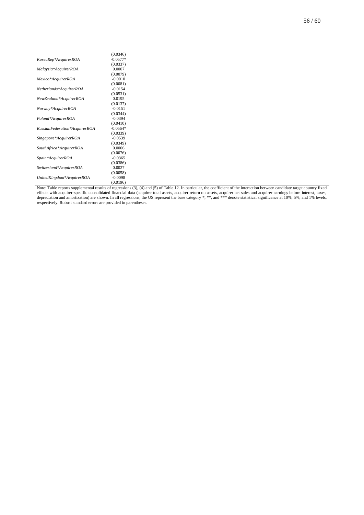|                               | (0.0346)   |
|-------------------------------|------------|
| KoreaRep*AcquirerROA          | $-0.0577*$ |
|                               | (0.0337)   |
| Malaysia*AcquirerROA          | 0.0007     |
|                               | (0.0079)   |
| Mexico*AcquirerROA            | $-0.0010$  |
|                               | (0.0081)   |
| Netherlands*AcquirerROA       | $-0.0154$  |
|                               | (0.0531)   |
| NewZealand*AcquirerROA        | 0.0195     |
|                               | (0.0137)   |
| Norway*AcquirerROA            | $-0.0151$  |
|                               | (0.0344)   |
| Poland*AcquirerROA            | $-0.0394$  |
|                               | (0.0410)   |
| RussianFederation*AcquirerROA | $-0.0564*$ |
|                               | (0.0339)   |
| Singapore*AcquirerROA         | $-0.0539$  |
|                               | (0.0349)   |
| SouthAfrica*AcquirerROA       | 0.0006     |
|                               | (0.0076)   |
| Spain*AcquirerROA             | $-0.0365$  |
|                               | (0.0386)   |
| Switzerland*AcquirerROA       | 0.0027     |
|                               | (0.0058)   |
| UnitedKingdom*AcquirerROA     | $-0.0098$  |
|                               | (0.0196)   |

Note: Table reports supplemental results of regressions (3), (4) and (5) of [Table 12.](#page-54-0) In particular, the coefficient of the interaction between candidate target country fixed effects with acquirer-specific consolidated financial data (acquirer total assets, acquirer return on assets, acquirer net sales and acquirer earnings before interest, taxes, depreciation and amortization) are shown. In all regressions, the US represent the base category \*, \*\*, and \*\*\* denote statistical significance at 10%, 5%, and 1% levels, respectively. Robust standard errors are provided in parentheses.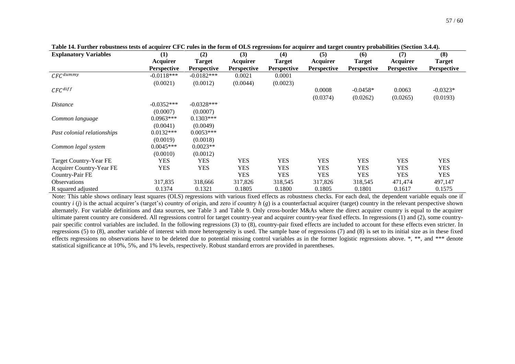60

| <b>Explanatory Variables</b> | (1)                | (2)                | (3)                | (4)                | $\frac{1}{2}$ and $\frac{1}{2}$ and $\frac{1}{2}$ and $\frac{1}{2}$ and $\frac{1}{2}$ and $\frac{1}{2}$ and $\frac{1}{2}$ and $\frac{1}{2}$ and $\frac{1}{2}$ and $\frac{1}{2}$ and $\frac{1}{2}$ and $\frac{1}{2}$ and $\frac{1}{2}$ and $\frac{1}{2}$ and $\frac{1}{2}$ and $\frac{1}{2}$ a<br>(5) | (6)                | (7)                | (8)                |
|------------------------------|--------------------|--------------------|--------------------|--------------------|------------------------------------------------------------------------------------------------------------------------------------------------------------------------------------------------------------------------------------------------------------------------------------------------------|--------------------|--------------------|--------------------|
|                              | Acquirer           | <b>Target</b>      | Acquirer           | <b>Target</b>      | Acquirer                                                                                                                                                                                                                                                                                             | <b>Target</b>      | Acquirer           | <b>Target</b>      |
|                              | <b>Perspective</b> | <b>Perspective</b> | <b>Perspective</b> | <b>Perspective</b> | <b>Perspective</b>                                                                                                                                                                                                                                                                                   | <b>Perspective</b> | <b>Perspective</b> | <b>Perspective</b> |
| $CFC$ <sup>dummy</sup>       | $-0.0118***$       | $-0.0182***$       | 0.0021             | 0.0001             |                                                                                                                                                                                                                                                                                                      |                    |                    |                    |
|                              | (0.0021)           | (0.0012)           | (0.0044)           | (0.0023)           |                                                                                                                                                                                                                                                                                                      |                    |                    |                    |
| $\mathcal{C}FC^{diff}$       |                    |                    |                    |                    | 0.0008                                                                                                                                                                                                                                                                                               | $-0.0458*$         | 0.0063             | $-0.0323*$         |
|                              |                    |                    |                    |                    | (0.0374)                                                                                                                                                                                                                                                                                             | (0.0262)           | (0.0265)           | (0.0193)           |
| <i>Distance</i>              | $-0.0352***$       | $-0.0328***$       |                    |                    |                                                                                                                                                                                                                                                                                                      |                    |                    |                    |
|                              | (0.0007)           | (0.0007)           |                    |                    |                                                                                                                                                                                                                                                                                                      |                    |                    |                    |
| Common language              | $0.0963***$        | $0.1303***$        |                    |                    |                                                                                                                                                                                                                                                                                                      |                    |                    |                    |
|                              | (0.0041)           | (0.0049)           |                    |                    |                                                                                                                                                                                                                                                                                                      |                    |                    |                    |
| Past colonial relationships  | $0.0132***$        | $0.0053***$        |                    |                    |                                                                                                                                                                                                                                                                                                      |                    |                    |                    |
|                              | (0.0019)           | (0.0018)           |                    |                    |                                                                                                                                                                                                                                                                                                      |                    |                    |                    |
| Common legal system          | $0.0045***$        | $0.0023**$         |                    |                    |                                                                                                                                                                                                                                                                                                      |                    |                    |                    |
|                              | (0.0010)           | (0.0012)           |                    |                    |                                                                                                                                                                                                                                                                                                      |                    |                    |                    |
| Target Country-Year FE       | <b>YES</b>         | <b>YES</b>         | YES                | <b>YES</b>         | <b>YES</b>                                                                                                                                                                                                                                                                                           | <b>YES</b>         | <b>YES</b>         | <b>YES</b>         |
| Acquirer Country-Year FE     | <b>YES</b>         | <b>YES</b>         | YES                | <b>YES</b>         | <b>YES</b>                                                                                                                                                                                                                                                                                           | YES                | <b>YES</b>         | <b>YES</b>         |
| Country-Pair FE              |                    |                    | <b>YES</b>         | <b>YES</b>         | <b>YES</b>                                                                                                                                                                                                                                                                                           | <b>YES</b>         | <b>YES</b>         | <b>YES</b>         |
| <b>Observations</b>          | 317,835            | 318,666            | 317,826            | 318,545            | 317,826                                                                                                                                                                                                                                                                                              | 318,545            | 471,474            | 497,147            |
| R squared adjusted           | 0.1374             | 0.1321             | 0.1805             | 0.1800             | 0.1805                                                                                                                                                                                                                                                                                               | 0.1801             | 0.1617             | 0.1575             |

**Table 14. Further robustness tests of acquirer CFC rules in the form of OLS regressions for acquirer and target country probabilities (Section [3.4.4\)](#page-23-1).**

<span id="page-57-0"></span>Note: This table shows ordinary least squares (OLS) regressions with various fixed effects as robustness checks. For each deal, the dependent variable equals one if country  $i(j)$  is the actual acquirer's (target's) country of origin, and zero if country  $h(g)$  is a counterfactual acquirer (target) country in the relevant perspective shown alternately. For variable definitions and data sources, see [Table 3](#page-42-1) and [Table 9.](#page-49-1) Only cross-border M&As where the direct acquirer country is equal to the acquirer ultimate parent country are considered. All regressions control for target country-year and acquirer country-year fixed effects. In regressions (1) and (2), some countrypair specific control variables are included. In the following regressions (3) to (8), country-pair fixed effects are included to account for these effects even stricter. In regressions (5) to (8), another variable of interest with more heterogeneity is used. The sample base of regressions (7) and (8) is set to its initial size as in these fixed effects regressions no observations have to be deleted due to potential missing control variables as in the former logistic regressions above. \*, \*\*, and \*\*\* denote statistical significance at 10%, 5%, and 1% levels, respectively. Robust standard errors are provided in parentheses.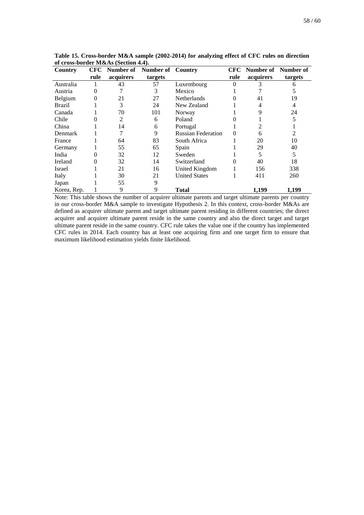| Country       | <b>CFC</b> |           | Number of Number of Country |                           | CFC  |           | Number of Number of |
|---------------|------------|-----------|-----------------------------|---------------------------|------|-----------|---------------------|
|               | rule       | acquirers | targets                     |                           | rule | acquirers | targets             |
| Australia     |            | 43        | 57                          | Luxembourg                |      |           |                     |
| Austria       |            |           | 3                           | Mexico                    |      |           |                     |
| Belgium       | 0          | 21        | 27                          | <b>Netherlands</b>        |      | 41        | 19                  |
| <b>Brazil</b> |            | 3         | 24                          | New Zealand               |      |           | 4                   |
| Canada        |            | 70        | 101                         | Norway                    |      | 9         | 24                  |
| Chile         |            | 2         | 6                           | Poland                    |      |           |                     |
| China         |            | 14        | 6                           | Portugal                  |      |           |                     |
| Denmark       |            |           | 9                           | <b>Russian Federation</b> | 0    | 6         |                     |
| France        |            | 64        | 83                          | South Africa              |      | 20        | 10                  |
| Germany       |            | 55        | 65                          | Spain                     |      | 29        | 40                  |
| India         |            | 32        | 12                          | Sweden                    |      | 5.        | 5                   |
| Ireland       | 0          | 32        | 14                          | Switzerland               |      | 40        | 18                  |
| Israel        |            | 21        | 16                          | United Kingdom            |      | 156       | 338                 |
| Italy         |            | 30        | 21                          | <b>United States</b>      |      | 411       | 260                 |
| Japan         |            | 55        | 9                           |                           |      |           |                     |
| Korea, Rep.   |            | 9         | 9                           | Total                     |      | 1,199     | 1,199               |

<span id="page-58-0"></span>**Table 15. Cross-border M&A sample (2002-2014) for analyzing effect of CFC rules on direction of cross-border M&As (Section [4.4\)](#page-28-0).**

Note: This table shows the number of acquirer ultimate parents and target ultimate parents per country in our cross-border M&A sample to investigate Hypothesis 2. In this context, cross-border M&As are defined as acquirer ultimate parent and target ultimate parent residing in different countries; the direct acquirer and acquirer ultimate parent reside in the same country and also the direct target and target ultimate parent reside in the same country. CFC rule takes the value one if the country has implemented CFC rules in 2014. Each country has at least one acquiring firm and one target firm to ensure that maximum likelihood estimation yields finite likelihood.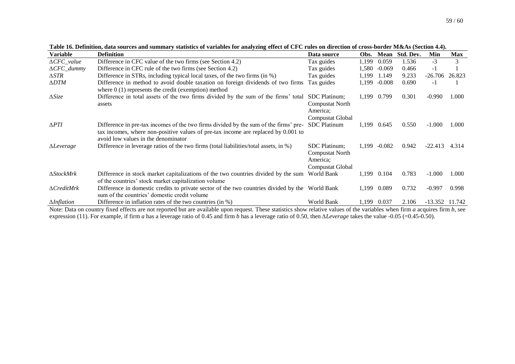| <b>Variable</b>     | <b>Definition</b>                                                                                                                                                                                                | Data source                                                                    | Obs.  | <b>Mean</b> | Std. Dev. | Min              | <b>Max</b> |
|---------------------|------------------------------------------------------------------------------------------------------------------------------------------------------------------------------------------------------------------|--------------------------------------------------------------------------------|-------|-------------|-----------|------------------|------------|
| $\Delta CFC\_value$ | Difference in CFC value of the two firms (see Section 4.2)                                                                                                                                                       | Tax guides                                                                     | 1,199 | 0.059       | 1.536     | $-3$             | 3          |
| $\Delta CFC\_dummy$ | Difference in CFC rule of the two firms (see Section 4.2)                                                                                                                                                        | Tax guides                                                                     | 1,580 | $-0.069$    | 0.466     | -1               |            |
| $\triangle STR$     | Difference in STRs, including typical local taxes, of the two firms (in %)                                                                                                                                       | Tax guides                                                                     | 1,199 | 1.149       | 9.233     | $-26.706$        | 26.823     |
| $\Delta D T M$      | Difference in method to avoid double taxation on foreign dividends of two firms<br>where $0(1)$ represents the credit (exemption) method                                                                         | Tax guides                                                                     | 1,199 | $-0.008$    | 0.690     | $-1$             |            |
| $\Delta Size$       | Difference in total assets of the two firms divided by the sum of the firms' total<br>assets                                                                                                                     | SDC Platinum;<br>Compustat North<br>America;<br>Compustat Global               | 1,199 | 0.799       | 0.301     | $-0.990$         | 1.000      |
| $\triangle PTI$     | Difference in pre-tax incomes of the two firms divided by the sum of the firms' pre-<br>tax incomes, where non-positive values of pre-tax income are replaced by 0.001 to<br>avoid low values in the denominator | <b>SDC</b> Platinum                                                            | 1,199 | 0.645       | 0.550     | $-1.000$         | 1.000      |
| $\Delta$ Leverage   | Difference in leverage ratios of the two firms (total liabilities/total assets, in %)                                                                                                                            | <b>SDC</b> Platinum;<br><b>Compustat North</b><br>America;<br>Compustat Global | 1,199 | $-0.082$    | 0.942     | $-22.413$        | 4.314      |
| $\Delta StockMrk$   | Difference in stock market capitalizations of the two countries divided by the sum<br>of the countries' stock market capitalization volume                                                                       | World Bank                                                                     | 1,199 | 0.104       | 0.783     | $-1.000$         | 1.000      |
| $\Delta C$ reditMrk | Difference in domestic credits to private sector of the two countries divided by the World Bank<br>sum of the countries' domestic credit volume                                                                  |                                                                                | 1,199 | 0.089       | 0.732     | $-0.997$         | 0.998      |
| $\Delta Inflation$  | Difference in inflation rates of the two countries (in $\%$ )                                                                                                                                                    | World Bank                                                                     | 1,199 | 0.037       | 2.106     | $-13.352$ 11.742 |            |

**Table 16. Definition, data sources and summary statistics of variables for analyzing effect of CFC rules on direction of cross-border M&As (Section [4.4\)](#page-28-1).**

<span id="page-59-0"></span>Note: Data on country fixed effects are not reported but are available upon request. These statistics show relative values of the variables when firm *a* acquires firm *b*, see expression (11). For example, if firm *a* has a leverage ratio of 0.45 and firm *b* has a leverage ratio of 0.50, then *∆Leverage* takes the value -0.05 (=0.45-0.50).